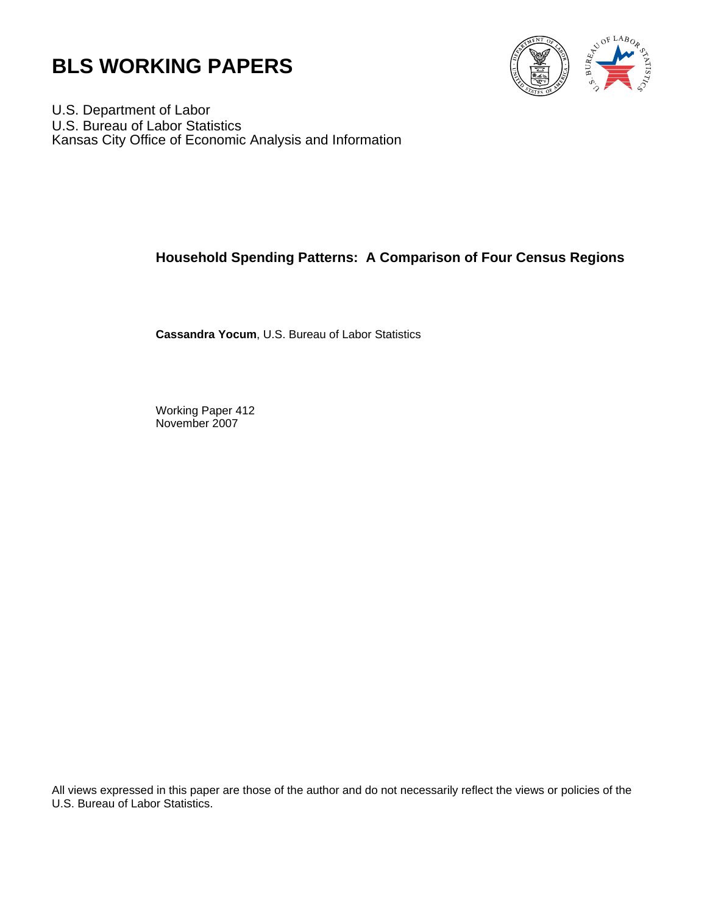



U.S. Department of Labor U.S. Bureau of Labor Statistics Kansas City Office of Economic Analysis and Information

# **Household Spending Patterns: A Comparison of Four Census Regions**

**Cassandra Yocum**, U.S. Bureau of Labor Statistics

Working Paper 412 November 2007

All views expressed in this paper are those of the author and do not necessarily reflect the views or policies of the U.S. Bureau of Labor Statistics.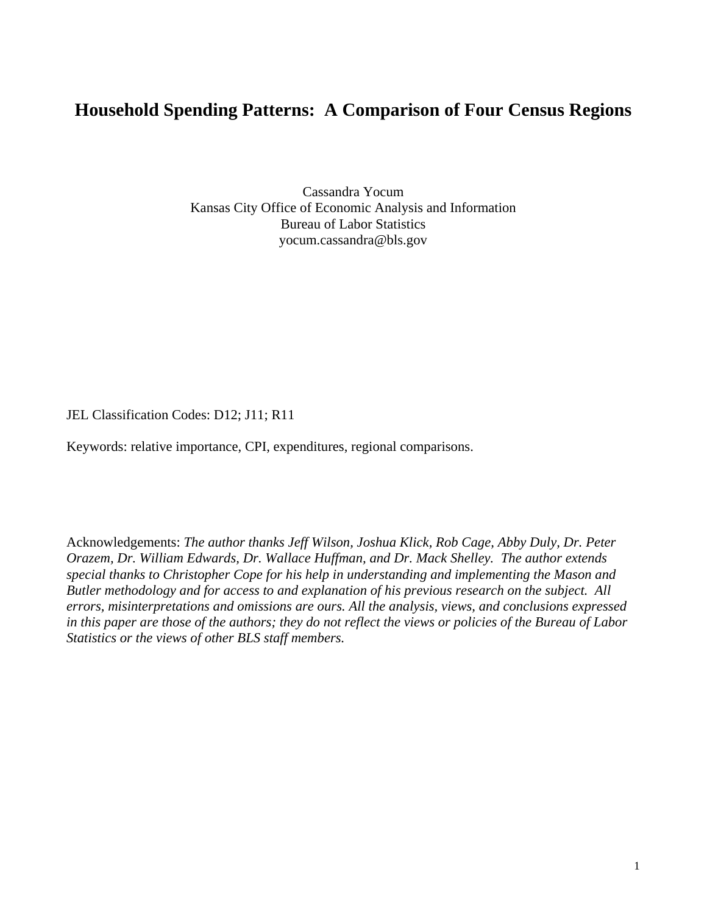# **Household Spending Patterns: A Comparison of Four Census Regions**

Cassandra Yocum Kansas City Office of Economic Analysis and Information Bureau of Labor Statistics yocum.cassandra@bls.gov

JEL Classification Codes: D12; J11; R11

Keywords: relative importance, CPI, expenditures, regional comparisons.

Acknowledgements: *The author thanks Jeff Wilson, Joshua Klick, Rob Cage, Abby Duly, Dr. Peter Orazem, Dr. William Edwards, Dr. Wallace Huffman, and Dr. Mack Shelley. The author extends special thanks to Christopher Cope for his help in understanding and implementing the Mason and Butler methodology and for access to and explanation of his previous research on the subject. All errors, misinterpretations and omissions are ours. All the analysis, views, and conclusions expressed in this paper are those of the authors; they do not reflect the views or policies of the Bureau of Labor Statistics or the views of other BLS staff members.*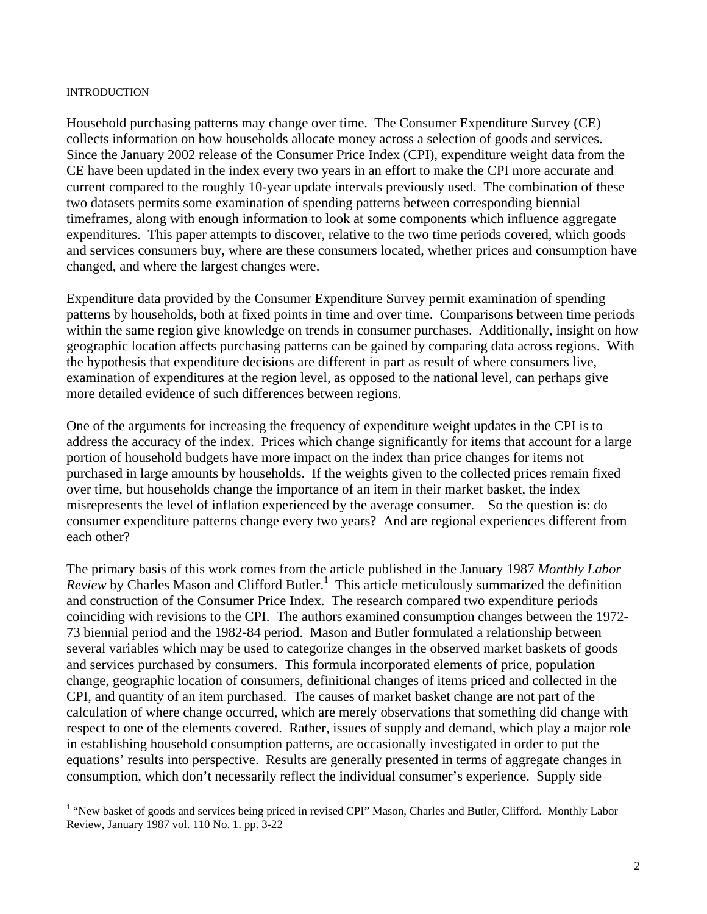#### INTRODUCTION

Household purchasing patterns may change over time. The Consumer Expenditure Survey (CE) collects information on how households allocate money across a selection of goods and services. Since the January 2002 release of the Consumer Price Index (CPI), expenditure weight data from the CE have been updated in the index every two years in an effort to make the CPI more accurate and current compared to the roughly 10-year update intervals previously used. The combination of these two datasets permits some examination of spending patterns between corresponding biennial timeframes, along with enough information to look at some components which influence aggregate expenditures. This paper attempts to discover, relative to the two time periods covered, which goods and services consumers buy, where are these consumers located, whether prices and consumption have changed, and where the largest changes were.

Expenditure data provided by the Consumer Expenditure Survey permit examination of spending patterns by households, both at fixed points in time and over time. Comparisons between time periods within the same region give knowledge on trends in consumer purchases. Additionally, insight on how geographic location affects purchasing patterns can be gained by comparing data across regions. With the hypothesis that expenditure decisions are different in part as result of where consumers live, examination of expenditures at the region level, as opposed to the national level, can perhaps give more detailed evidence of such differences between regions.

One of the arguments for increasing the frequency of expenditure weight updates in the CPI is to address the accuracy of the index. Prices which change significantly for items that account for a large portion of household budgets have more impact on the index than price changes for items not purchased in large amounts by households. If the weights given to the collected prices remain fixed over time, but households change the importance of an item in their market basket, the index misrepresents the level of inflation experienced by the average consumer. So the question is: do consumer expenditure patterns change every two years? And are regional experiences different from each other?

The primary basis of this work comes from the article published in the January 1987 *Monthly Labor*  Review by Charles Mason and Clifford Butler.<sup>1</sup> This article meticulously summarized the definition and construction of the Consumer Price Index. The research compared two expenditure periods coinciding with revisions to the CPI. The authors examined consumption changes between the 1972- 73 biennial period and the 1982-84 period. Mason and Butler formulated a relationship between several variables which may be used to categorize changes in the observed market baskets of goods and services purchased by consumers. This formula incorporated elements of price, population change, geographic location of consumers, definitional changes of items priced and collected in the CPI, and quantity of an item purchased. The causes of market basket change are not part of the calculation of where change occurred, which are merely observations that something did change with respect to one of the elements covered. Rather, issues of supply and demand, which play a major role in establishing household consumption patterns, are occasionally investigated in order to put the equations' results into perspective. Results are generally presented in terms of aggregate changes in consumption, which don't necessarily reflect the individual consumer's experience. Supply side

<sup>&</sup>lt;sup>1</sup> "New basket of goods and services being priced in revised CPI" Mason, Charles and Butler, Clifford. Monthly Labor Review, January 1987 vol. 110 No. 1. pp. 3-22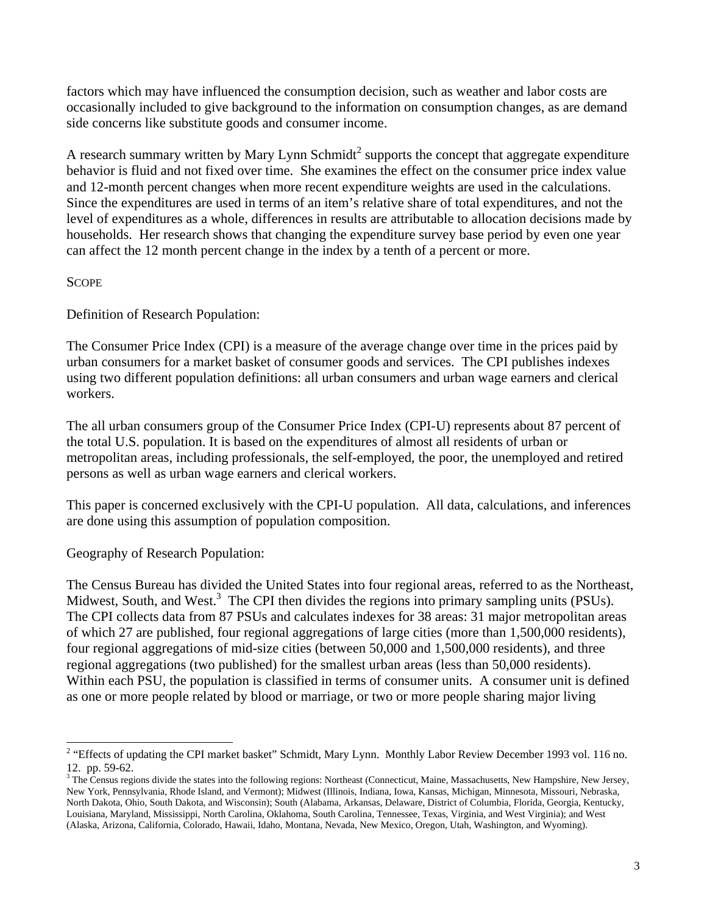factors which may have influenced the consumption decision, such as weather and labor costs are occasionally included to give background to the information on consumption changes, as are demand side concerns like substitute goods and consumer income.

A research summary written by Mary Lynn Schmidt<sup>2</sup> supports the concept that aggregate expenditure behavior is fluid and not fixed over time. She examines the effect on the consumer price index value and 12-month percent changes when more recent expenditure weights are used in the calculations. Since the expenditures are used in terms of an item's relative share of total expenditures, and not the level of expenditures as a whole, differences in results are attributable to allocation decisions made by households. Her research shows that changing the expenditure survey base period by even one year can affect the 12 month percent change in the index by a tenth of a percent or more.

**SCOPE** 

Definition of Research Population:

The Consumer Price Index (CPI) is a measure of the average change over time in the prices paid by urban consumers for a market basket of consumer goods and services. The CPI publishes indexes using two different population definitions: all urban consumers and urban wage earners and clerical workers.

The all urban consumers group of the Consumer Price Index (CPI-U) represents about 87 percent of the total U.S. population. It is based on the expenditures of almost all residents of urban or metropolitan areas, including professionals, the self-employed, the poor, the unemployed and retired persons as well as urban wage earners and clerical workers.

This paper is concerned exclusively with the CPI-U population. All data, calculations, and inferences are done using this assumption of population composition.

Geography of Research Population:

The Census Bureau has divided the United States into four regional areas, referred to as the Northeast, Midwest, South, and West.<sup>3</sup> The CPI then divides the regions into primary sampling units (PSUs). The CPI collects data from 87 PSUs and calculates indexes for 38 areas: 31 major metropolitan areas of which 27 are published, four regional aggregations of large cities (more than 1,500,000 residents), four regional aggregations of mid-size cities (between 50,000 and 1,500,000 residents), and three regional aggregations (two published) for the smallest urban areas (less than 50,000 residents). Within each PSU, the population is classified in terms of consumer units. A consumer unit is defined as one or more people related by blood or marriage, or two or more people sharing major living

l <sup>2</sup> "Effects of updating the CPI market basket" Schmidt, Mary Lynn. Monthly Labor Review December 1993 vol. 116 no. 12. pp. 59-62.

 $3$  The Census regions divide the states into the following regions: Northeast (Connecticut, Maine, Massachusetts, New Hampshire, New Jersey, New York, Pennsylvania, Rhode Island, and Vermont); Midwest (Illinois, Indiana, Iowa, Kansas, Michigan, Minnesota, Missouri, Nebraska, North Dakota, Ohio, South Dakota, and Wisconsin); South (Alabama, Arkansas, Delaware, District of Columbia, Florida, Georgia, Kentucky, Louisiana, Maryland, Mississippi, North Carolina, Oklahoma, South Carolina, Tennessee, Texas, Virginia, and West Virginia); and West (Alaska, Arizona, California, Colorado, Hawaii, Idaho, Montana, Nevada, New Mexico, Oregon, Utah, Washington, and Wyoming).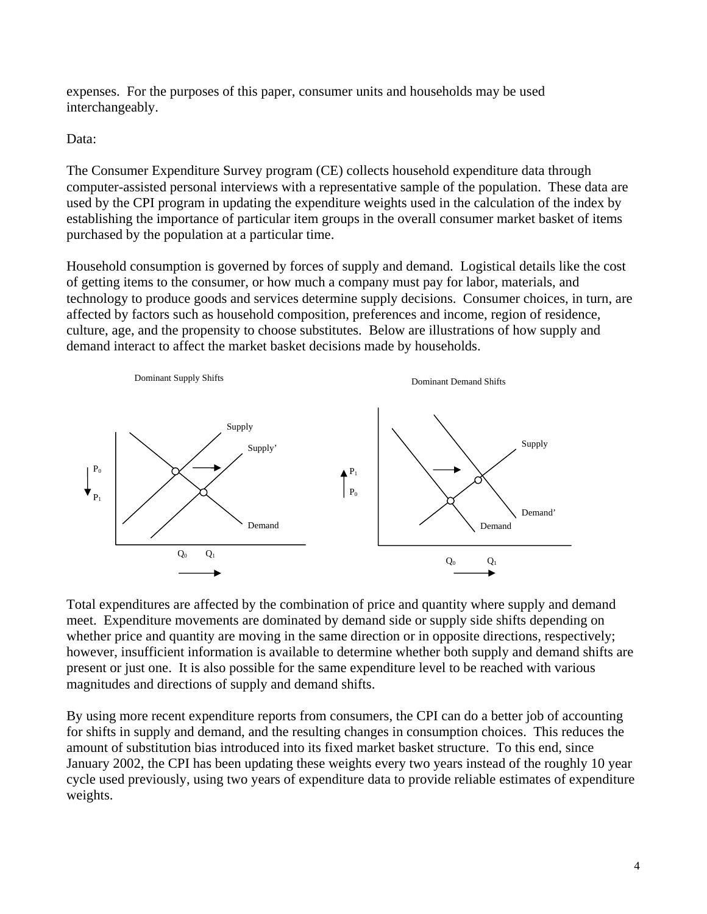expenses. For the purposes of this paper, consumer units and households may be used interchangeably.

Data:

The Consumer Expenditure Survey program (CE) collects household expenditure data through computer-assisted personal interviews with a representative sample of the population. These data are used by the CPI program in updating the expenditure weights used in the calculation of the index by establishing the importance of particular item groups in the overall consumer market basket of items purchased by the population at a particular time.

Household consumption is governed by forces of supply and demand. Logistical details like the cost of getting items to the consumer, or how much a company must pay for labor, materials, and technology to produce goods and services determine supply decisions. Consumer choices, in turn, are affected by factors such as household composition, preferences and income, region of residence, culture, age, and the propensity to choose substitutes. Below are illustrations of how supply and demand interact to affect the market basket decisions made by households.



Total expenditures are affected by the combination of price and quantity where supply and demand meet. Expenditure movements are dominated by demand side or supply side shifts depending on whether price and quantity are moving in the same direction or in opposite directions, respectively; however, insufficient information is available to determine whether both supply and demand shifts are present or just one. It is also possible for the same expenditure level to be reached with various magnitudes and directions of supply and demand shifts.

By using more recent expenditure reports from consumers, the CPI can do a better job of accounting for shifts in supply and demand, and the resulting changes in consumption choices. This reduces the amount of substitution bias introduced into its fixed market basket structure. To this end, since January 2002, the CPI has been updating these weights every two years instead of the roughly 10 year cycle used previously, using two years of expenditure data to provide reliable estimates of expenditure weights.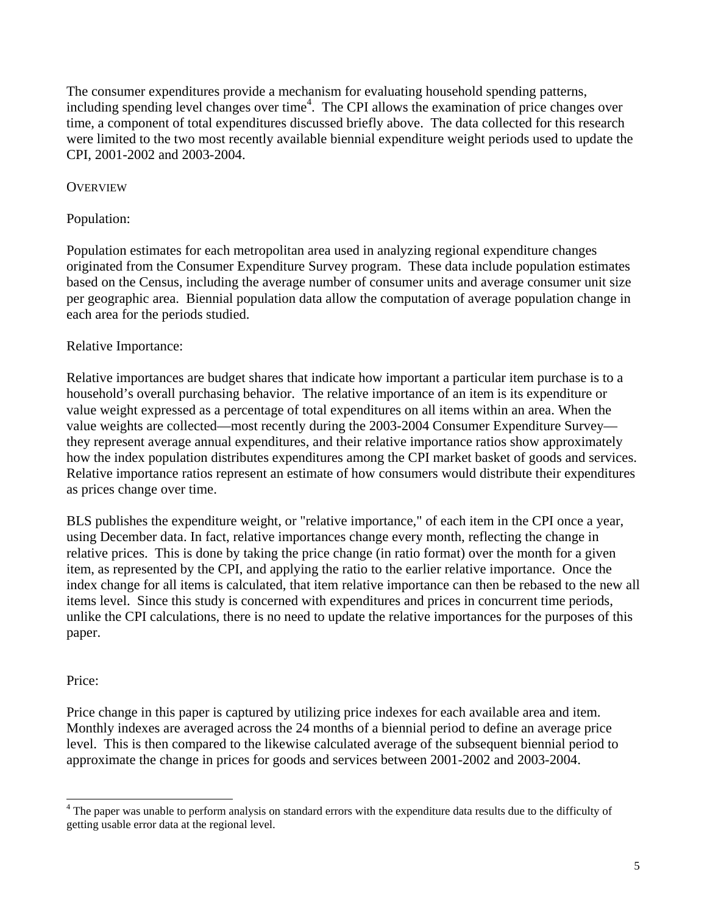The consumer expenditures provide a mechanism for evaluating household spending patterns, including spending level changes over time<sup>4</sup>. The CPI allows the examination of price changes over time, a component of total expenditures discussed briefly above. The data collected for this research were limited to the two most recently available biennial expenditure weight periods used to update the CPI, 2001-2002 and 2003-2004.

## **OVERVIEW**

### Population:

Population estimates for each metropolitan area used in analyzing regional expenditure changes originated from the Consumer Expenditure Survey program. These data include population estimates based on the Census, including the average number of consumer units and average consumer unit size per geographic area. Biennial population data allow the computation of average population change in each area for the periods studied.

### Relative Importance:

Relative importances are budget shares that indicate how important a particular item purchase is to a household's overall purchasing behavior. The relative importance of an item is its expenditure or value weight expressed as a percentage of total expenditures on all items within an area. When the value weights are collected—most recently during the 2003-2004 Consumer Expenditure Survey they represent average annual expenditures, and their relative importance ratios show approximately how the index population distributes expenditures among the CPI market basket of goods and services. Relative importance ratios represent an estimate of how consumers would distribute their expenditures as prices change over time.

BLS publishes the expenditure weight, or "relative importance," of each item in the CPI once a year, using December data. In fact, relative importances change every month, reflecting the change in relative prices. This is done by taking the price change (in ratio format) over the month for a given item, as represented by the CPI, and applying the ratio to the earlier relative importance. Once the index change for all items is calculated, that item relative importance can then be rebased to the new all items level. Since this study is concerned with expenditures and prices in concurrent time periods, unlike the CPI calculations, there is no need to update the relative importances for the purposes of this paper.

#### Price:

l

Price change in this paper is captured by utilizing price indexes for each available area and item. Monthly indexes are averaged across the 24 months of a biennial period to define an average price level. This is then compared to the likewise calculated average of the subsequent biennial period to approximate the change in prices for goods and services between 2001-2002 and 2003-2004.

<sup>&</sup>lt;sup>4</sup> The paper was unable to perform analysis on standard errors with the expenditure data results due to the difficulty of getting usable error data at the regional level.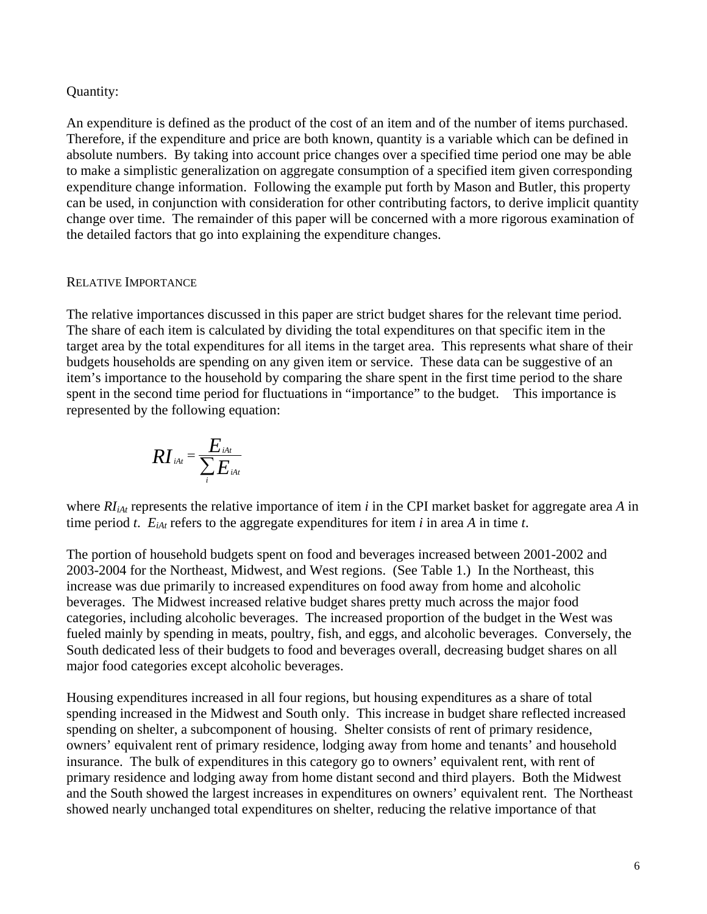#### Quantity:

An expenditure is defined as the product of the cost of an item and of the number of items purchased. Therefore, if the expenditure and price are both known, quantity is a variable which can be defined in absolute numbers. By taking into account price changes over a specified time period one may be able to make a simplistic generalization on aggregate consumption of a specified item given corresponding expenditure change information. Following the example put forth by Mason and Butler, this property can be used, in conjunction with consideration for other contributing factors, to derive implicit quantity change over time. The remainder of this paper will be concerned with a more rigorous examination of the detailed factors that go into explaining the expenditure changes.

#### RELATIVE IMPORTANCE

The relative importances discussed in this paper are strict budget shares for the relevant time period. The share of each item is calculated by dividing the total expenditures on that specific item in the target area by the total expenditures for all items in the target area. This represents what share of their budgets households are spending on any given item or service. These data can be suggestive of an item's importance to the household by comparing the share spent in the first time period to the share spent in the second time period for fluctuations in "importance" to the budget. This importance is represented by the following equation:

$$
RI_{\scriptscriptstyle iAt} = \frac{E_{\scriptscriptstyle iAt}}{\sum_{\scriptscriptstyle i} E_{\scriptscriptstyle iAt}}
$$

where *RIiAt* represents the relative importance of item *i* in the CPI market basket for aggregate area *A* in time period *t*.  $E_{iAt}$  refers to the aggregate expenditures for item *i* in area *A* in time *t*.

The portion of household budgets spent on food and beverages increased between 2001-2002 and 2003-2004 for the Northeast, Midwest, and West regions. (See Table 1.) In the Northeast, this increase was due primarily to increased expenditures on food away from home and alcoholic beverages. The Midwest increased relative budget shares pretty much across the major food categories, including alcoholic beverages. The increased proportion of the budget in the West was fueled mainly by spending in meats, poultry, fish, and eggs, and alcoholic beverages. Conversely, the South dedicated less of their budgets to food and beverages overall, decreasing budget shares on all major food categories except alcoholic beverages.

Housing expenditures increased in all four regions, but housing expenditures as a share of total spending increased in the Midwest and South only. This increase in budget share reflected increased spending on shelter, a subcomponent of housing. Shelter consists of rent of primary residence, owners' equivalent rent of primary residence, lodging away from home and tenants' and household insurance. The bulk of expenditures in this category go to owners' equivalent rent, with rent of primary residence and lodging away from home distant second and third players. Both the Midwest and the South showed the largest increases in expenditures on owners' equivalent rent. The Northeast showed nearly unchanged total expenditures on shelter, reducing the relative importance of that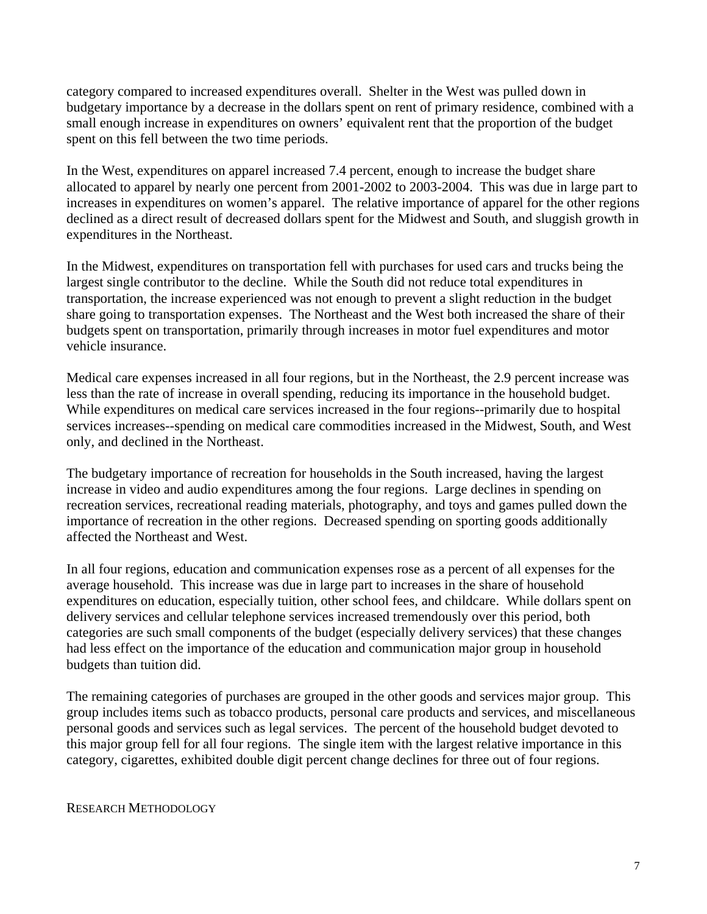category compared to increased expenditures overall. Shelter in the West was pulled down in budgetary importance by a decrease in the dollars spent on rent of primary residence, combined with a small enough increase in expenditures on owners' equivalent rent that the proportion of the budget spent on this fell between the two time periods.

In the West, expenditures on apparel increased 7.4 percent, enough to increase the budget share allocated to apparel by nearly one percent from 2001-2002 to 2003-2004. This was due in large part to increases in expenditures on women's apparel. The relative importance of apparel for the other regions declined as a direct result of decreased dollars spent for the Midwest and South, and sluggish growth in expenditures in the Northeast.

In the Midwest, expenditures on transportation fell with purchases for used cars and trucks being the largest single contributor to the decline. While the South did not reduce total expenditures in transportation, the increase experienced was not enough to prevent a slight reduction in the budget share going to transportation expenses. The Northeast and the West both increased the share of their budgets spent on transportation, primarily through increases in motor fuel expenditures and motor vehicle insurance.

Medical care expenses increased in all four regions, but in the Northeast, the 2.9 percent increase was less than the rate of increase in overall spending, reducing its importance in the household budget. While expenditures on medical care services increased in the four regions--primarily due to hospital services increases--spending on medical care commodities increased in the Midwest, South, and West only, and declined in the Northeast.

The budgetary importance of recreation for households in the South increased, having the largest increase in video and audio expenditures among the four regions. Large declines in spending on recreation services, recreational reading materials, photography, and toys and games pulled down the importance of recreation in the other regions. Decreased spending on sporting goods additionally affected the Northeast and West.

In all four regions, education and communication expenses rose as a percent of all expenses for the average household. This increase was due in large part to increases in the share of household expenditures on education, especially tuition, other school fees, and childcare. While dollars spent on delivery services and cellular telephone services increased tremendously over this period, both categories are such small components of the budget (especially delivery services) that these changes had less effect on the importance of the education and communication major group in household budgets than tuition did.

The remaining categories of purchases are grouped in the other goods and services major group. This group includes items such as tobacco products, personal care products and services, and miscellaneous personal goods and services such as legal services. The percent of the household budget devoted to this major group fell for all four regions. The single item with the largest relative importance in this category, cigarettes, exhibited double digit percent change declines for three out of four regions.

#### RESEARCH METHODOLOGY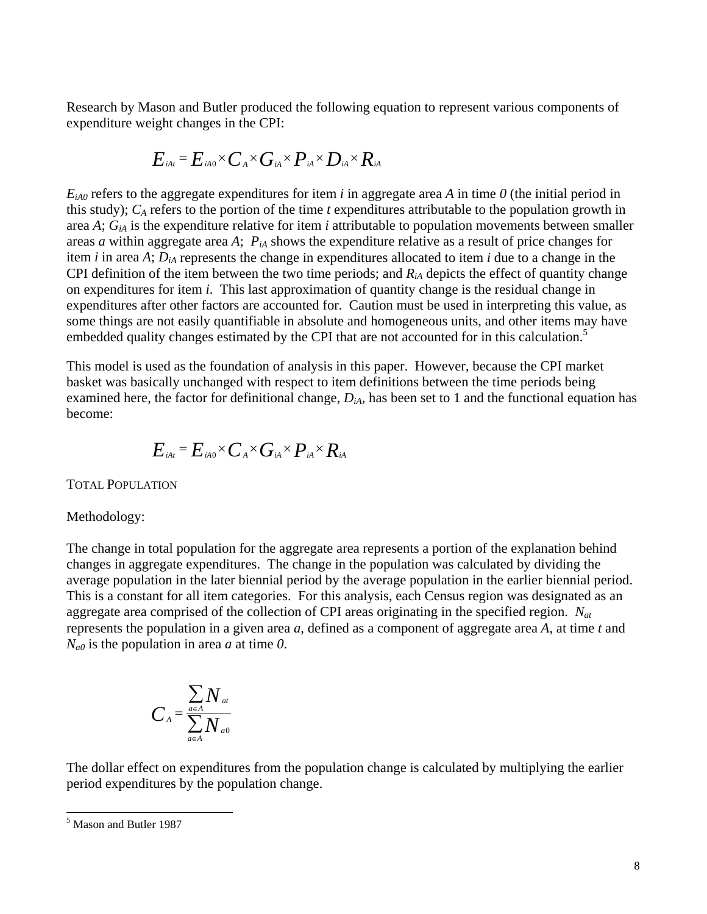Research by Mason and Butler produced the following equation to represent various components of expenditure weight changes in the CPI:

$$
E_{\scriptscriptstyle\it iAt}{}^ = E_{\scriptscriptstyle\it iA0}{}^\times C_{\scriptscriptstyle\it A}{}^\times G_{\scriptscriptstyle\it iA}{}^\times P_{\scriptscriptstyle\it iA}{}^\times D_{\scriptscriptstyle\it iA}{}^\times R_{\scriptscriptstyle\it iA}
$$

 $E_{iA0}$  refers to the aggregate expenditures for item *i* in aggregate area *A* in time *0* (the initial period in this study); *CA* refers to the portion of the time *t* expenditures attributable to the population growth in area *A*; *GiA* is the expenditure relative for item *i* attributable to population movements between smaller areas *a* within aggregate area *A*;  $P_{iA}$  shows the expenditure relative as a result of price changes for item *i* in area *A*;  $D_{iA}$  represents the change in expenditures allocated to item *i* due to a change in the CPI definition of the item between the two time periods; and *RiA* depicts the effect of quantity change on expenditures for item *i*. This last approximation of quantity change is the residual change in expenditures after other factors are accounted for. Caution must be used in interpreting this value, as some things are not easily quantifiable in absolute and homogeneous units, and other items may have embedded quality changes estimated by the CPI that are not accounted for in this calculation.<sup>5</sup>

This model is used as the foundation of analysis in this paper. However, because the CPI market basket was basically unchanged with respect to item definitions between the time periods being examined here, the factor for definitional change, *DiA*, has been set to 1 and the functional equation has become:

$$
E_{\scriptscriptstyle\it iAt}{}^ = E_{\scriptscriptstyle\it iA0}{}^\times C_{\scriptscriptstyle\it A}{}^\times G_{\scriptscriptstyle\it iA}{}^\times P_{\scriptscriptstyle\it iA}{}^\times R_{\scriptscriptstyle\it iA}
$$

TOTAL POPULATION

#### Methodology:

The change in total population for the aggregate area represents a portion of the explanation behind changes in aggregate expenditures. The change in the population was calculated by dividing the average population in the later biennial period by the average population in the earlier biennial period. This is a constant for all item categories. For this analysis, each Census region was designated as an aggregate area comprised of the collection of CPI areas originating in the specified region. *Nat* represents the population in a given area *a*, defined as a component of aggregate area *A*, at time *t* and *Na0* is the population in area *a* at time *0*.

$$
C_A = \frac{\sum_{a \in A} N_{at}}{\sum_{a \in A} N_{a0}}
$$

The dollar effect on expenditures from the population change is calculated by multiplying the earlier period expenditures by the population change.

l

<sup>5</sup> Mason and Butler 1987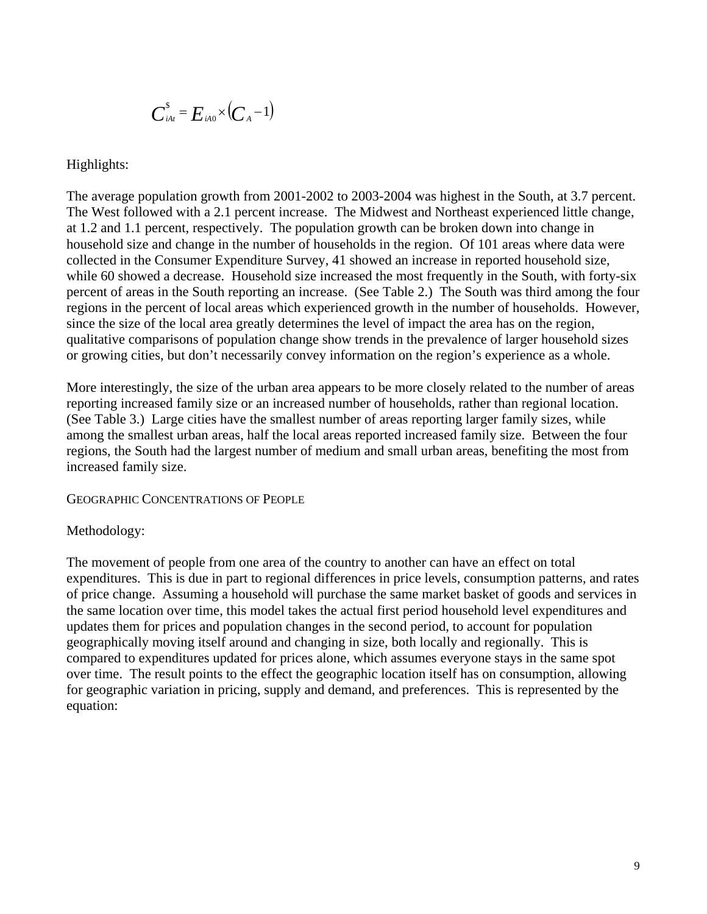$$
\boldsymbol{C}_{\scriptscriptstyle i\!A\!t}^{\scriptscriptstyle{\mathsf{S}}}=\boldsymbol{E}_{\scriptscriptstyle i\!A\!0}^{\boldsymbol{\times}}(\boldsymbol{C}_{\scriptscriptstyle{A}}^{\boldsymbol{-1}})
$$

Highlights:

The average population growth from 2001-2002 to 2003-2004 was highest in the South, at 3.7 percent. The West followed with a 2.1 percent increase. The Midwest and Northeast experienced little change, at 1.2 and 1.1 percent, respectively. The population growth can be broken down into change in household size and change in the number of households in the region. Of 101 areas where data were collected in the Consumer Expenditure Survey, 41 showed an increase in reported household size, while 60 showed a decrease. Household size increased the most frequently in the South, with forty-six percent of areas in the South reporting an increase. (See Table 2.) The South was third among the four regions in the percent of local areas which experienced growth in the number of households. However, since the size of the local area greatly determines the level of impact the area has on the region, qualitative comparisons of population change show trends in the prevalence of larger household sizes or growing cities, but don't necessarily convey information on the region's experience as a whole.

More interestingly, the size of the urban area appears to be more closely related to the number of areas reporting increased family size or an increased number of households, rather than regional location. (See Table 3.) Large cities have the smallest number of areas reporting larger family sizes, while among the smallest urban areas, half the local areas reported increased family size. Between the four regions, the South had the largest number of medium and small urban areas, benefiting the most from increased family size.

GEOGRAPHIC CONCENTRATIONS OF PEOPLE

#### Methodology:

The movement of people from one area of the country to another can have an effect on total expenditures. This is due in part to regional differences in price levels, consumption patterns, and rates of price change. Assuming a household will purchase the same market basket of goods and services in the same location over time, this model takes the actual first period household level expenditures and updates them for prices and population changes in the second period, to account for population geographically moving itself around and changing in size, both locally and regionally. This is compared to expenditures updated for prices alone, which assumes everyone stays in the same spot over time. The result points to the effect the geographic location itself has on consumption, allowing for geographic variation in pricing, supply and demand, and preferences. This is represented by the equation: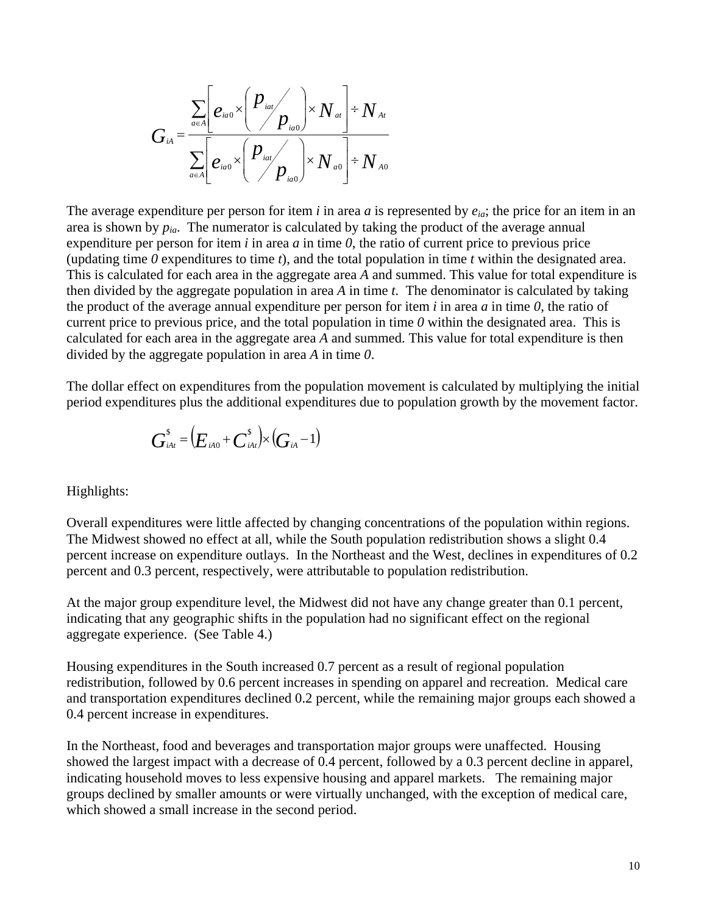$$
G_{iA} = \frac{\sum_{a \in A} \left[ e_{ia0} \times \left( \frac{p_{ia0}}{p_{ia0}} \right) \times N_{ai} \right] + N_{At}}{\sum_{a \in A} \left[ e_{ia0} \times \left( \frac{p_{ia0}}{p_{ia0}} \right) \times N_{ao} \right] + N_{A0}}
$$

The average expenditure per person for item *i* in area *a* is represented by *eia*; the price for an item in an area is shown by  $p_{ia}$ . The numerator is calculated by taking the product of the average annual expenditure per person for item *i* in area *a* in time *0*, the ratio of current price to previous price (updating time *0* expenditures to time *t*), and the total population in time *t* within the designated area. This is calculated for each area in the aggregate area *A* and summed. This value for total expenditure is then divided by the aggregate population in area *A* in time *t*. The denominator is calculated by taking the product of the average annual expenditure per person for item *i* in area *a* in time *0*, the ratio of current price to previous price, and the total population in time  $\theta$  within the designated area. This is calculated for each area in the aggregate area *A* and summed. This value for total expenditure is then divided by the aggregate population in area *A* in time *0*.

The dollar effect on expenditures from the population movement is calculated by multiplying the initial period expenditures plus the additional expenditures due to population growth by the movement factor.

$$
\boldsymbol{G}_{\scriptscriptstyle i\!A\!t}^{\scriptscriptstyle {\rm S}}\! =\! \big(\!\boldsymbol{E}_{\scriptscriptstyle i\!A\!0}\!+\!\boldsymbol{C}_{\scriptscriptstyle i\!A\!t}^{\scriptscriptstyle {\rm S}}\big) \!\!\times\! \big(\!\boldsymbol{G}_{\scriptscriptstyle i\!A}\!-\!1\big)
$$

Highlights:

Overall expenditures were little affected by changing concentrations of the population within regions. The Midwest showed no effect at all, while the South population redistribution shows a slight 0.4 percent increase on expenditure outlays. In the Northeast and the West, declines in expenditures of 0.2 percent and 0.3 percent, respectively, were attributable to population redistribution.

At the major group expenditure level, the Midwest did not have any change greater than 0.1 percent, indicating that any geographic shifts in the population had no significant effect on the regional aggregate experience. (See Table 4.)

Housing expenditures in the South increased 0.7 percent as a result of regional population redistribution, followed by 0.6 percent increases in spending on apparel and recreation. Medical care and transportation expenditures declined 0.2 percent, while the remaining major groups each showed a 0.4 percent increase in expenditures.

In the Northeast, food and beverages and transportation major groups were unaffected. Housing showed the largest impact with a decrease of 0.4 percent, followed by a 0.3 percent decline in apparel, indicating household moves to less expensive housing and apparel markets. The remaining major groups declined by smaller amounts or were virtually unchanged, with the exception of medical care, which showed a small increase in the second period.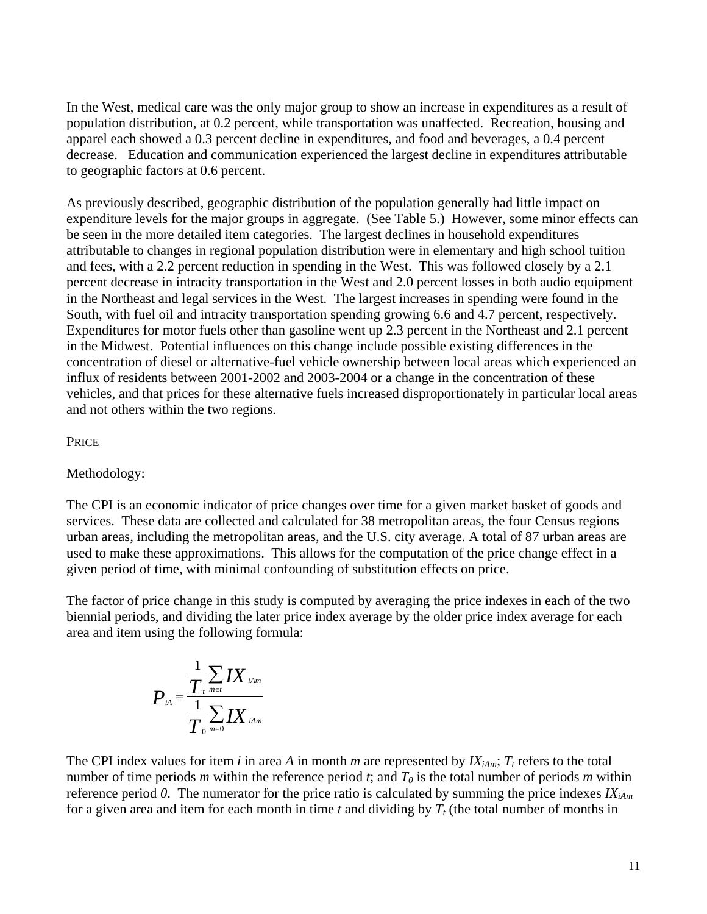In the West, medical care was the only major group to show an increase in expenditures as a result of population distribution, at 0.2 percent, while transportation was unaffected. Recreation, housing and apparel each showed a 0.3 percent decline in expenditures, and food and beverages, a 0.4 percent decrease. Education and communication experienced the largest decline in expenditures attributable to geographic factors at 0.6 percent.

As previously described, geographic distribution of the population generally had little impact on expenditure levels for the major groups in aggregate. (See Table 5.) However, some minor effects can be seen in the more detailed item categories. The largest declines in household expenditures attributable to changes in regional population distribution were in elementary and high school tuition and fees, with a 2.2 percent reduction in spending in the West. This was followed closely by a 2.1 percent decrease in intracity transportation in the West and 2.0 percent losses in both audio equipment in the Northeast and legal services in the West. The largest increases in spending were found in the South, with fuel oil and intracity transportation spending growing 6.6 and 4.7 percent, respectively. Expenditures for motor fuels other than gasoline went up 2.3 percent in the Northeast and 2.1 percent in the Midwest. Potential influences on this change include possible existing differences in the concentration of diesel or alternative-fuel vehicle ownership between local areas which experienced an influx of residents between 2001-2002 and 2003-2004 or a change in the concentration of these vehicles, and that prices for these alternative fuels increased disproportionately in particular local areas and not others within the two regions.

### PRICE

#### Methodology:

The CPI is an economic indicator of price changes over time for a given market basket of goods and services. These data are collected and calculated for 38 metropolitan areas, the four Census regions urban areas, including the metropolitan areas, and the U.S. city average. A total of 87 urban areas are used to make these approximations. This allows for the computation of the price change effect in a given period of time, with minimal confounding of substitution effects on price.

The factor of price change in this study is computed by averaging the price indexes in each of the two biennial periods, and dividing the later price index average by the older price index average for each area and item using the following formula:

$$
P_{\scriptscriptstyle i\scriptscriptstyle A}=\frac{\frac{1}{T_{\scriptscriptstyle t}}\sum\limits_{\scriptscriptstyle m\in t}I X_{\scriptscriptstyle i\scriptscriptstyle A\scriptscriptstyle m}}{\frac{1}{T_{\scriptscriptstyle 0}}\sum\limits_{\scriptscriptstyle m\in 0}I X_{\scriptscriptstyle i\scriptscriptstyle A\scriptscriptstyle m}}
$$

The CPI index values for item *i* in area *A* in month *m* are represented by  $IX_{iAm}$ ;  $T_t$  refers to the total number of time periods *m* within the reference period *t*; and  $T_0$  is the total number of periods *m* within reference period 0. The numerator for the price ratio is calculated by summing the price indexes  $IX_{iAm}$ for a given area and item for each month in time  $t$  and dividing by  $T_t$  (the total number of months in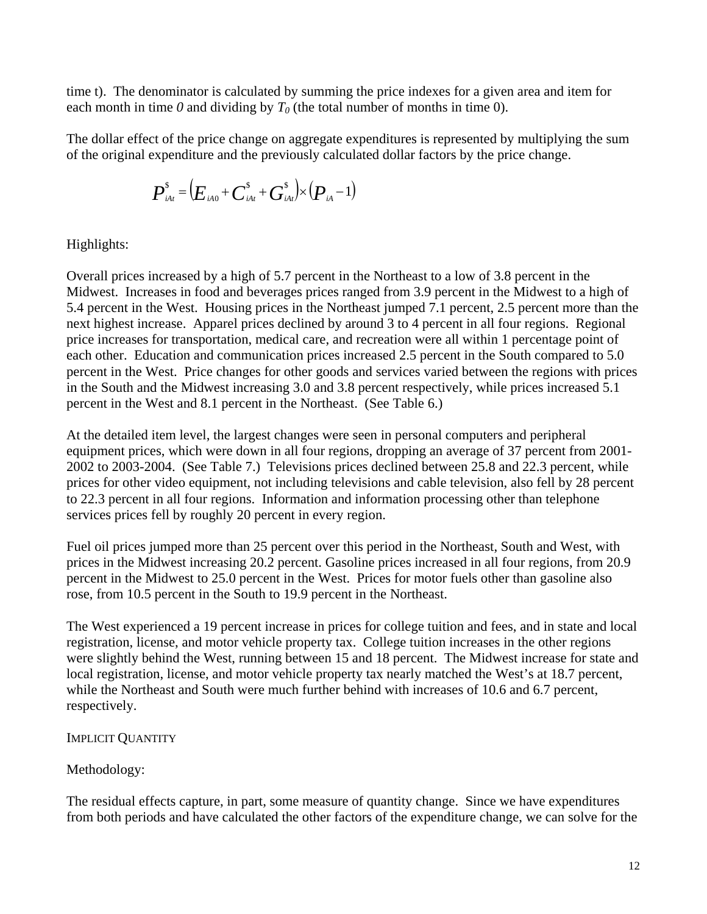time t). The denominator is calculated by summing the price indexes for a given area and item for each month in time  $\theta$  and dividing by  $T_0$  (the total number of months in time 0).

The dollar effect of the price change on aggregate expenditures is represented by multiplying the sum of the original expenditure and the previously calculated dollar factors by the price change.

$$
\boldsymbol{P}_{\scriptscriptstyle i\mathcal{A}^{\scriptscriptstyle j}}^{\scriptscriptstyle S} \!=\! \big(\!\boldsymbol{E}_{\scriptscriptstyle i\mathcal{A}0}\!+\!\boldsymbol{C}_{\scriptscriptstyle i\mathcal{A}t}^{\scriptscriptstyle S}\!+\!\boldsymbol{G}_{\scriptscriptstyle i\mathcal{A}t}^{\scriptscriptstyle S}\big)\!\!\times\!\big(\!\boldsymbol{P}_{\scriptscriptstyle i\mathcal{A}}\!-\!1\!\big)
$$

Highlights:

Overall prices increased by a high of 5.7 percent in the Northeast to a low of 3.8 percent in the Midwest. Increases in food and beverages prices ranged from 3.9 percent in the Midwest to a high of 5.4 percent in the West. Housing prices in the Northeast jumped 7.1 percent, 2.5 percent more than the next highest increase. Apparel prices declined by around 3 to 4 percent in all four regions. Regional price increases for transportation, medical care, and recreation were all within 1 percentage point of each other. Education and communication prices increased 2.5 percent in the South compared to 5.0 percent in the West. Price changes for other goods and services varied between the regions with prices in the South and the Midwest increasing 3.0 and 3.8 percent respectively, while prices increased 5.1 percent in the West and 8.1 percent in the Northeast. (See Table 6.)

At the detailed item level, the largest changes were seen in personal computers and peripheral equipment prices, which were down in all four regions, dropping an average of 37 percent from 2001- 2002 to 2003-2004. (See Table 7.) Televisions prices declined between 25.8 and 22.3 percent, while prices for other video equipment, not including televisions and cable television, also fell by 28 percent to 22.3 percent in all four regions. Information and information processing other than telephone services prices fell by roughly 20 percent in every region.

Fuel oil prices jumped more than 25 percent over this period in the Northeast, South and West, with prices in the Midwest increasing 20.2 percent. Gasoline prices increased in all four regions, from 20.9 percent in the Midwest to 25.0 percent in the West. Prices for motor fuels other than gasoline also rose, from 10.5 percent in the South to 19.9 percent in the Northeast.

The West experienced a 19 percent increase in prices for college tuition and fees, and in state and local registration, license, and motor vehicle property tax. College tuition increases in the other regions were slightly behind the West, running between 15 and 18 percent. The Midwest increase for state and local registration, license, and motor vehicle property tax nearly matched the West's at 18.7 percent, while the Northeast and South were much further behind with increases of 10.6 and 6.7 percent, respectively.

## IMPLICIT QUANTITY

# Methodology:

The residual effects capture, in part, some measure of quantity change. Since we have expenditures from both periods and have calculated the other factors of the expenditure change, we can solve for the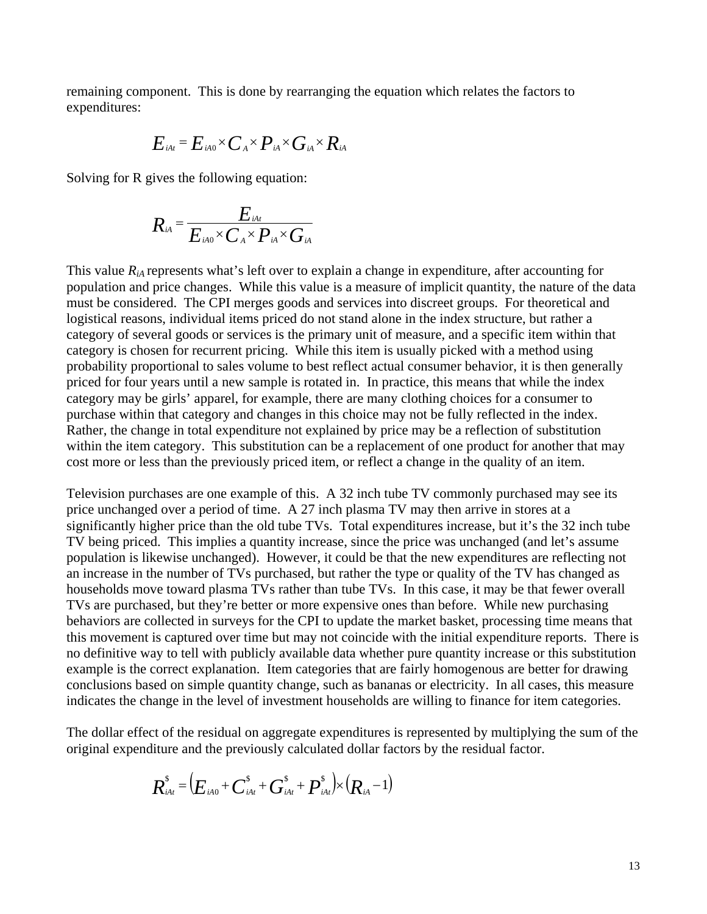remaining component. This is done by rearranging the equation which relates the factors to expenditures:

$$
E_{\scriptscriptstyle\it iAt}{}^=E_{\scriptscriptstyle\it iA0}{}^\times C_{\scriptscriptstyle\it A}{}^\times P_{\scriptscriptstyle\it iA}{}^\times G_{\scriptscriptstyle\it iA}{}^\times R_{\scriptscriptstyle\it iA}
$$

Solving for R gives the following equation:

$$
R_{\scriptscriptstyle iA} = \frac{E_{\scriptscriptstyle iA}E_{\scriptscriptstyle iA} \times E_{\scriptscriptstyle iA} \times G_{\scriptscriptstyle iA} \times G_{\scriptscriptstyle iA} \times G_{\scriptscriptstyle iA} \times G_{\scriptscriptstyle iA}}
$$

This value  $R_{iA}$  represents what's left over to explain a change in expenditure, after accounting for population and price changes. While this value is a measure of implicit quantity, the nature of the data must be considered. The CPI merges goods and services into discreet groups. For theoretical and logistical reasons, individual items priced do not stand alone in the index structure, but rather a category of several goods or services is the primary unit of measure, and a specific item within that category is chosen for recurrent pricing. While this item is usually picked with a method using probability proportional to sales volume to best reflect actual consumer behavior, it is then generally priced for four years until a new sample is rotated in. In practice, this means that while the index category may be girls' apparel, for example, there are many clothing choices for a consumer to purchase within that category and changes in this choice may not be fully reflected in the index. Rather, the change in total expenditure not explained by price may be a reflection of substitution within the item category. This substitution can be a replacement of one product for another that may cost more or less than the previously priced item, or reflect a change in the quality of an item.

Television purchases are one example of this. A 32 inch tube TV commonly purchased may see its price unchanged over a period of time. A 27 inch plasma TV may then arrive in stores at a significantly higher price than the old tube TVs. Total expenditures increase, but it's the 32 inch tube TV being priced. This implies a quantity increase, since the price was unchanged (and let's assume population is likewise unchanged). However, it could be that the new expenditures are reflecting not an increase in the number of TVs purchased, but rather the type or quality of the TV has changed as households move toward plasma TVs rather than tube TVs. In this case, it may be that fewer overall TVs are purchased, but they're better or more expensive ones than before. While new purchasing behaviors are collected in surveys for the CPI to update the market basket, processing time means that this movement is captured over time but may not coincide with the initial expenditure reports. There is no definitive way to tell with publicly available data whether pure quantity increase or this substitution example is the correct explanation. Item categories that are fairly homogenous are better for drawing conclusions based on simple quantity change, such as bananas or electricity. In all cases, this measure indicates the change in the level of investment households are willing to finance for item categories.

The dollar effect of the residual on aggregate expenditures is represented by multiplying the sum of the original expenditure and the previously calculated dollar factors by the residual factor.

$$
\bm{R}_{\scriptscriptstyle {iA t}}^{\scriptscriptstyle {\rm S}} = \left( \bm{E}_{\scriptscriptstyle {iA0}} + \bm{C}_{\scriptscriptstyle {iA t}}^{\scriptscriptstyle {\rm S}} + \bm{G}_{\scriptscriptstyle {iA t}}^{\scriptscriptstyle {\rm S}} + \bm{P}_{\scriptscriptstyle {iA t}}^{\scriptscriptstyle {\rm S}} \right) \!\!\times\! \left( \bm{R}_{\scriptscriptstyle {iA}} \!-\! 1 \right)
$$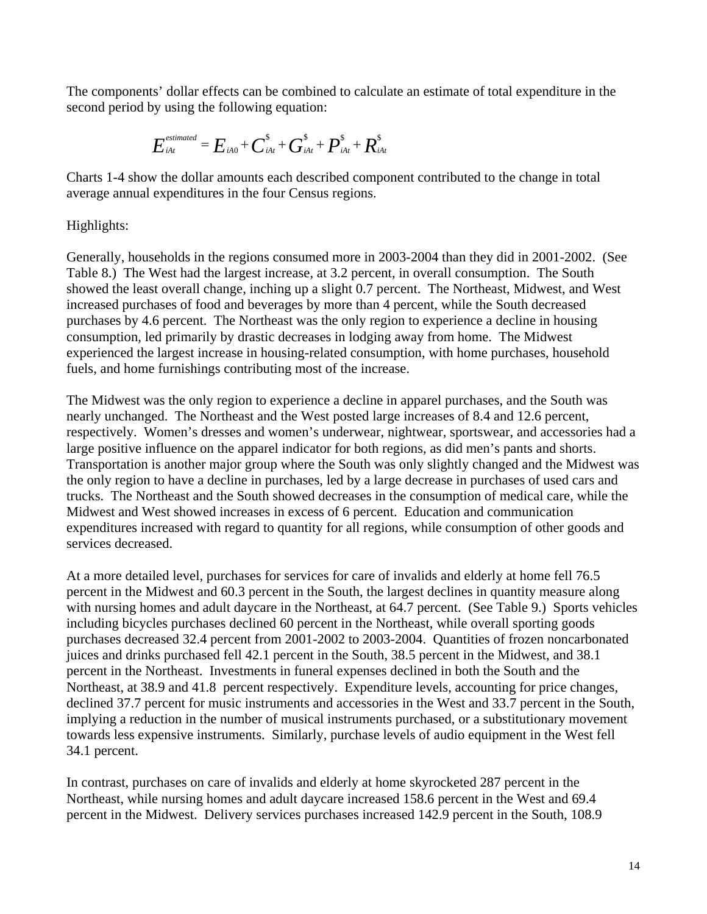The components' dollar effects can be combined to calculate an estimate of total expenditure in the second period by using the following equation:

$$
\boldsymbol{E}_{\scriptscriptstyle{iAt}}^{\scriptscriptstyle{estimated}} = \boldsymbol{E}_{\scriptscriptstyle{iA0}} + \boldsymbol{C}_{\scriptscriptstyle{iAt}}^{\scriptscriptstyle{S}} + \boldsymbol{G}_{\scriptscriptstyle{iAt}}^{\scriptscriptstyle{S}} + \boldsymbol{P}_{\scriptscriptstyle{iAt}}^{\scriptscriptstyle{S}} + \boldsymbol{R}_{\scriptscriptstyle{iAt}}^{\scriptscriptstyle{S}}
$$

Charts 1-4 show the dollar amounts each described component contributed to the change in total average annual expenditures in the four Census regions.

Highlights:

Generally, households in the regions consumed more in 2003-2004 than they did in 2001-2002. (See Table 8.) The West had the largest increase, at 3.2 percent, in overall consumption. The South showed the least overall change, inching up a slight 0.7 percent. The Northeast, Midwest, and West increased purchases of food and beverages by more than 4 percent, while the South decreased purchases by 4.6 percent. The Northeast was the only region to experience a decline in housing consumption, led primarily by drastic decreases in lodging away from home. The Midwest experienced the largest increase in housing-related consumption, with home purchases, household fuels, and home furnishings contributing most of the increase.

The Midwest was the only region to experience a decline in apparel purchases, and the South was nearly unchanged. The Northeast and the West posted large increases of 8.4 and 12.6 percent, respectively. Women's dresses and women's underwear, nightwear, sportswear, and accessories had a large positive influence on the apparel indicator for both regions, as did men's pants and shorts. Transportation is another major group where the South was only slightly changed and the Midwest was the only region to have a decline in purchases, led by a large decrease in purchases of used cars and trucks. The Northeast and the South showed decreases in the consumption of medical care, while the Midwest and West showed increases in excess of 6 percent. Education and communication expenditures increased with regard to quantity for all regions, while consumption of other goods and services decreased.

At a more detailed level, purchases for services for care of invalids and elderly at home fell 76.5 percent in the Midwest and 60.3 percent in the South, the largest declines in quantity measure along with nursing homes and adult daycare in the Northeast, at 64.7 percent. (See Table 9.) Sports vehicles including bicycles purchases declined 60 percent in the Northeast, while overall sporting goods purchases decreased 32.4 percent from 2001-2002 to 2003-2004. Quantities of frozen noncarbonated juices and drinks purchased fell 42.1 percent in the South, 38.5 percent in the Midwest, and 38.1 percent in the Northeast. Investments in funeral expenses declined in both the South and the Northeast, at 38.9 and 41.8 percent respectively. Expenditure levels, accounting for price changes, declined 37.7 percent for music instruments and accessories in the West and 33.7 percent in the South, implying a reduction in the number of musical instruments purchased, or a substitutionary movement towards less expensive instruments. Similarly, purchase levels of audio equipment in the West fell 34.1 percent.

In contrast, purchases on care of invalids and elderly at home skyrocketed 287 percent in the Northeast, while nursing homes and adult daycare increased 158.6 percent in the West and 69.4 percent in the Midwest. Delivery services purchases increased 142.9 percent in the South, 108.9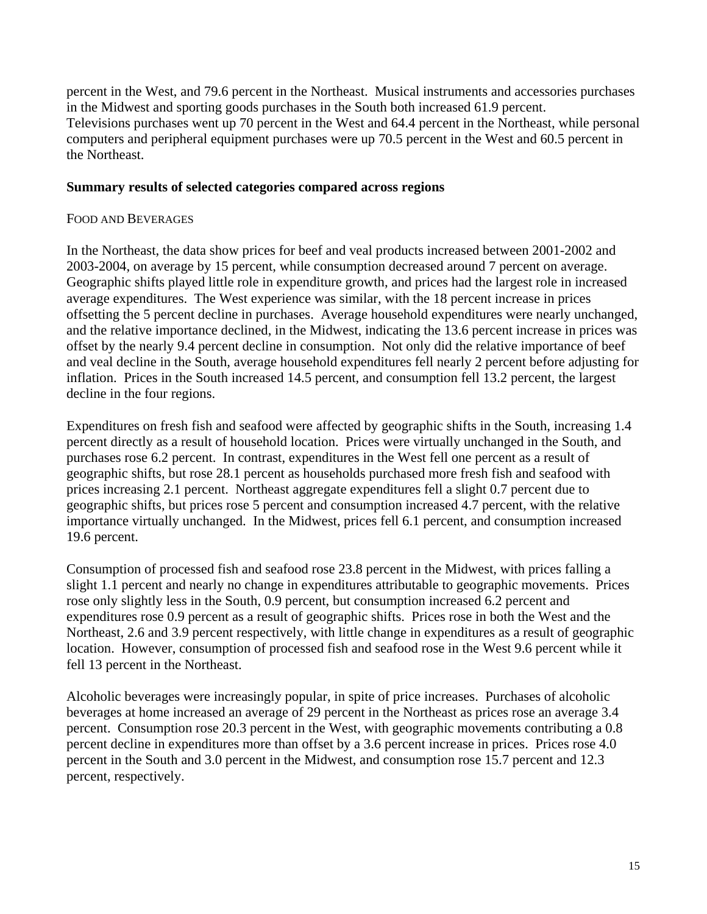percent in the West, and 79.6 percent in the Northeast. Musical instruments and accessories purchases in the Midwest and sporting goods purchases in the South both increased 61.9 percent. Televisions purchases went up 70 percent in the West and 64.4 percent in the Northeast, while personal computers and peripheral equipment purchases were up 70.5 percent in the West and 60.5 percent in the Northeast.

#### **Summary results of selected categories compared across regions**

#### FOOD AND BEVERAGES

In the Northeast, the data show prices for beef and veal products increased between 2001-2002 and 2003-2004, on average by 15 percent, while consumption decreased around 7 percent on average. Geographic shifts played little role in expenditure growth, and prices had the largest role in increased average expenditures. The West experience was similar, with the 18 percent increase in prices offsetting the 5 percent decline in purchases. Average household expenditures were nearly unchanged, and the relative importance declined, in the Midwest, indicating the 13.6 percent increase in prices was offset by the nearly 9.4 percent decline in consumption. Not only did the relative importance of beef and veal decline in the South, average household expenditures fell nearly 2 percent before adjusting for inflation. Prices in the South increased 14.5 percent, and consumption fell 13.2 percent, the largest decline in the four regions.

Expenditures on fresh fish and seafood were affected by geographic shifts in the South, increasing 1.4 percent directly as a result of household location. Prices were virtually unchanged in the South, and purchases rose 6.2 percent. In contrast, expenditures in the West fell one percent as a result of geographic shifts, but rose 28.1 percent as households purchased more fresh fish and seafood with prices increasing 2.1 percent. Northeast aggregate expenditures fell a slight 0.7 percent due to geographic shifts, but prices rose 5 percent and consumption increased 4.7 percent, with the relative importance virtually unchanged. In the Midwest, prices fell 6.1 percent, and consumption increased 19.6 percent.

Consumption of processed fish and seafood rose 23.8 percent in the Midwest, with prices falling a slight 1.1 percent and nearly no change in expenditures attributable to geographic movements. Prices rose only slightly less in the South, 0.9 percent, but consumption increased 6.2 percent and expenditures rose 0.9 percent as a result of geographic shifts. Prices rose in both the West and the Northeast, 2.6 and 3.9 percent respectively, with little change in expenditures as a result of geographic location. However, consumption of processed fish and seafood rose in the West 9.6 percent while it fell 13 percent in the Northeast.

Alcoholic beverages were increasingly popular, in spite of price increases. Purchases of alcoholic beverages at home increased an average of 29 percent in the Northeast as prices rose an average 3.4 percent. Consumption rose 20.3 percent in the West, with geographic movements contributing a 0.8 percent decline in expenditures more than offset by a 3.6 percent increase in prices. Prices rose 4.0 percent in the South and 3.0 percent in the Midwest, and consumption rose 15.7 percent and 12.3 percent, respectively.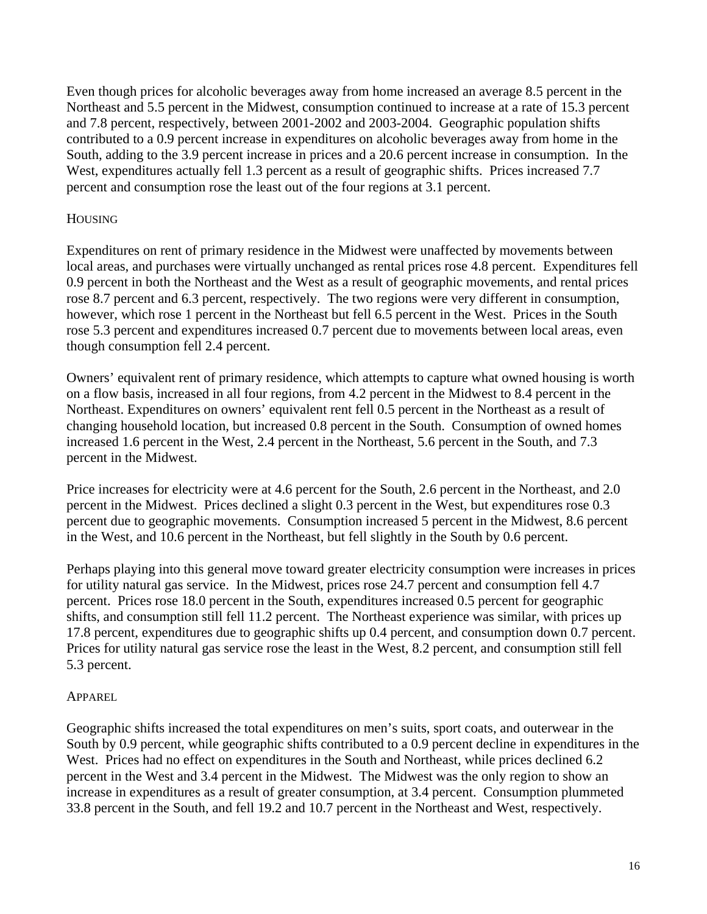Even though prices for alcoholic beverages away from home increased an average 8.5 percent in the Northeast and 5.5 percent in the Midwest, consumption continued to increase at a rate of 15.3 percent and 7.8 percent, respectively, between 2001-2002 and 2003-2004. Geographic population shifts contributed to a 0.9 percent increase in expenditures on alcoholic beverages away from home in the South, adding to the 3.9 percent increase in prices and a 20.6 percent increase in consumption. In the West, expenditures actually fell 1.3 percent as a result of geographic shifts. Prices increased 7.7 percent and consumption rose the least out of the four regions at 3.1 percent.

### **HOUSING**

Expenditures on rent of primary residence in the Midwest were unaffected by movements between local areas, and purchases were virtually unchanged as rental prices rose 4.8 percent. Expenditures fell 0.9 percent in both the Northeast and the West as a result of geographic movements, and rental prices rose 8.7 percent and 6.3 percent, respectively. The two regions were very different in consumption, however, which rose 1 percent in the Northeast but fell 6.5 percent in the West. Prices in the South rose 5.3 percent and expenditures increased 0.7 percent due to movements between local areas, even though consumption fell 2.4 percent.

Owners' equivalent rent of primary residence, which attempts to capture what owned housing is worth on a flow basis, increased in all four regions, from 4.2 percent in the Midwest to 8.4 percent in the Northeast. Expenditures on owners' equivalent rent fell 0.5 percent in the Northeast as a result of changing household location, but increased 0.8 percent in the South. Consumption of owned homes increased 1.6 percent in the West, 2.4 percent in the Northeast, 5.6 percent in the South, and 7.3 percent in the Midwest.

Price increases for electricity were at 4.6 percent for the South, 2.6 percent in the Northeast, and 2.0 percent in the Midwest. Prices declined a slight 0.3 percent in the West, but expenditures rose 0.3 percent due to geographic movements. Consumption increased 5 percent in the Midwest, 8.6 percent in the West, and 10.6 percent in the Northeast, but fell slightly in the South by 0.6 percent.

Perhaps playing into this general move toward greater electricity consumption were increases in prices for utility natural gas service. In the Midwest, prices rose 24.7 percent and consumption fell 4.7 percent. Prices rose 18.0 percent in the South, expenditures increased 0.5 percent for geographic shifts, and consumption still fell 11.2 percent. The Northeast experience was similar, with prices up 17.8 percent, expenditures due to geographic shifts up 0.4 percent, and consumption down 0.7 percent. Prices for utility natural gas service rose the least in the West, 8.2 percent, and consumption still fell 5.3 percent.

#### APPAREL

Geographic shifts increased the total expenditures on men's suits, sport coats, and outerwear in the South by 0.9 percent, while geographic shifts contributed to a 0.9 percent decline in expenditures in the West. Prices had no effect on expenditures in the South and Northeast, while prices declined 6.2 percent in the West and 3.4 percent in the Midwest. The Midwest was the only region to show an increase in expenditures as a result of greater consumption, at 3.4 percent. Consumption plummeted 33.8 percent in the South, and fell 19.2 and 10.7 percent in the Northeast and West, respectively.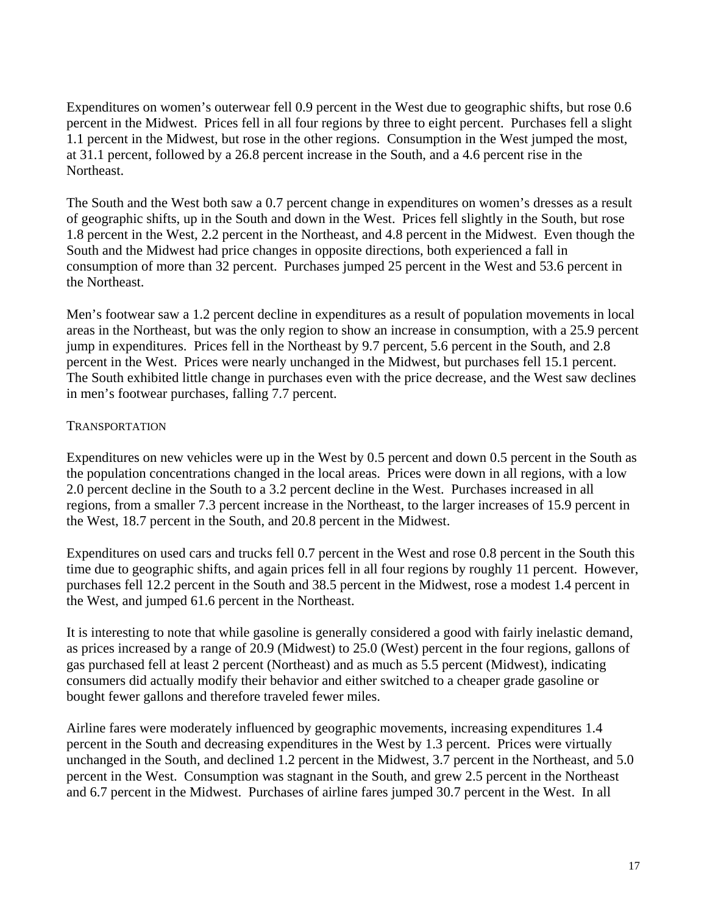Expenditures on women's outerwear fell 0.9 percent in the West due to geographic shifts, but rose 0.6 percent in the Midwest. Prices fell in all four regions by three to eight percent. Purchases fell a slight 1.1 percent in the Midwest, but rose in the other regions. Consumption in the West jumped the most, at 31.1 percent, followed by a 26.8 percent increase in the South, and a 4.6 percent rise in the Northeast.

The South and the West both saw a 0.7 percent change in expenditures on women's dresses as a result of geographic shifts, up in the South and down in the West. Prices fell slightly in the South, but rose 1.8 percent in the West, 2.2 percent in the Northeast, and 4.8 percent in the Midwest. Even though the South and the Midwest had price changes in opposite directions, both experienced a fall in consumption of more than 32 percent. Purchases jumped 25 percent in the West and 53.6 percent in the Northeast.

Men's footwear saw a 1.2 percent decline in expenditures as a result of population movements in local areas in the Northeast, but was the only region to show an increase in consumption, with a 25.9 percent jump in expenditures. Prices fell in the Northeast by 9.7 percent, 5.6 percent in the South, and 2.8 percent in the West. Prices were nearly unchanged in the Midwest, but purchases fell 15.1 percent. The South exhibited little change in purchases even with the price decrease, and the West saw declines in men's footwear purchases, falling 7.7 percent.

### TRANSPORTATION

Expenditures on new vehicles were up in the West by 0.5 percent and down 0.5 percent in the South as the population concentrations changed in the local areas. Prices were down in all regions, with a low 2.0 percent decline in the South to a 3.2 percent decline in the West. Purchases increased in all regions, from a smaller 7.3 percent increase in the Northeast, to the larger increases of 15.9 percent in the West, 18.7 percent in the South, and 20.8 percent in the Midwest.

Expenditures on used cars and trucks fell 0.7 percent in the West and rose 0.8 percent in the South this time due to geographic shifts, and again prices fell in all four regions by roughly 11 percent. However, purchases fell 12.2 percent in the South and 38.5 percent in the Midwest, rose a modest 1.4 percent in the West, and jumped 61.6 percent in the Northeast.

It is interesting to note that while gasoline is generally considered a good with fairly inelastic demand, as prices increased by a range of 20.9 (Midwest) to 25.0 (West) percent in the four regions, gallons of gas purchased fell at least 2 percent (Northeast) and as much as 5.5 percent (Midwest), indicating consumers did actually modify their behavior and either switched to a cheaper grade gasoline or bought fewer gallons and therefore traveled fewer miles.

Airline fares were moderately influenced by geographic movements, increasing expenditures 1.4 percent in the South and decreasing expenditures in the West by 1.3 percent. Prices were virtually unchanged in the South, and declined 1.2 percent in the Midwest, 3.7 percent in the Northeast, and 5.0 percent in the West. Consumption was stagnant in the South, and grew 2.5 percent in the Northeast and 6.7 percent in the Midwest. Purchases of airline fares jumped 30.7 percent in the West. In all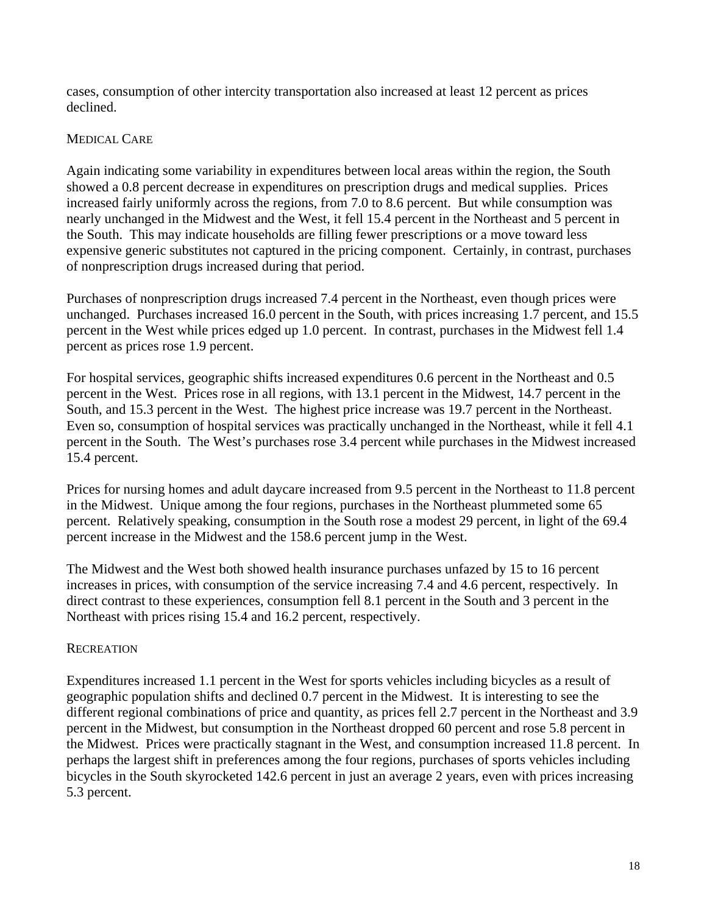cases, consumption of other intercity transportation also increased at least 12 percent as prices declined.

## MEDICAL CARE

Again indicating some variability in expenditures between local areas within the region, the South showed a 0.8 percent decrease in expenditures on prescription drugs and medical supplies. Prices increased fairly uniformly across the regions, from 7.0 to 8.6 percent. But while consumption was nearly unchanged in the Midwest and the West, it fell 15.4 percent in the Northeast and 5 percent in the South. This may indicate households are filling fewer prescriptions or a move toward less expensive generic substitutes not captured in the pricing component. Certainly, in contrast, purchases of nonprescription drugs increased during that period.

Purchases of nonprescription drugs increased 7.4 percent in the Northeast, even though prices were unchanged. Purchases increased 16.0 percent in the South, with prices increasing 1.7 percent, and 15.5 percent in the West while prices edged up 1.0 percent. In contrast, purchases in the Midwest fell 1.4 percent as prices rose 1.9 percent.

For hospital services, geographic shifts increased expenditures 0.6 percent in the Northeast and 0.5 percent in the West. Prices rose in all regions, with 13.1 percent in the Midwest, 14.7 percent in the South, and 15.3 percent in the West. The highest price increase was 19.7 percent in the Northeast. Even so, consumption of hospital services was practically unchanged in the Northeast, while it fell 4.1 percent in the South. The West's purchases rose 3.4 percent while purchases in the Midwest increased 15.4 percent.

Prices for nursing homes and adult daycare increased from 9.5 percent in the Northeast to 11.8 percent in the Midwest. Unique among the four regions, purchases in the Northeast plummeted some 65 percent. Relatively speaking, consumption in the South rose a modest 29 percent, in light of the 69.4 percent increase in the Midwest and the 158.6 percent jump in the West.

The Midwest and the West both showed health insurance purchases unfazed by 15 to 16 percent increases in prices, with consumption of the service increasing 7.4 and 4.6 percent, respectively. In direct contrast to these experiences, consumption fell 8.1 percent in the South and 3 percent in the Northeast with prices rising 15.4 and 16.2 percent, respectively.

## **RECREATION**

Expenditures increased 1.1 percent in the West for sports vehicles including bicycles as a result of geographic population shifts and declined 0.7 percent in the Midwest. It is interesting to see the different regional combinations of price and quantity, as prices fell 2.7 percent in the Northeast and 3.9 percent in the Midwest, but consumption in the Northeast dropped 60 percent and rose 5.8 percent in the Midwest. Prices were practically stagnant in the West, and consumption increased 11.8 percent. In perhaps the largest shift in preferences among the four regions, purchases of sports vehicles including bicycles in the South skyrocketed 142.6 percent in just an average 2 years, even with prices increasing 5.3 percent.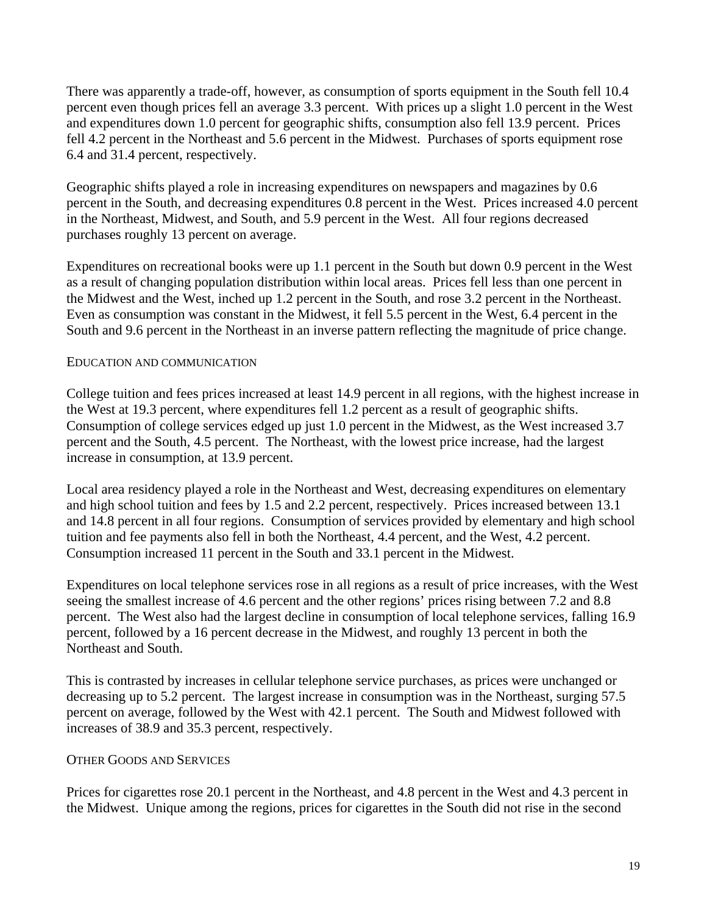There was apparently a trade-off, however, as consumption of sports equipment in the South fell 10.4 percent even though prices fell an average 3.3 percent. With prices up a slight 1.0 percent in the West and expenditures down 1.0 percent for geographic shifts, consumption also fell 13.9 percent. Prices fell 4.2 percent in the Northeast and 5.6 percent in the Midwest. Purchases of sports equipment rose 6.4 and 31.4 percent, respectively.

Geographic shifts played a role in increasing expenditures on newspapers and magazines by 0.6 percent in the South, and decreasing expenditures 0.8 percent in the West. Prices increased 4.0 percent in the Northeast, Midwest, and South, and 5.9 percent in the West. All four regions decreased purchases roughly 13 percent on average.

Expenditures on recreational books were up 1.1 percent in the South but down 0.9 percent in the West as a result of changing population distribution within local areas. Prices fell less than one percent in the Midwest and the West, inched up 1.2 percent in the South, and rose 3.2 percent in the Northeast. Even as consumption was constant in the Midwest, it fell 5.5 percent in the West, 6.4 percent in the South and 9.6 percent in the Northeast in an inverse pattern reflecting the magnitude of price change.

### EDUCATION AND COMMUNICATION

College tuition and fees prices increased at least 14.9 percent in all regions, with the highest increase in the West at 19.3 percent, where expenditures fell 1.2 percent as a result of geographic shifts. Consumption of college services edged up just 1.0 percent in the Midwest, as the West increased 3.7 percent and the South, 4.5 percent. The Northeast, with the lowest price increase, had the largest increase in consumption, at 13.9 percent.

Local area residency played a role in the Northeast and West, decreasing expenditures on elementary and high school tuition and fees by 1.5 and 2.2 percent, respectively. Prices increased between 13.1 and 14.8 percent in all four regions. Consumption of services provided by elementary and high school tuition and fee payments also fell in both the Northeast, 4.4 percent, and the West, 4.2 percent. Consumption increased 11 percent in the South and 33.1 percent in the Midwest.

Expenditures on local telephone services rose in all regions as a result of price increases, with the West seeing the smallest increase of 4.6 percent and the other regions' prices rising between 7.2 and 8.8 percent. The West also had the largest decline in consumption of local telephone services, falling 16.9 percent, followed by a 16 percent decrease in the Midwest, and roughly 13 percent in both the Northeast and South.

This is contrasted by increases in cellular telephone service purchases, as prices were unchanged or decreasing up to 5.2 percent. The largest increase in consumption was in the Northeast, surging 57.5 percent on average, followed by the West with 42.1 percent. The South and Midwest followed with increases of 38.9 and 35.3 percent, respectively.

## OTHER GOODS AND SERVICES

Prices for cigarettes rose 20.1 percent in the Northeast, and 4.8 percent in the West and 4.3 percent in the Midwest. Unique among the regions, prices for cigarettes in the South did not rise in the second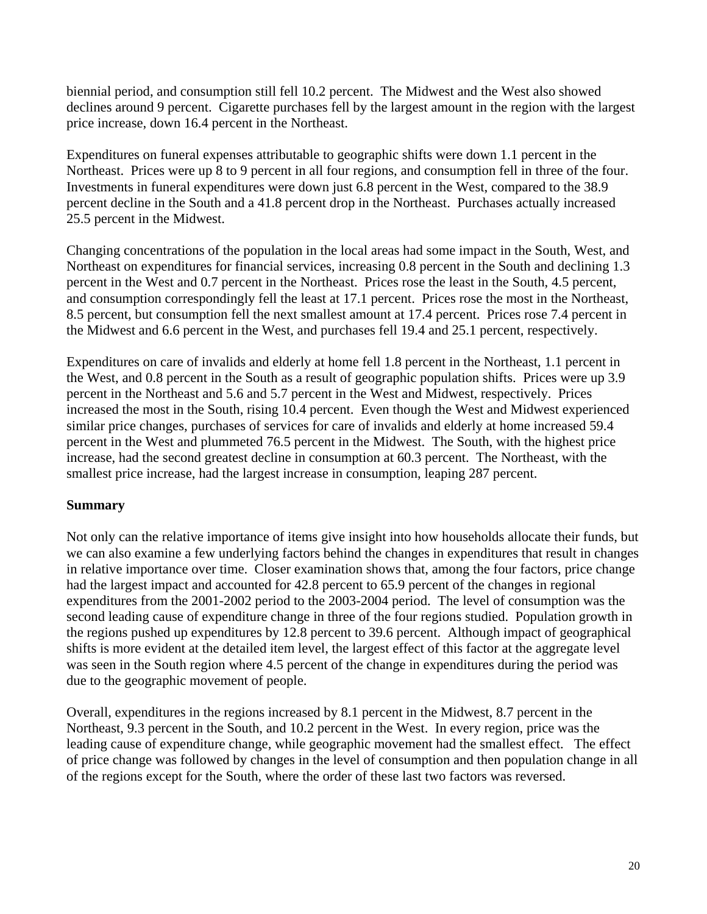biennial period, and consumption still fell 10.2 percent. The Midwest and the West also showed declines around 9 percent. Cigarette purchases fell by the largest amount in the region with the largest price increase, down 16.4 percent in the Northeast.

Expenditures on funeral expenses attributable to geographic shifts were down 1.1 percent in the Northeast. Prices were up 8 to 9 percent in all four regions, and consumption fell in three of the four. Investments in funeral expenditures were down just 6.8 percent in the West, compared to the 38.9 percent decline in the South and a 41.8 percent drop in the Northeast. Purchases actually increased 25.5 percent in the Midwest.

Changing concentrations of the population in the local areas had some impact in the South, West, and Northeast on expenditures for financial services, increasing 0.8 percent in the South and declining 1.3 percent in the West and 0.7 percent in the Northeast. Prices rose the least in the South, 4.5 percent, and consumption correspondingly fell the least at 17.1 percent. Prices rose the most in the Northeast, 8.5 percent, but consumption fell the next smallest amount at 17.4 percent. Prices rose 7.4 percent in the Midwest and 6.6 percent in the West, and purchases fell 19.4 and 25.1 percent, respectively.

Expenditures on care of invalids and elderly at home fell 1.8 percent in the Northeast, 1.1 percent in the West, and 0.8 percent in the South as a result of geographic population shifts. Prices were up 3.9 percent in the Northeast and 5.6 and 5.7 percent in the West and Midwest, respectively. Prices increased the most in the South, rising 10.4 percent. Even though the West and Midwest experienced similar price changes, purchases of services for care of invalids and elderly at home increased 59.4 percent in the West and plummeted 76.5 percent in the Midwest. The South, with the highest price increase, had the second greatest decline in consumption at 60.3 percent. The Northeast, with the smallest price increase, had the largest increase in consumption, leaping 287 percent.

## **Summary**

Not only can the relative importance of items give insight into how households allocate their funds, but we can also examine a few underlying factors behind the changes in expenditures that result in changes in relative importance over time. Closer examination shows that, among the four factors, price change had the largest impact and accounted for 42.8 percent to 65.9 percent of the changes in regional expenditures from the 2001-2002 period to the 2003-2004 period. The level of consumption was the second leading cause of expenditure change in three of the four regions studied. Population growth in the regions pushed up expenditures by 12.8 percent to 39.6 percent. Although impact of geographical shifts is more evident at the detailed item level, the largest effect of this factor at the aggregate level was seen in the South region where 4.5 percent of the change in expenditures during the period was due to the geographic movement of people.

Overall, expenditures in the regions increased by 8.1 percent in the Midwest, 8.7 percent in the Northeast, 9.3 percent in the South, and 10.2 percent in the West. In every region, price was the leading cause of expenditure change, while geographic movement had the smallest effect. The effect of price change was followed by changes in the level of consumption and then population change in all of the regions except for the South, where the order of these last two factors was reversed.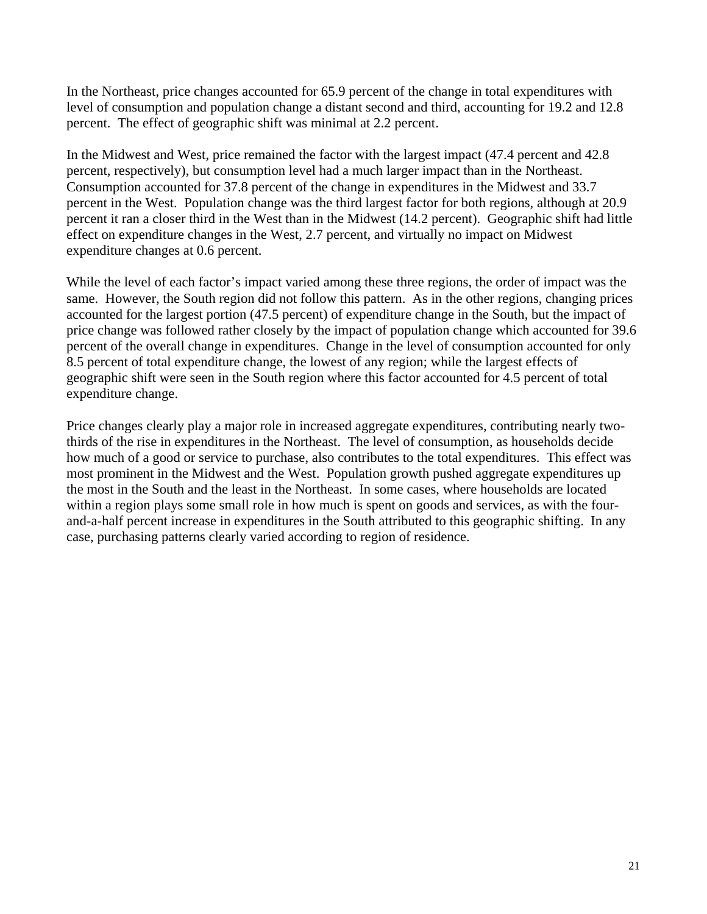In the Northeast, price changes accounted for 65.9 percent of the change in total expenditures with level of consumption and population change a distant second and third, accounting for 19.2 and 12.8 percent. The effect of geographic shift was minimal at 2.2 percent.

In the Midwest and West, price remained the factor with the largest impact (47.4 percent and 42.8 percent, respectively), but consumption level had a much larger impact than in the Northeast. Consumption accounted for 37.8 percent of the change in expenditures in the Midwest and 33.7 percent in the West. Population change was the third largest factor for both regions, although at 20.9 percent it ran a closer third in the West than in the Midwest (14.2 percent). Geographic shift had little effect on expenditure changes in the West, 2.7 percent, and virtually no impact on Midwest expenditure changes at 0.6 percent.

While the level of each factor's impact varied among these three regions, the order of impact was the same. However, the South region did not follow this pattern. As in the other regions, changing prices accounted for the largest portion (47.5 percent) of expenditure change in the South, but the impact of price change was followed rather closely by the impact of population change which accounted for 39.6 percent of the overall change in expenditures. Change in the level of consumption accounted for only 8.5 percent of total expenditure change, the lowest of any region; while the largest effects of geographic shift were seen in the South region where this factor accounted for 4.5 percent of total expenditure change.

Price changes clearly play a major role in increased aggregate expenditures, contributing nearly twothirds of the rise in expenditures in the Northeast. The level of consumption, as households decide how much of a good or service to purchase, also contributes to the total expenditures. This effect was most prominent in the Midwest and the West. Population growth pushed aggregate expenditures up the most in the South and the least in the Northeast. In some cases, where households are located within a region plays some small role in how much is spent on goods and services, as with the fourand-a-half percent increase in expenditures in the South attributed to this geographic shifting. In any case, purchasing patterns clearly varied according to region of residence.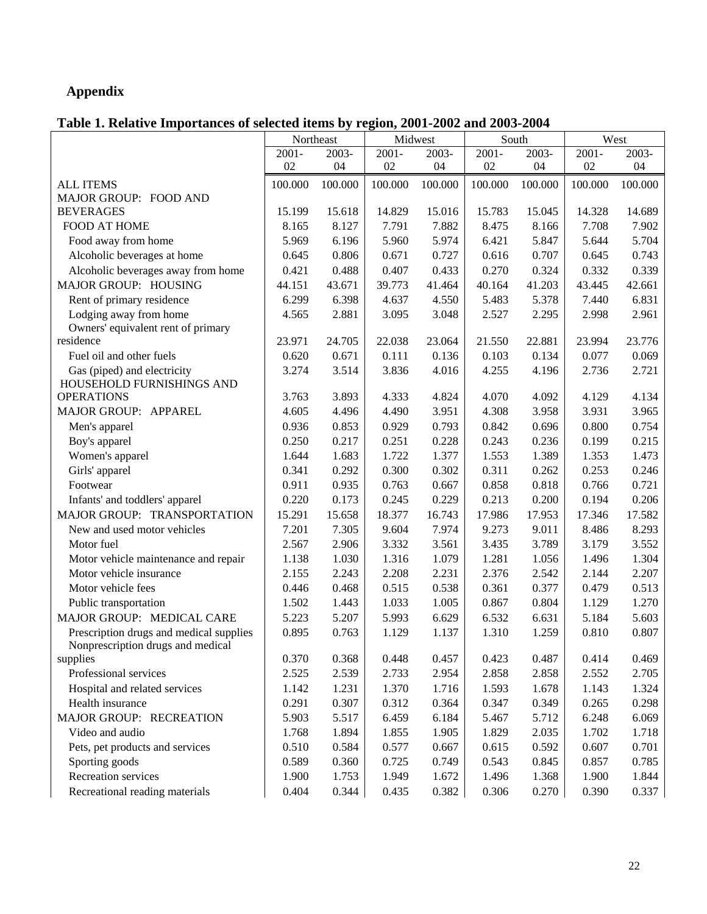# **Appendix**

# **Table 1. Relative Importances of selected items by region, 2001-2002 and 2003-2004**

|                                         | Northeast<br>Midwest |          | South    |         | West     |         |          |         |
|-----------------------------------------|----------------------|----------|----------|---------|----------|---------|----------|---------|
|                                         | $2001 -$             | $2003 -$ | $2001 -$ | 2003-   | $2001 -$ | 2003-   | $2001 -$ | 2003-   |
|                                         | 02                   | 04       | 02       | 04      | 02       | 04      | 02       | 04      |
| <b>ALL ITEMS</b>                        | 100.000              | 100.000  | 100.000  | 100.000 | 100.000  | 100.000 | 100.000  | 100.000 |
| MAJOR GROUP: FOOD AND                   |                      |          |          |         |          |         |          |         |
| <b>BEVERAGES</b>                        | 15.199               | 15.618   | 14.829   | 15.016  | 15.783   | 15.045  | 14.328   | 14.689  |
| <b>FOOD AT HOME</b>                     | 8.165                | 8.127    | 7.791    | 7.882   | 8.475    | 8.166   | 7.708    | 7.902   |
| Food away from home                     | 5.969                | 6.196    | 5.960    | 5.974   | 6.421    | 5.847   | 5.644    | 5.704   |
| Alcoholic beverages at home             | 0.645                | 0.806    | 0.671    | 0.727   | 0.616    | 0.707   | 0.645    | 0.743   |
| Alcoholic beverages away from home      | 0.421                | 0.488    | 0.407    | 0.433   | 0.270    | 0.324   | 0.332    | 0.339   |
| MAJOR GROUP: HOUSING                    | 44.151               | 43.671   | 39.773   | 41.464  | 40.164   | 41.203  | 43.445   | 42.661  |
| Rent of primary residence               | 6.299                | 6.398    | 4.637    | 4.550   | 5.483    | 5.378   | 7.440    | 6.831   |
| Lodging away from home                  | 4.565                | 2.881    | 3.095    | 3.048   | 2.527    | 2.295   | 2.998    | 2.961   |
| Owners' equivalent rent of primary      |                      |          |          |         |          |         |          |         |
| residence                               | 23.971               | 24.705   | 22.038   | 23.064  | 21.550   | 22.881  | 23.994   | 23.776  |
| Fuel oil and other fuels                | 0.620                | 0.671    | 0.111    | 0.136   | 0.103    | 0.134   | 0.077    | 0.069   |
| Gas (piped) and electricity             | 3.274                | 3.514    | 3.836    | 4.016   | 4.255    | 4.196   | 2.736    | 2.721   |
| HOUSEHOLD FURNISHINGS AND               |                      |          |          |         |          |         |          |         |
| <b>OPERATIONS</b>                       | 3.763                | 3.893    | 4.333    | 4.824   | 4.070    | 4.092   | 4.129    | 4.134   |
| MAJOR GROUP: APPAREL                    | 4.605                | 4.496    | 4.490    | 3.951   | 4.308    | 3.958   | 3.931    | 3.965   |
| Men's apparel                           | 0.936                | 0.853    | 0.929    | 0.793   | 0.842    | 0.696   | 0.800    | 0.754   |
| Boy's apparel                           | 0.250                | 0.217    | 0.251    | 0.228   | 0.243    | 0.236   | 0.199    | 0.215   |
| Women's apparel                         | 1.644                | 1.683    | 1.722    | 1.377   | 1.553    | 1.389   | 1.353    | 1.473   |
| Girls' apparel                          | 0.341                | 0.292    | 0.300    | 0.302   | 0.311    | 0.262   | 0.253    | 0.246   |
| Footwear                                | 0.911                | 0.935    | 0.763    | 0.667   | 0.858    | 0.818   | 0.766    | 0.721   |
| Infants' and toddlers' apparel          | 0.220                | 0.173    | 0.245    | 0.229   | 0.213    | 0.200   | 0.194    | 0.206   |
| MAJOR GROUP: TRANSPORTATION             | 15.291               | 15.658   | 18.377   | 16.743  | 17.986   | 17.953  | 17.346   | 17.582  |
| New and used motor vehicles             | 7.201                | 7.305    | 9.604    | 7.974   | 9.273    | 9.011   | 8.486    | 8.293   |
| Motor fuel                              | 2.567                | 2.906    | 3.332    | 3.561   | 3.435    | 3.789   | 3.179    | 3.552   |
| Motor vehicle maintenance and repair    | 1.138                | 1.030    | 1.316    | 1.079   | 1.281    | 1.056   | 1.496    | 1.304   |
| Motor vehicle insurance                 | 2.155                | 2.243    | 2.208    | 2.231   | 2.376    | 2.542   | 2.144    | 2.207   |
| Motor vehicle fees                      | 0.446                | 0.468    | 0.515    | 0.538   | 0.361    | 0.377   | 0.479    | 0.513   |
| Public transportation                   | 1.502                | 1.443    | 1.033    | 1.005   | 0.867    | 0.804   | 1.129    | 1.270   |
| MAJOR GROUP: MEDICAL CARE               | 5.223                | 5.207    | 5.993    | 6.629   | 6.532    | 6.631   | 5.184    | 5.603   |
| Prescription drugs and medical supplies | 0.895                | 0.763    | 1.129    | 1.137   | 1.310    | 1.259   | 0.810    | 0.807   |
| Nonprescription drugs and medical       |                      |          |          |         |          |         |          |         |
| supplies                                | 0.370                | 0.368    | 0.448    | 0.457   | 0.423    | 0.487   | 0.414    | 0.469   |
| Professional services                   | 2.525                | 2.539    | 2.733    | 2.954   | 2.858    | 2.858   | 2.552    | 2.705   |
| Hospital and related services           | 1.142                | 1.231    | 1.370    | 1.716   | 1.593    | 1.678   | 1.143    | 1.324   |
| Health insurance                        | 0.291                | 0.307    | 0.312    | 0.364   | 0.347    | 0.349   | 0.265    | 0.298   |
| MAJOR GROUP: RECREATION                 | 5.903                | 5.517    | 6.459    | 6.184   | 5.467    | 5.712   | 6.248    | 6.069   |
| Video and audio                         | 1.768                | 1.894    | 1.855    | 1.905   | 1.829    | 2.035   | 1.702    | 1.718   |
| Pets, pet products and services         | 0.510                | 0.584    | 0.577    | 0.667   | 0.615    | 0.592   | 0.607    | 0.701   |
| Sporting goods                          | 0.589                | 0.360    | 0.725    | 0.749   | 0.543    | 0.845   | 0.857    | 0.785   |
| Recreation services                     | 1.900                | 1.753    | 1.949    | 1.672   | 1.496    | 1.368   | 1.900    | 1.844   |
| Recreational reading materials          | 0.404                | 0.344    | 0.435    | 0.382   | 0.306    | 0.270   | 0.390    | 0.337   |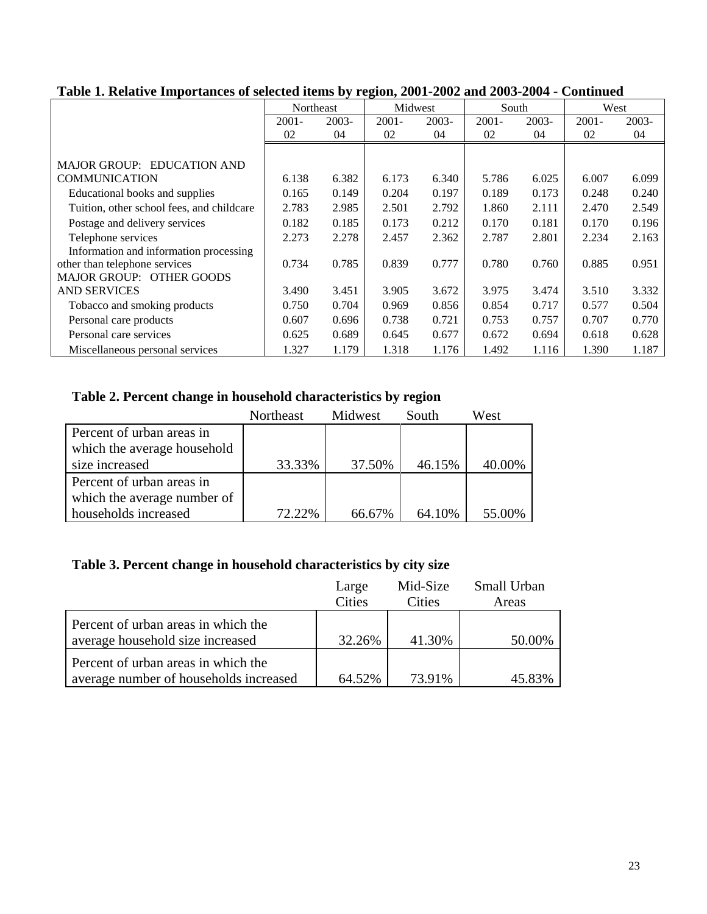|                                           | Northeast |       | Midwest  |       | South    |       | West     |       |
|-------------------------------------------|-----------|-------|----------|-------|----------|-------|----------|-------|
|                                           | $2001 -$  | 2003- | $2001 -$ | 2003- | $2001 -$ | 2003- | $2001 -$ | 2003- |
|                                           | 02        | 04    | 02       | 04    | 02       | 04    | 02       | 04    |
|                                           |           |       |          |       |          |       |          |       |
| MAJOR GROUP: EDUCATION AND                |           |       |          |       |          |       |          |       |
| <b>COMMUNICATION</b>                      | 6.138     | 6.382 | 6.173    | 6.340 | 5.786    | 6.025 | 6.007    | 6.099 |
| Educational books and supplies            | 0.165     | 0.149 | 0.204    | 0.197 | 0.189    | 0.173 | 0.248    | 0.240 |
| Tuition, other school fees, and childcare | 2.783     | 2.985 | 2.501    | 2.792 | 1.860    | 2.111 | 2.470    | 2.549 |
| Postage and delivery services             | 0.182     | 0.185 | 0.173    | 0.212 | 0.170    | 0.181 | 0.170    | 0.196 |
| Telephone services                        | 2.273     | 2.278 | 2.457    | 2.362 | 2.787    | 2.801 | 2.234    | 2.163 |
| Information and information processing    |           |       |          |       |          |       |          |       |
| other than telephone services             | 0.734     | 0.785 | 0.839    | 0.777 | 0.780    | 0.760 | 0.885    | 0.951 |
| <b>MAJOR GROUP: OTHER GOODS</b>           |           |       |          |       |          |       |          |       |
| <b>AND SERVICES</b>                       | 3.490     | 3.451 | 3.905    | 3.672 | 3.975    | 3.474 | 3.510    | 3.332 |
| Tobacco and smoking products              | 0.750     | 0.704 | 0.969    | 0.856 | 0.854    | 0.717 | 0.577    | 0.504 |
| Personal care products                    | 0.607     | 0.696 | 0.738    | 0.721 | 0.753    | 0.757 | 0.707    | 0.770 |
| Personal care services                    | 0.625     | 0.689 | 0.645    | 0.677 | 0.672    | 0.694 | 0.618    | 0.628 |
| Miscellaneous personal services           | 1.327     | 1.179 | 1.318    | 1.176 | 1.492    | 1.116 | 1.390    | 1.187 |

## **Table 1. Relative Importances of selected items by region, 2001-2002 and 2003-2004 - Continued**

# **Table 2. Percent change in household characteristics by region**

|                             | Northeast | Midwest | South  | West   |
|-----------------------------|-----------|---------|--------|--------|
| Percent of urban areas in   |           |         |        |        |
| which the average household |           |         |        |        |
| size increased              | 33.33%    | 37.50%  | 46.15% | 40.00% |
| Percent of urban areas in   |           |         |        |        |
| which the average number of |           |         |        |        |
| households increased        | 72.22%    | 66.67%  | 64.10% | 55.00% |

# **Table 3. Percent change in household characteristics by city size**

|                                                                               | Large<br>Cities | Mid-Size<br><b>Cities</b> | Small Urban<br>Areas |
|-------------------------------------------------------------------------------|-----------------|---------------------------|----------------------|
| Percent of urban areas in which the<br>average household size increased       | 32.26%          | 41.30%                    | 50.00%               |
| Percent of urban areas in which the<br>average number of households increased | 64.52%          | 73.91%                    | 45.83%               |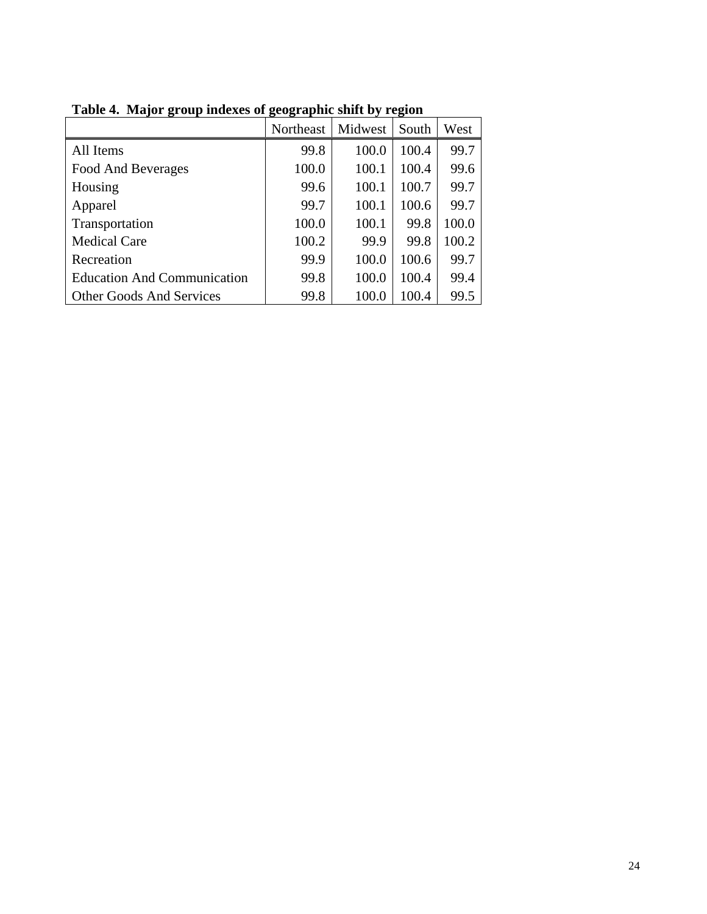|                                    | Northeast | Midwest | South | West  |
|------------------------------------|-----------|---------|-------|-------|
| All Items                          | 99.8      | 100.0   | 100.4 | 99.7  |
| Food And Beverages                 | 100.0     | 100.1   | 100.4 | 99.6  |
| Housing                            | 99.6      | 100.1   | 100.7 | 99.7  |
| Apparel                            | 99.7      | 100.1   | 100.6 | 99.7  |
| Transportation                     | 100.0     | 100.1   | 99.8  | 100.0 |
| <b>Medical Care</b>                | 100.2     | 99.9    | 99.8  | 100.2 |
| Recreation                         | 99.9      | 100.0   | 100.6 | 99.7  |
| <b>Education And Communication</b> | 99.8      | 100.0   | 100.4 | 99.4  |
| <b>Other Goods And Services</b>    | 99.8      | 100.0   | 100.4 | 99.5  |

**Table 4. Major group indexes of geographic shift by region**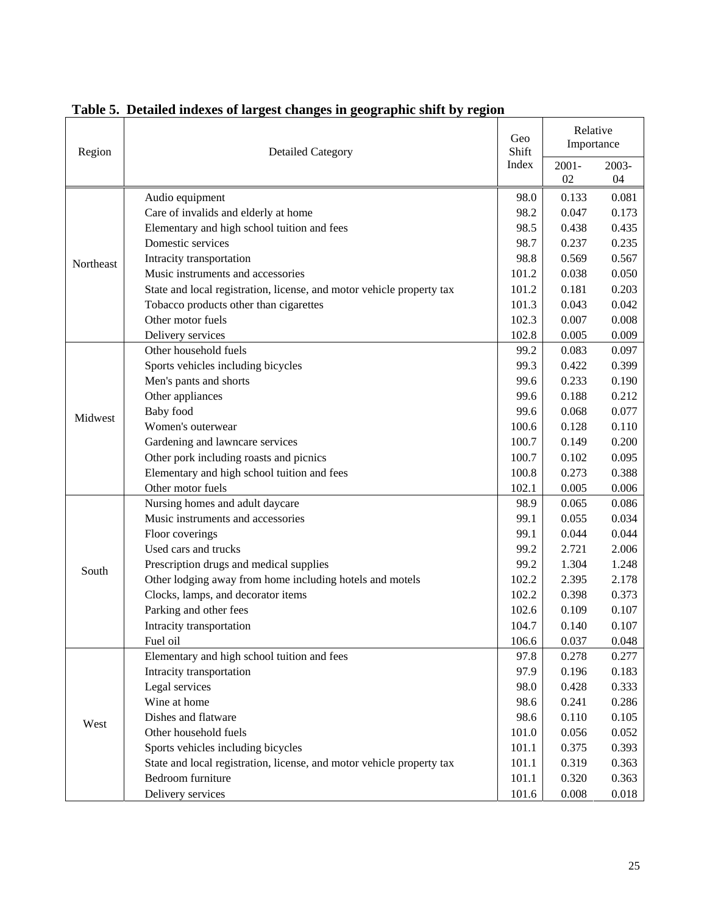| Region    | <b>Detailed Category</b>                                              |       | Relative<br>Importance |             |
|-----------|-----------------------------------------------------------------------|-------|------------------------|-------------|
|           |                                                                       | Index | $2001 -$<br>02         | 2003-<br>04 |
|           | Audio equipment                                                       | 98.0  | 0.133                  | 0.081       |
|           | Care of invalids and elderly at home                                  | 98.2  | 0.047                  | 0.173       |
|           | Elementary and high school tuition and fees                           | 98.5  | 0.438                  | 0.435       |
|           | Domestic services                                                     | 98.7  | 0.237                  | 0.235       |
| Northeast | Intracity transportation                                              | 98.8  | 0.569                  | 0.567       |
|           | Music instruments and accessories                                     | 101.2 | 0.038                  | 0.050       |
|           | State and local registration, license, and motor vehicle property tax | 101.2 | 0.181                  | 0.203       |
|           | Tobacco products other than cigarettes                                | 101.3 | 0.043                  | 0.042       |
|           | Other motor fuels                                                     | 102.3 | 0.007                  | 0.008       |
|           | Delivery services                                                     | 102.8 | 0.005                  | 0.009       |
|           | Other household fuels                                                 | 99.2  | 0.083                  | 0.097       |
|           | Sports vehicles including bicycles                                    | 99.3  | 0.422                  | 0.399       |
|           | Men's pants and shorts                                                | 99.6  | 0.233                  | 0.190       |
|           | Other appliances                                                      | 99.6  | 0.188                  | 0.212       |
| Midwest   | <b>Baby</b> food                                                      | 99.6  | 0.068                  | 0.077       |
|           | Women's outerwear                                                     | 100.6 | 0.128                  | 0.110       |
|           | Gardening and lawncare services                                       | 100.7 | 0.149                  | 0.200       |
|           | Other pork including roasts and picnics                               | 100.7 | 0.102                  | 0.095       |
|           | Elementary and high school tuition and fees                           | 100.8 | 0.273                  | 0.388       |
|           | Other motor fuels                                                     | 102.1 | 0.005                  | 0.006       |
|           | Nursing homes and adult daycare                                       | 98.9  | 0.065                  | 0.086       |
|           | Music instruments and accessories                                     | 99.1  | 0.055                  | 0.034       |
|           | Floor coverings                                                       | 99.1  | 0.044                  | 0.044       |
|           | Used cars and trucks                                                  | 99.2  | 2.721                  | 2.006       |
| South     | Prescription drugs and medical supplies                               | 99.2  | 1.304                  | 1.248       |
|           | Other lodging away from home including hotels and motels              | 102.2 | 2.395                  | 2.178       |
|           | Clocks, lamps, and decorator items                                    | 102.2 | 0.398                  | 0.373       |
|           | Parking and other fees                                                | 102.6 | 0.109                  | 0.107       |
|           | Intracity transportation                                              | 104.7 | 0.140                  | 0.107       |
|           | Fuel oil                                                              | 106.6 | 0.037                  | 0.048       |
|           | Elementary and high school tuition and fees                           | 97.8  | 0.278                  | 0.277       |
|           | Intracity transportation                                              | 97.9  | 0.196                  | 0.183       |
|           | Legal services                                                        | 98.0  | 0.428                  | 0.333       |
|           | Wine at home                                                          | 98.6  | 0.241                  | 0.286       |
| West      | Dishes and flatware                                                   | 98.6  | 0.110                  | 0.105       |
|           | Other household fuels                                                 | 101.0 | 0.056                  | 0.052       |
|           | Sports vehicles including bicycles                                    | 101.1 | 0.375                  | 0.393       |
|           | State and local registration, license, and motor vehicle property tax | 101.1 | 0.319                  | 0.363       |
|           | Bedroom furniture                                                     | 101.1 | 0.320                  | 0.363       |
|           | Delivery services                                                     | 101.6 | 0.008                  | 0.018       |

# **Table 5. Detailed indexes of largest changes in geographic shift by region**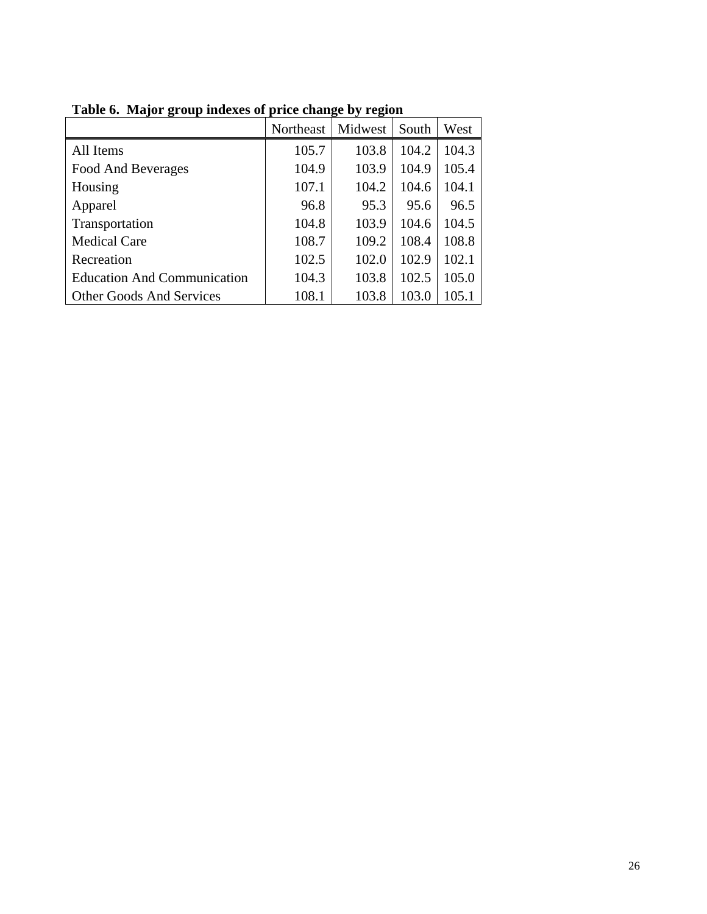|                                    | Northeast | Midwest | South | West  |
|------------------------------------|-----------|---------|-------|-------|
| All Items                          | 105.7     | 103.8   | 104.2 | 104.3 |
| Food And Beverages                 | 104.9     | 103.9   | 104.9 | 105.4 |
| Housing                            | 107.1     | 104.2   | 104.6 | 104.1 |
| Apparel                            | 96.8      | 95.3    | 95.6  | 96.5  |
| Transportation                     | 104.8     | 103.9   | 104.6 | 104.5 |
| <b>Medical Care</b>                | 108.7     | 109.2   | 108.4 | 108.8 |
| Recreation                         | 102.5     | 102.0   | 102.9 | 102.1 |
| <b>Education And Communication</b> | 104.3     | 103.8   | 102.5 | 105.0 |
| <b>Other Goods And Services</b>    | 108.1     | 103.8   | 103.0 | 105.1 |

**Table 6. Major group indexes of price change by region**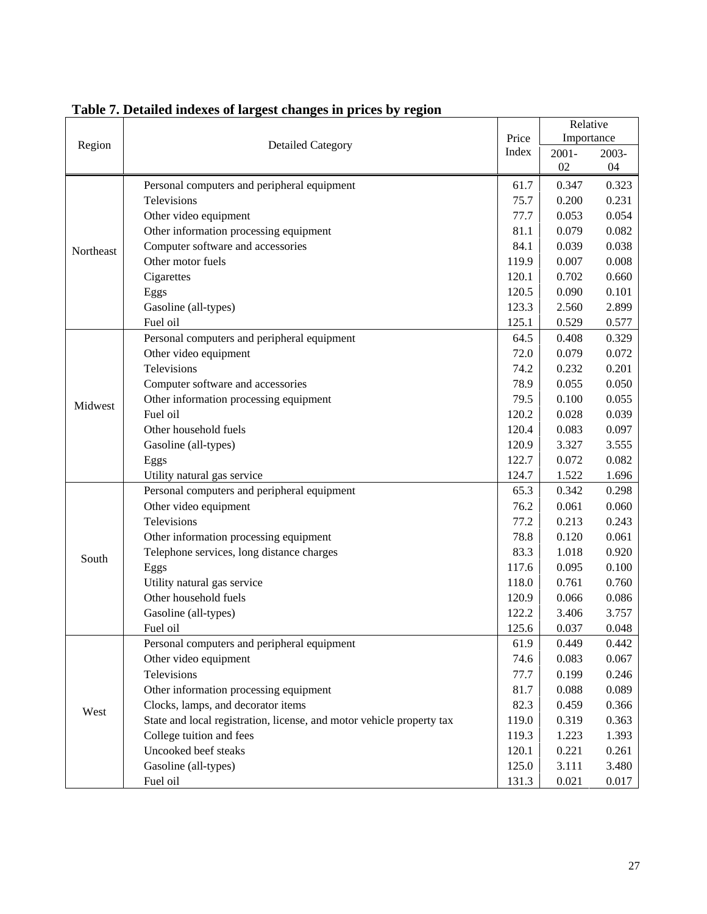|           | <b>Detailed Category</b>                                              |       | Relative   |       |  |
|-----------|-----------------------------------------------------------------------|-------|------------|-------|--|
| Region    |                                                                       |       | Importance |       |  |
|           |                                                                       |       | $2001 -$   | 2003- |  |
|           |                                                                       |       | 02         | 04    |  |
|           | Personal computers and peripheral equipment                           | 61.7  | 0.347      | 0.323 |  |
|           | Televisions                                                           | 75.7  | 0.200      | 0.231 |  |
|           | Other video equipment                                                 | 77.7  | 0.053      | 0.054 |  |
|           | Other information processing equipment                                | 81.1  | 0.079      | 0.082 |  |
| Northeast | Computer software and accessories                                     | 84.1  | 0.039      | 0.038 |  |
|           | Other motor fuels                                                     | 119.9 | 0.007      | 0.008 |  |
|           | Cigarettes                                                            | 120.1 | 0.702      | 0.660 |  |
|           | Eggs                                                                  | 120.5 | 0.090      | 0.101 |  |
|           | Gasoline (all-types)                                                  | 123.3 | 2.560      | 2.899 |  |
|           | Fuel oil                                                              | 125.1 | 0.529      | 0.577 |  |
|           | Personal computers and peripheral equipment                           | 64.5  | 0.408      | 0.329 |  |
|           | Other video equipment                                                 | 72.0  | 0.079      | 0.072 |  |
|           | Televisions                                                           | 74.2  | 0.232      | 0.201 |  |
|           | Computer software and accessories                                     | 78.9  | 0.055      | 0.050 |  |
| Midwest   | Other information processing equipment                                | 79.5  | 0.100      | 0.055 |  |
|           | Fuel oil                                                              | 120.2 | 0.028      | 0.039 |  |
|           | Other household fuels                                                 | 120.4 | 0.083      | 0.097 |  |
|           | Gasoline (all-types)                                                  | 120.9 | 3.327      | 3.555 |  |
|           | Eggs                                                                  | 122.7 | 0.072      | 0.082 |  |
|           | Utility natural gas service                                           | 124.7 | 1.522      | 1.696 |  |
|           | Personal computers and peripheral equipment                           | 65.3  | 0.342      | 0.298 |  |
|           | Other video equipment                                                 | 76.2  | 0.061      | 0.060 |  |
|           | Televisions                                                           | 77.2  | 0.213      | 0.243 |  |
|           | Other information processing equipment                                | 78.8  | 0.120      | 0.061 |  |
| South     | Telephone services, long distance charges                             | 83.3  | 1.018      | 0.920 |  |
|           | Eggs                                                                  | 117.6 | 0.095      | 0.100 |  |
|           | Utility natural gas service                                           | 118.0 | 0.761      | 0.760 |  |
|           | Other household fuels                                                 | 120.9 | 0.066      | 0.086 |  |
|           | Gasoline (all-types)                                                  | 122.2 | 3.406      | 3.757 |  |
|           | Fuel oil                                                              | 125.6 | 0.037      | 0.048 |  |
|           | Personal computers and peripheral equipment                           | 61.9  | 0.449      | 0.442 |  |
|           | Other video equipment                                                 | 74.6  | 0.083      | 0.067 |  |
|           | Televisions                                                           | 77.7  | 0.199      | 0.246 |  |
|           | Other information processing equipment                                | 81.7  | 0.088      | 0.089 |  |
|           | Clocks, lamps, and decorator items                                    | 82.3  | 0.459      | 0.366 |  |
| West      | State and local registration, license, and motor vehicle property tax | 119.0 | 0.319      | 0.363 |  |
|           | College tuition and fees                                              | 119.3 | 1.223      | 1.393 |  |
|           | Uncooked beef steaks                                                  | 120.1 | 0.221      | 0.261 |  |
|           | Gasoline (all-types)                                                  | 125.0 | 3.111      | 3.480 |  |
|           | Fuel oil                                                              | 131.3 | 0.021      | 0.017 |  |

# **Table 7. Detailed indexes of largest changes in prices by region**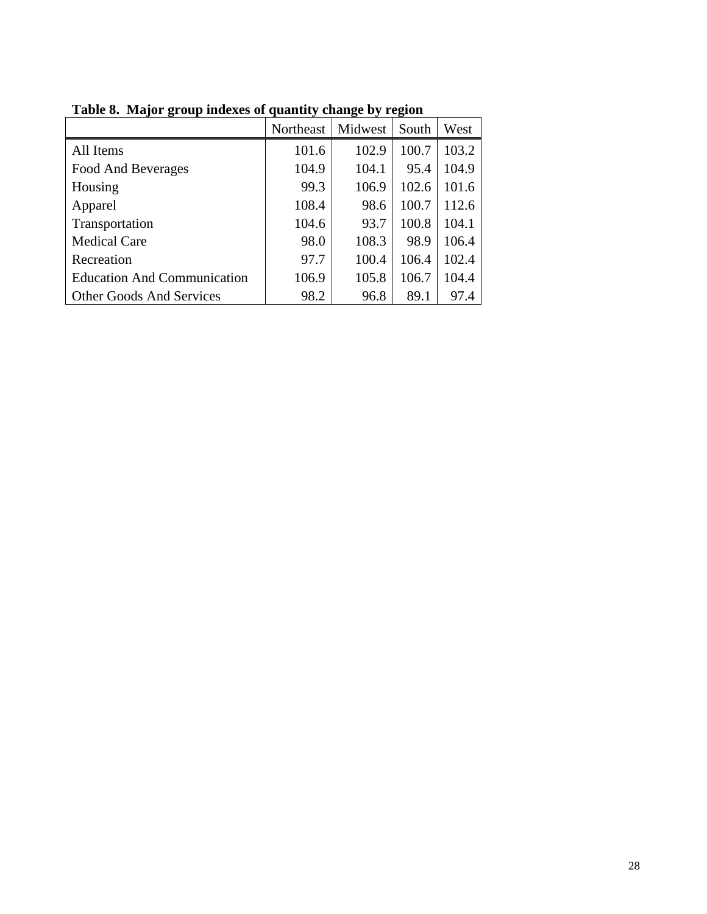|                                    | Northeast | Midwest | South | West  |
|------------------------------------|-----------|---------|-------|-------|
| All Items                          | 101.6     | 102.9   | 100.7 | 103.2 |
| Food And Beverages                 | 104.9     | 104.1   | 95.4  | 104.9 |
| Housing                            | 99.3      | 106.9   | 102.6 | 101.6 |
| Apparel                            | 108.4     | 98.6    | 100.7 | 112.6 |
| Transportation                     | 104.6     | 93.7    | 100.8 | 104.1 |
| <b>Medical Care</b>                | 98.0      | 108.3   | 98.9  | 106.4 |
| Recreation                         | 97.7      | 100.4   | 106.4 | 102.4 |
| <b>Education And Communication</b> | 106.9     | 105.8   | 106.7 | 104.4 |
| <b>Other Goods And Services</b>    | 98.2      | 96.8    | 89.1  | 97.4  |

**Table 8. Major group indexes of quantity change by region**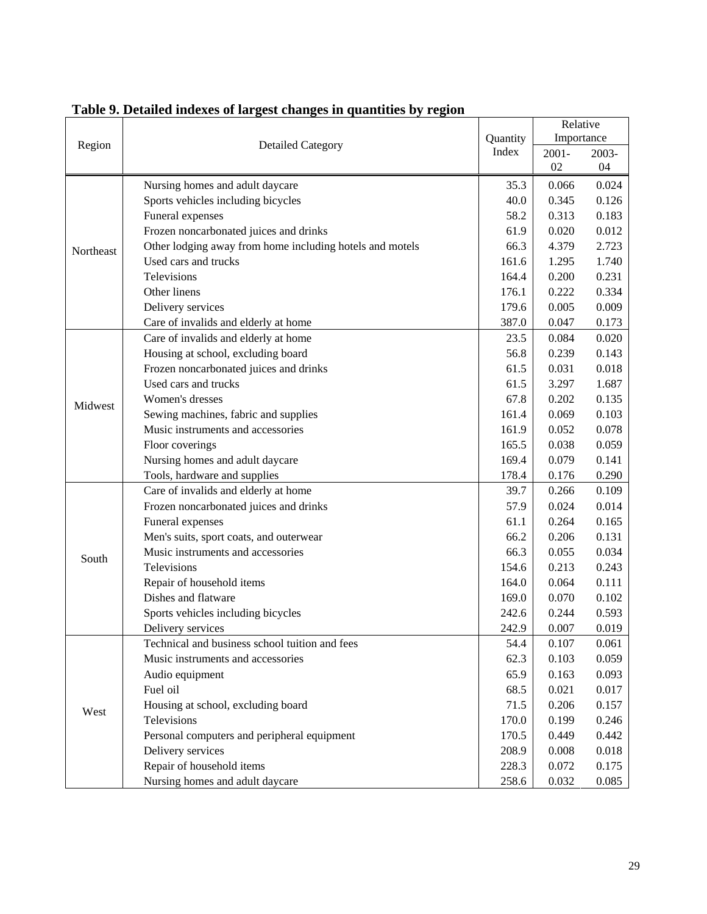|           |                                                          |       | Relative   |       |  |
|-----------|----------------------------------------------------------|-------|------------|-------|--|
| Region    | <b>Detailed Category</b>                                 |       | Importance |       |  |
|           |                                                          |       | $2001 -$   | 2003- |  |
|           |                                                          |       | 02         | 04    |  |
|           | Nursing homes and adult daycare                          | 35.3  | 0.066      | 0.024 |  |
|           | Sports vehicles including bicycles                       | 40.0  | 0.345      | 0.126 |  |
|           | Funeral expenses                                         | 58.2  | 0.313      | 0.183 |  |
|           | Frozen noncarbonated juices and drinks                   | 61.9  | 0.020      | 0.012 |  |
| Northeast | Other lodging away from home including hotels and motels | 66.3  | 4.379      | 2.723 |  |
|           | Used cars and trucks                                     | 161.6 | 1.295      | 1.740 |  |
|           | Televisions                                              | 164.4 | 0.200      | 0.231 |  |
|           | Other linens                                             | 176.1 | 0.222      | 0.334 |  |
|           | Delivery services                                        | 179.6 | 0.005      | 0.009 |  |
|           | Care of invalids and elderly at home                     | 387.0 | 0.047      | 0.173 |  |
|           | Care of invalids and elderly at home                     | 23.5  | 0.084      | 0.020 |  |
|           | Housing at school, excluding board                       | 56.8  | 0.239      | 0.143 |  |
|           | Frozen noncarbonated juices and drinks                   | 61.5  | 0.031      | 0.018 |  |
|           | Used cars and trucks                                     | 61.5  | 3.297      | 1.687 |  |
| Midwest   | Women's dresses                                          | 67.8  | 0.202      | 0.135 |  |
|           | Sewing machines, fabric and supplies                     | 161.4 | 0.069      | 0.103 |  |
|           | Music instruments and accessories                        | 161.9 | 0.052      | 0.078 |  |
|           | Floor coverings                                          | 165.5 | 0.038      | 0.059 |  |
|           | Nursing homes and adult daycare                          | 169.4 | 0.079      | 0.141 |  |
|           | Tools, hardware and supplies                             | 178.4 | 0.176      | 0.290 |  |
|           | Care of invalids and elderly at home                     | 39.7  | 0.266      | 0.109 |  |
|           | Frozen noncarbonated juices and drinks                   | 57.9  | 0.024      | 0.014 |  |
|           | Funeral expenses                                         | 61.1  | 0.264      | 0.165 |  |
|           | Men's suits, sport coats, and outerwear                  | 66.2  | 0.206      | 0.131 |  |
| South     | Music instruments and accessories                        | 66.3  | 0.055      | 0.034 |  |
|           | Televisions                                              | 154.6 | 0.213      | 0.243 |  |
|           | Repair of household items                                | 164.0 | 0.064      | 0.111 |  |
|           | Dishes and flatware                                      | 169.0 | 0.070      | 0.102 |  |
|           | Sports vehicles including bicycles                       | 242.6 | 0.244      | 0.593 |  |
|           | Delivery services                                        | 242.9 | 0.007      | 0.019 |  |
|           | Technical and business school tuition and fees           | 54.4  | 0.107      | 0.061 |  |
|           | Music instruments and accessories                        | 62.3  | 0.103      | 0.059 |  |
|           | Audio equipment                                          | 65.9  | 0.163      | 0.093 |  |
|           | Fuel oil                                                 | 68.5  | 0.021      | 0.017 |  |
| West      | Housing at school, excluding board                       | 71.5  | 0.206      | 0.157 |  |
|           | Televisions                                              | 170.0 | 0.199      | 0.246 |  |
|           | Personal computers and peripheral equipment              | 170.5 | 0.449      | 0.442 |  |
|           | Delivery services                                        | 208.9 | 0.008      | 0.018 |  |
|           | Repair of household items                                | 228.3 | 0.072      | 0.175 |  |
|           | Nursing homes and adult daycare                          | 258.6 | 0.032      | 0.085 |  |

**Table 9. Detailed indexes of largest changes in quantities by region**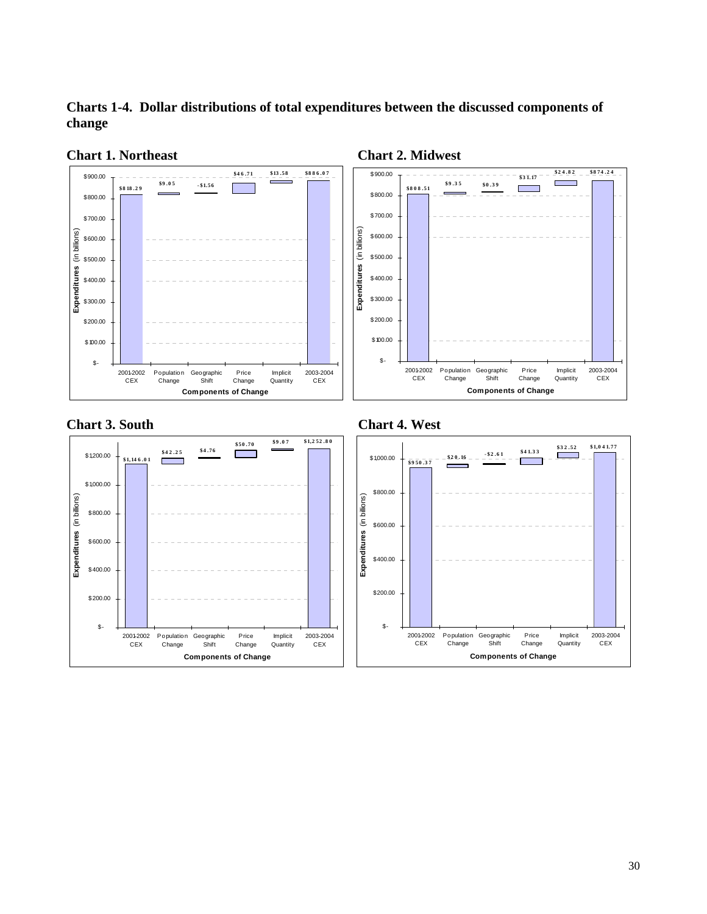**Charts 1-4. Dollar distributions of total expenditures between the discussed components of change** 



**Chart 1. Northeast Chart 2. Midwest** 



**Chart 3. South Chart 4. West** 





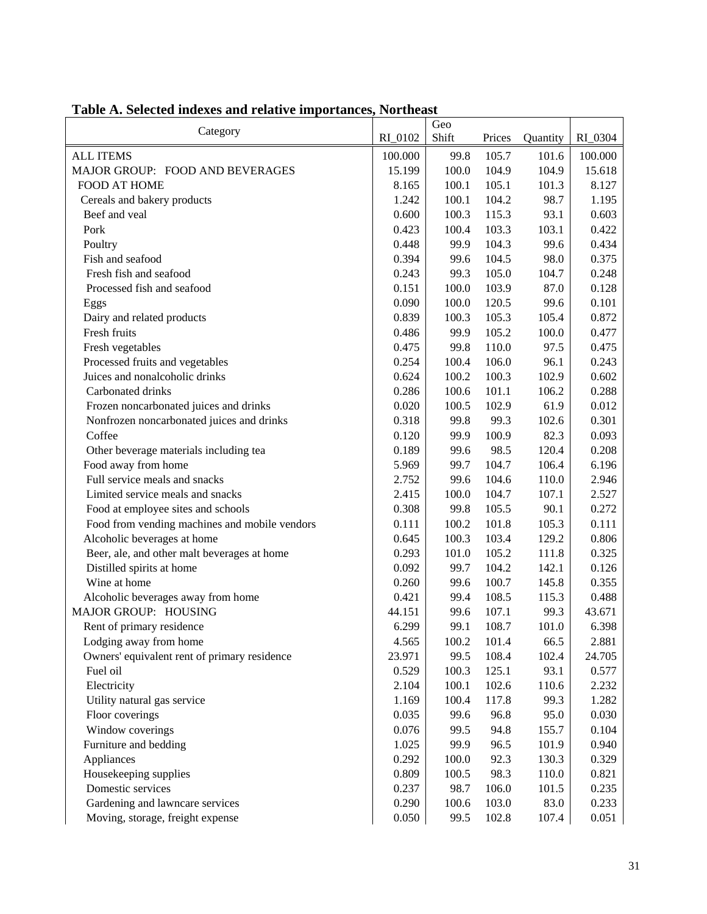|         | Geo                                                                           |                                                                                                                                                                                                                              |                                                                                                                                                                                                                                                                                          |                                                                                                                                                                                                                                                                                    |
|---------|-------------------------------------------------------------------------------|------------------------------------------------------------------------------------------------------------------------------------------------------------------------------------------------------------------------------|------------------------------------------------------------------------------------------------------------------------------------------------------------------------------------------------------------------------------------------------------------------------------------------|------------------------------------------------------------------------------------------------------------------------------------------------------------------------------------------------------------------------------------------------------------------------------------|
| RI_0102 |                                                                               |                                                                                                                                                                                                                              |                                                                                                                                                                                                                                                                                          | RI_0304                                                                                                                                                                                                                                                                            |
| 100.000 | 99.8                                                                          |                                                                                                                                                                                                                              |                                                                                                                                                                                                                                                                                          | 100.000                                                                                                                                                                                                                                                                            |
| 15.199  |                                                                               |                                                                                                                                                                                                                              |                                                                                                                                                                                                                                                                                          | 15.618                                                                                                                                                                                                                                                                             |
|         |                                                                               |                                                                                                                                                                                                                              |                                                                                                                                                                                                                                                                                          | 8.127                                                                                                                                                                                                                                                                              |
|         |                                                                               |                                                                                                                                                                                                                              |                                                                                                                                                                                                                                                                                          | 1.195                                                                                                                                                                                                                                                                              |
|         |                                                                               |                                                                                                                                                                                                                              |                                                                                                                                                                                                                                                                                          | 0.603                                                                                                                                                                                                                                                                              |
|         |                                                                               |                                                                                                                                                                                                                              |                                                                                                                                                                                                                                                                                          | 0.422                                                                                                                                                                                                                                                                              |
|         |                                                                               |                                                                                                                                                                                                                              |                                                                                                                                                                                                                                                                                          | 0.434                                                                                                                                                                                                                                                                              |
| 0.394   |                                                                               |                                                                                                                                                                                                                              |                                                                                                                                                                                                                                                                                          | 0.375                                                                                                                                                                                                                                                                              |
| 0.243   |                                                                               |                                                                                                                                                                                                                              |                                                                                                                                                                                                                                                                                          | 0.248                                                                                                                                                                                                                                                                              |
| 0.151   |                                                                               |                                                                                                                                                                                                                              |                                                                                                                                                                                                                                                                                          | 0.128                                                                                                                                                                                                                                                                              |
| 0.090   |                                                                               |                                                                                                                                                                                                                              |                                                                                                                                                                                                                                                                                          | 0.101                                                                                                                                                                                                                                                                              |
| 0.839   |                                                                               |                                                                                                                                                                                                                              |                                                                                                                                                                                                                                                                                          | 0.872                                                                                                                                                                                                                                                                              |
| 0.486   | 99.9                                                                          |                                                                                                                                                                                                                              |                                                                                                                                                                                                                                                                                          | 0.477                                                                                                                                                                                                                                                                              |
| 0.475   | 99.8                                                                          |                                                                                                                                                                                                                              |                                                                                                                                                                                                                                                                                          | 0.475                                                                                                                                                                                                                                                                              |
| 0.254   | 100.4                                                                         | 106.0                                                                                                                                                                                                                        | 96.1                                                                                                                                                                                                                                                                                     | 0.243                                                                                                                                                                                                                                                                              |
| 0.624   | 100.2                                                                         | 100.3                                                                                                                                                                                                                        | 102.9                                                                                                                                                                                                                                                                                    | 0.602                                                                                                                                                                                                                                                                              |
| 0.286   | 100.6                                                                         | 101.1                                                                                                                                                                                                                        | 106.2                                                                                                                                                                                                                                                                                    | 0.288                                                                                                                                                                                                                                                                              |
| 0.020   | 100.5                                                                         | 102.9                                                                                                                                                                                                                        | 61.9                                                                                                                                                                                                                                                                                     | 0.012                                                                                                                                                                                                                                                                              |
| 0.318   | 99.8                                                                          | 99.3                                                                                                                                                                                                                         | 102.6                                                                                                                                                                                                                                                                                    | 0.301                                                                                                                                                                                                                                                                              |
| 0.120   | 99.9                                                                          | 100.9                                                                                                                                                                                                                        | 82.3                                                                                                                                                                                                                                                                                     | 0.093                                                                                                                                                                                                                                                                              |
| 0.189   | 99.6                                                                          | 98.5                                                                                                                                                                                                                         | 120.4                                                                                                                                                                                                                                                                                    | 0.208                                                                                                                                                                                                                                                                              |
| 5.969   | 99.7                                                                          | 104.7                                                                                                                                                                                                                        | 106.4                                                                                                                                                                                                                                                                                    | 6.196                                                                                                                                                                                                                                                                              |
| 2.752   | 99.6                                                                          | 104.6                                                                                                                                                                                                                        | 110.0                                                                                                                                                                                                                                                                                    | 2.946                                                                                                                                                                                                                                                                              |
| 2.415   | 100.0                                                                         | 104.7                                                                                                                                                                                                                        | 107.1                                                                                                                                                                                                                                                                                    | 2.527                                                                                                                                                                                                                                                                              |
| 0.308   | 99.8                                                                          | 105.5                                                                                                                                                                                                                        | 90.1                                                                                                                                                                                                                                                                                     | 0.272                                                                                                                                                                                                                                                                              |
| 0.111   | 100.2                                                                         | 101.8                                                                                                                                                                                                                        | 105.3                                                                                                                                                                                                                                                                                    | 0.111                                                                                                                                                                                                                                                                              |
| 0.645   | 100.3                                                                         | 103.4                                                                                                                                                                                                                        | 129.2                                                                                                                                                                                                                                                                                    | 0.806                                                                                                                                                                                                                                                                              |
| 0.293   | 101.0                                                                         | 105.2                                                                                                                                                                                                                        | 111.8                                                                                                                                                                                                                                                                                    | 0.325                                                                                                                                                                                                                                                                              |
| 0.092   | 99.7                                                                          | 104.2                                                                                                                                                                                                                        | 142.1                                                                                                                                                                                                                                                                                    | 0.126                                                                                                                                                                                                                                                                              |
| 0.260   | 99.6                                                                          |                                                                                                                                                                                                                              |                                                                                                                                                                                                                                                                                          | 0.355                                                                                                                                                                                                                                                                              |
| 0.421   | 99.4                                                                          |                                                                                                                                                                                                                              |                                                                                                                                                                                                                                                                                          | 0.488                                                                                                                                                                                                                                                                              |
| 44.151  |                                                                               |                                                                                                                                                                                                                              |                                                                                                                                                                                                                                                                                          | 43.671                                                                                                                                                                                                                                                                             |
| 6.299   | 99.1                                                                          |                                                                                                                                                                                                                              |                                                                                                                                                                                                                                                                                          | 6.398                                                                                                                                                                                                                                                                              |
| 4.565   |                                                                               |                                                                                                                                                                                                                              |                                                                                                                                                                                                                                                                                          | 2.881                                                                                                                                                                                                                                                                              |
| 23.971  |                                                                               |                                                                                                                                                                                                                              |                                                                                                                                                                                                                                                                                          | 24.705                                                                                                                                                                                                                                                                             |
| 0.529   |                                                                               |                                                                                                                                                                                                                              |                                                                                                                                                                                                                                                                                          | 0.577                                                                                                                                                                                                                                                                              |
| 2.104   |                                                                               |                                                                                                                                                                                                                              |                                                                                                                                                                                                                                                                                          | 2.232                                                                                                                                                                                                                                                                              |
| 1.169   |                                                                               |                                                                                                                                                                                                                              |                                                                                                                                                                                                                                                                                          | 1.282                                                                                                                                                                                                                                                                              |
| 0.035   |                                                                               |                                                                                                                                                                                                                              |                                                                                                                                                                                                                                                                                          | 0.030                                                                                                                                                                                                                                                                              |
| 0.076   |                                                                               |                                                                                                                                                                                                                              |                                                                                                                                                                                                                                                                                          | 0.104                                                                                                                                                                                                                                                                              |
| 1.025   |                                                                               |                                                                                                                                                                                                                              |                                                                                                                                                                                                                                                                                          | 0.940                                                                                                                                                                                                                                                                              |
| 0.292   |                                                                               |                                                                                                                                                                                                                              |                                                                                                                                                                                                                                                                                          | 0.329                                                                                                                                                                                                                                                                              |
|         |                                                                               |                                                                                                                                                                                                                              |                                                                                                                                                                                                                                                                                          | 0.821                                                                                                                                                                                                                                                                              |
|         |                                                                               |                                                                                                                                                                                                                              |                                                                                                                                                                                                                                                                                          | 0.235                                                                                                                                                                                                                                                                              |
|         |                                                                               |                                                                                                                                                                                                                              |                                                                                                                                                                                                                                                                                          | 0.233                                                                                                                                                                                                                                                                              |
|         |                                                                               |                                                                                                                                                                                                                              |                                                                                                                                                                                                                                                                                          | 0.051                                                                                                                                                                                                                                                                              |
|         | 8.165<br>1.242<br>0.600<br>0.423<br>0.448<br>0.809<br>0.237<br>0.290<br>0.050 | Shift<br>100.0<br>100.1<br>100.1<br>100.3<br>100.4<br>99.9<br>99.6<br>99.3<br>100.0<br>100.0<br>100.3<br>99.6<br>100.2<br>99.5<br>100.3<br>100.1<br>100.4<br>99.6<br>99.5<br>99.9<br>100.0<br>100.5<br>98.7<br>100.6<br>99.5 | Prices<br>105.7<br>104.9<br>105.1<br>104.2<br>115.3<br>103.3<br>104.3<br>104.5<br>105.0<br>103.9<br>120.5<br>105.3<br>105.2<br>110.0<br>100.7<br>108.5<br>107.1<br>108.7<br>101.4<br>108.4<br>125.1<br>102.6<br>117.8<br>96.8<br>94.8<br>96.5<br>92.3<br>98.3<br>106.0<br>103.0<br>102.8 | Quantity<br>101.6<br>104.9<br>101.3<br>98.7<br>93.1<br>103.1<br>99.6<br>98.0<br>104.7<br>87.0<br>99.6<br>105.4<br>100.0<br>97.5<br>145.8<br>115.3<br>99.3<br>101.0<br>66.5<br>102.4<br>93.1<br>110.6<br>99.3<br>95.0<br>155.7<br>101.9<br>130.3<br>110.0<br>101.5<br>83.0<br>107.4 |

# **Table A. Selected indexes and relative importances, Northeast**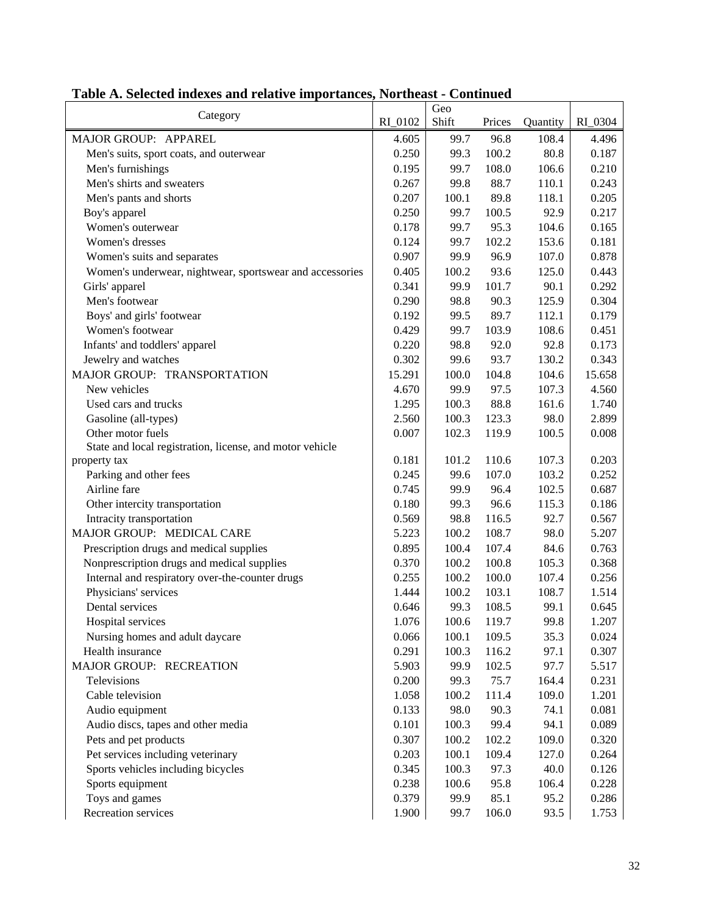|                                                          |         | Geo   |        |          |         |
|----------------------------------------------------------|---------|-------|--------|----------|---------|
| Category                                                 | RI_0102 | Shift | Prices | Quantity | RI_0304 |
| MAJOR GROUP: APPAREL                                     | 4.605   | 99.7  | 96.8   | 108.4    | 4.496   |
| Men's suits, sport coats, and outerwear                  | 0.250   | 99.3  | 100.2  | 80.8     | 0.187   |
| Men's furnishings                                        | 0.195   | 99.7  | 108.0  | 106.6    | 0.210   |
| Men's shirts and sweaters                                | 0.267   | 99.8  | 88.7   | 110.1    | 0.243   |
| Men's pants and shorts                                   | 0.207   | 100.1 | 89.8   | 118.1    | 0.205   |
| Boy's apparel                                            | 0.250   | 99.7  | 100.5  | 92.9     | 0.217   |
| Women's outerwear                                        | 0.178   | 99.7  | 95.3   | 104.6    | 0.165   |
| Women's dresses                                          | 0.124   | 99.7  | 102.2  | 153.6    | 0.181   |
| Women's suits and separates                              | 0.907   | 99.9  | 96.9   | 107.0    | 0.878   |
| Women's underwear, nightwear, sportswear and accessories | 0.405   | 100.2 | 93.6   | 125.0    | 0.443   |
| Girls' apparel                                           | 0.341   | 99.9  | 101.7  | 90.1     | 0.292   |
| Men's footwear                                           | 0.290   | 98.8  | 90.3   | 125.9    | 0.304   |
| Boys' and girls' footwear                                | 0.192   | 99.5  | 89.7   | 112.1    | 0.179   |
| Women's footwear                                         | 0.429   | 99.7  | 103.9  | 108.6    | 0.451   |
| Infants' and toddlers' apparel                           | 0.220   | 98.8  | 92.0   | 92.8     | 0.173   |
| Jewelry and watches                                      | 0.302   | 99.6  | 93.7   | 130.2    | 0.343   |
| MAJOR GROUP: TRANSPORTATION                              | 15.291  | 100.0 | 104.8  | 104.6    | 15.658  |
| New vehicles                                             | 4.670   | 99.9  | 97.5   | 107.3    | 4.560   |
| Used cars and trucks                                     | 1.295   | 100.3 | 88.8   | 161.6    | 1.740   |
| Gasoline (all-types)                                     | 2.560   | 100.3 | 123.3  | 98.0     | 2.899   |
| Other motor fuels                                        | 0.007   | 102.3 | 119.9  | 100.5    | 0.008   |
| State and local registration, license, and motor vehicle |         |       |        |          |         |
| property tax                                             | 0.181   | 101.2 | 110.6  | 107.3    | 0.203   |
| Parking and other fees                                   | 0.245   | 99.6  | 107.0  | 103.2    | 0.252   |
| Airline fare                                             | 0.745   | 99.9  | 96.4   | 102.5    | 0.687   |
| Other intercity transportation                           | 0.180   | 99.3  | 96.6   | 115.3    | 0.186   |
| Intracity transportation                                 | 0.569   | 98.8  | 116.5  | 92.7     | 0.567   |
| MAJOR GROUP: MEDICAL CARE                                | 5.223   | 100.2 | 108.7  | 98.0     | 5.207   |
| Prescription drugs and medical supplies                  | 0.895   | 100.4 | 107.4  | 84.6     | 0.763   |
| Nonprescription drugs and medical supplies               | 0.370   | 100.2 | 100.8  | 105.3    | 0.368   |
| Internal and respiratory over-the-counter drugs          | 0.255   | 100.2 | 100.0  | 107.4    | 0.256   |
| Physicians' services                                     | 1.444   | 100.2 | 103.1  | 108.7    | 1.514   |
| Dental services                                          | 0.646   | 99.3  | 108.5  | 99.1     | 0.645   |
| Hospital services                                        | 1.076   | 100.6 | 119.7  | 99.8     | 1.207   |
| Nursing homes and adult daycare                          | 0.066   | 100.1 | 109.5  | 35.3     | 0.024   |
| Health insurance                                         | 0.291   | 100.3 | 116.2  | 97.1     | 0.307   |
| MAJOR GROUP: RECREATION                                  | 5.903   | 99.9  | 102.5  | 97.7     | 5.517   |
| Televisions                                              | 0.200   | 99.3  | 75.7   | 164.4    | 0.231   |
| Cable television                                         | 1.058   | 100.2 | 111.4  | 109.0    | 1.201   |
| Audio equipment                                          | 0.133   | 98.0  | 90.3   | 74.1     | 0.081   |
| Audio discs, tapes and other media                       | 0.101   | 100.3 | 99.4   | 94.1     | 0.089   |
| Pets and pet products                                    | 0.307   | 100.2 | 102.2  | 109.0    | 0.320   |
| Pet services including veterinary                        | 0.203   | 100.1 | 109.4  | 127.0    | 0.264   |
| Sports vehicles including bicycles                       | 0.345   | 100.3 | 97.3   | 40.0     | 0.126   |
| Sports equipment                                         | 0.238   | 100.6 | 95.8   | 106.4    | 0.228   |
| Toys and games                                           | 0.379   | 99.9  | 85.1   | 95.2     | 0.286   |
| Recreation services                                      | 1.900   | 99.7  | 106.0  | 93.5     | 1.753   |

# **Table A. Selected indexes and relative importances, Northeast - Continued**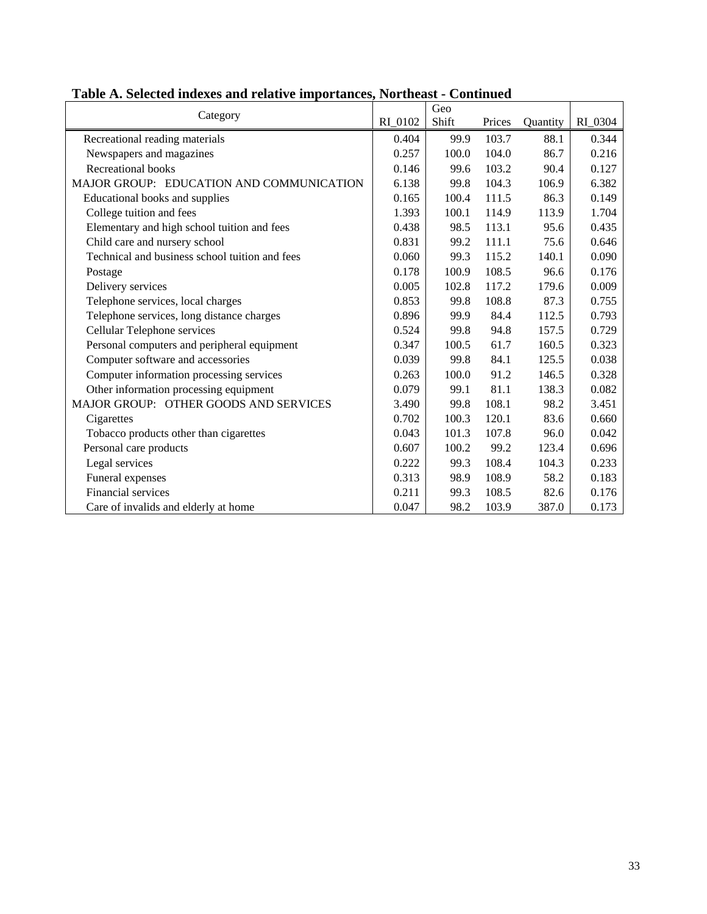| Category                                       |         | Geo   |        |          |         |
|------------------------------------------------|---------|-------|--------|----------|---------|
|                                                | RI 0102 | Shift | Prices | Quantity | RI_0304 |
| Recreational reading materials                 | 0.404   | 99.9  | 103.7  | 88.1     | 0.344   |
| Newspapers and magazines                       | 0.257   | 100.0 | 104.0  | 86.7     | 0.216   |
| Recreational books                             | 0.146   | 99.6  | 103.2  | 90.4     | 0.127   |
| MAJOR GROUP: EDUCATION AND COMMUNICATION       | 6.138   | 99.8  | 104.3  | 106.9    | 6.382   |
| Educational books and supplies                 | 0.165   | 100.4 | 111.5  | 86.3     | 0.149   |
| College tuition and fees                       | 1.393   | 100.1 | 114.9  | 113.9    | 1.704   |
| Elementary and high school tuition and fees    | 0.438   | 98.5  | 113.1  | 95.6     | 0.435   |
| Child care and nursery school                  | 0.831   | 99.2  | 111.1  | 75.6     | 0.646   |
| Technical and business school tuition and fees | 0.060   | 99.3  | 115.2  | 140.1    | 0.090   |
| Postage                                        | 0.178   | 100.9 | 108.5  | 96.6     | 0.176   |
| Delivery services                              | 0.005   | 102.8 | 117.2  | 179.6    | 0.009   |
| Telephone services, local charges              | 0.853   | 99.8  | 108.8  | 87.3     | 0.755   |
| Telephone services, long distance charges      | 0.896   | 99.9  | 84.4   | 112.5    | 0.793   |
| Cellular Telephone services                    | 0.524   | 99.8  | 94.8   | 157.5    | 0.729   |
| Personal computers and peripheral equipment    | 0.347   | 100.5 | 61.7   | 160.5    | 0.323   |
| Computer software and accessories              | 0.039   | 99.8  | 84.1   | 125.5    | 0.038   |
| Computer information processing services       | 0.263   | 100.0 | 91.2   | 146.5    | 0.328   |
| Other information processing equipment         | 0.079   | 99.1  | 81.1   | 138.3    | 0.082   |
| MAJOR GROUP: OTHER GOODS AND SERVICES          | 3.490   | 99.8  | 108.1  | 98.2     | 3.451   |
| Cigarettes                                     | 0.702   | 100.3 | 120.1  | 83.6     | 0.660   |
| Tobacco products other than cigarettes         | 0.043   | 101.3 | 107.8  | 96.0     | 0.042   |
| Personal care products                         | 0.607   | 100.2 | 99.2   | 123.4    | 0.696   |
| Legal services                                 | 0.222   | 99.3  | 108.4  | 104.3    | 0.233   |
| Funeral expenses                               | 0.313   | 98.9  | 108.9  | 58.2     | 0.183   |
| Financial services                             | 0.211   | 99.3  | 108.5  | 82.6     | 0.176   |
| Care of invalids and elderly at home           | 0.047   | 98.2  | 103.9  | 387.0    | 0.173   |

## **Table A. Selected indexes and relative importances, Northeast - Continued**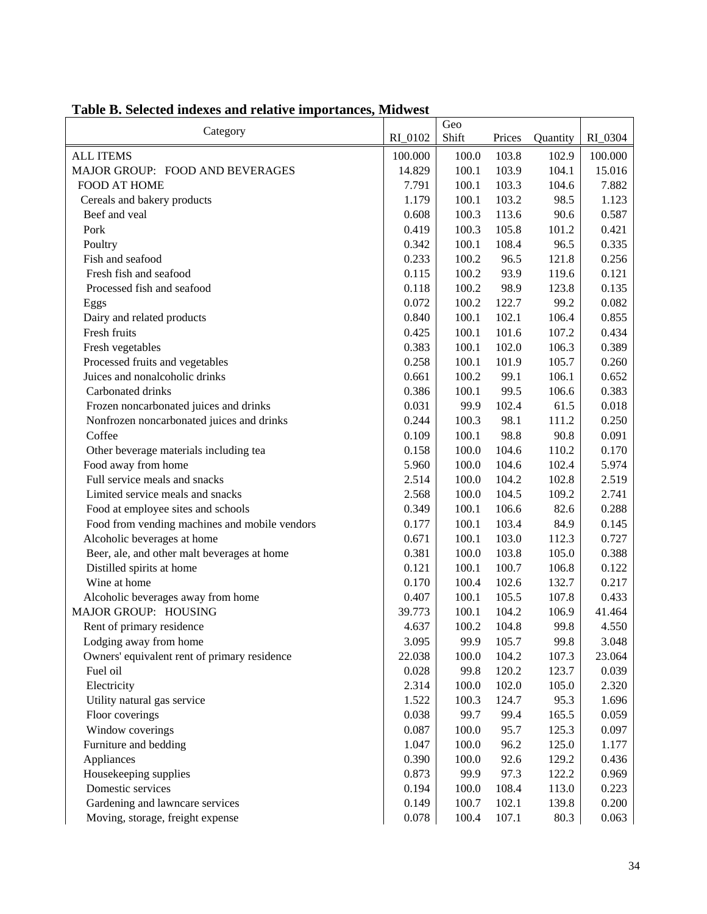| Category                                      | RI_0102 | Geo<br>Shift | Prices | Quantity | RI_0304 |
|-----------------------------------------------|---------|--------------|--------|----------|---------|
| <b>ALL ITEMS</b>                              | 100.000 | 100.0        | 103.8  | 102.9    | 100.000 |
| MAJOR GROUP: FOOD AND BEVERAGES               | 14.829  | 100.1        | 103.9  | 104.1    | 15.016  |
| FOOD AT HOME                                  | 7.791   | 100.1        | 103.3  | 104.6    | 7.882   |
| Cereals and bakery products                   | 1.179   | 100.1        | 103.2  | 98.5     | 1.123   |
| Beef and veal                                 | 0.608   | 100.3        | 113.6  | 90.6     | 0.587   |
| Pork                                          | 0.419   | 100.3        | 105.8  | 101.2    | 0.421   |
| Poultry                                       | 0.342   | 100.1        | 108.4  | 96.5     | 0.335   |
| Fish and seafood                              | 0.233   | 100.2        | 96.5   | 121.8    | 0.256   |
| Fresh fish and seafood                        | 0.115   | 100.2        | 93.9   | 119.6    | 0.121   |
| Processed fish and seafood                    | 0.118   | 100.2        | 98.9   | 123.8    | 0.135   |
| Eggs                                          | 0.072   | 100.2        | 122.7  | 99.2     | 0.082   |
| Dairy and related products                    | 0.840   | 100.1        | 102.1  | 106.4    | 0.855   |
| Fresh fruits                                  | 0.425   | 100.1        | 101.6  | 107.2    | 0.434   |
| Fresh vegetables                              | 0.383   | 100.1        | 102.0  | 106.3    | 0.389   |
| Processed fruits and vegetables               | 0.258   | 100.1        | 101.9  | 105.7    | 0.260   |
| Juices and nonalcoholic drinks                | 0.661   | 100.2        | 99.1   | 106.1    | 0.652   |
| Carbonated drinks                             | 0.386   | 100.1        | 99.5   | 106.6    | 0.383   |
| Frozen noncarbonated juices and drinks        | 0.031   | 99.9         | 102.4  | 61.5     | 0.018   |
| Nonfrozen noncarbonated juices and drinks     | 0.244   | 100.3        | 98.1   | 111.2    | 0.250   |
| Coffee                                        | 0.109   | 100.1        | 98.8   | 90.8     | 0.091   |
| Other beverage materials including tea        | 0.158   | 100.0        | 104.6  | 110.2    | 0.170   |
| Food away from home                           | 5.960   | 100.0        | 104.6  | 102.4    | 5.974   |
| Full service meals and snacks                 | 2.514   | 100.0        | 104.2  | 102.8    | 2.519   |
| Limited service meals and snacks              | 2.568   | 100.0        | 104.5  | 109.2    | 2.741   |
| Food at employee sites and schools            | 0.349   | 100.1        | 106.6  | 82.6     | 0.288   |
| Food from vending machines and mobile vendors | 0.177   | 100.1        | 103.4  | 84.9     | 0.145   |
| Alcoholic beverages at home                   | 0.671   | 100.1        | 103.0  | 112.3    | 0.727   |
| Beer, ale, and other malt beverages at home   | 0.381   | 100.0        | 103.8  | 105.0    | 0.388   |
| Distilled spirits at home                     | 0.121   | 100.1        | 100.7  | 106.8    | 0.122   |
| Wine at home                                  | 0.170   | 100.4        | 102.6  | 132.7    | 0.217   |
| Alcoholic beverages away from home            | 0.407   | 100.1        | 105.5  | 107.8    | 0.433   |
| MAJOR GROUP: HOUSING                          | 39.773  | 100.1        | 104.2  | 106.9    | 41.464  |
| Rent of primary residence                     | 4.637   | 100.2        | 104.8  | 99.8     | 4.550   |
| Lodging away from home                        | 3.095   | 99.9         | 105.7  | 99.8     | 3.048   |
| Owners' equivalent rent of primary residence  | 22.038  | 100.0        | 104.2  | 107.3    | 23.064  |
| Fuel oil                                      | 0.028   | 99.8         | 120.2  | 123.7    | 0.039   |
| Electricity                                   | 2.314   | 100.0        | 102.0  | 105.0    | 2.320   |
| Utility natural gas service                   | 1.522   | 100.3        | 124.7  | 95.3     | 1.696   |
| Floor coverings                               | 0.038   | 99.7         | 99.4   | 165.5    | 0.059   |
| Window coverings                              | 0.087   | 100.0        | 95.7   | 125.3    | 0.097   |
| Furniture and bedding                         | 1.047   | 100.0        | 96.2   | 125.0    | 1.177   |
| Appliances                                    | 0.390   | 100.0        | 92.6   | 129.2    | 0.436   |
| Housekeeping supplies                         | 0.873   | 99.9         | 97.3   | 122.2    | 0.969   |
| Domestic services                             | 0.194   | 100.0        | 108.4  | 113.0    | 0.223   |
| Gardening and lawncare services               | 0.149   | 100.7        | 102.1  | 139.8    | 0.200   |
| Moving, storage, freight expense              | 0.078   | 100.4        | 107.1  | 80.3     | 0.063   |

# **Table B. Selected indexes and relative importances, Midwest**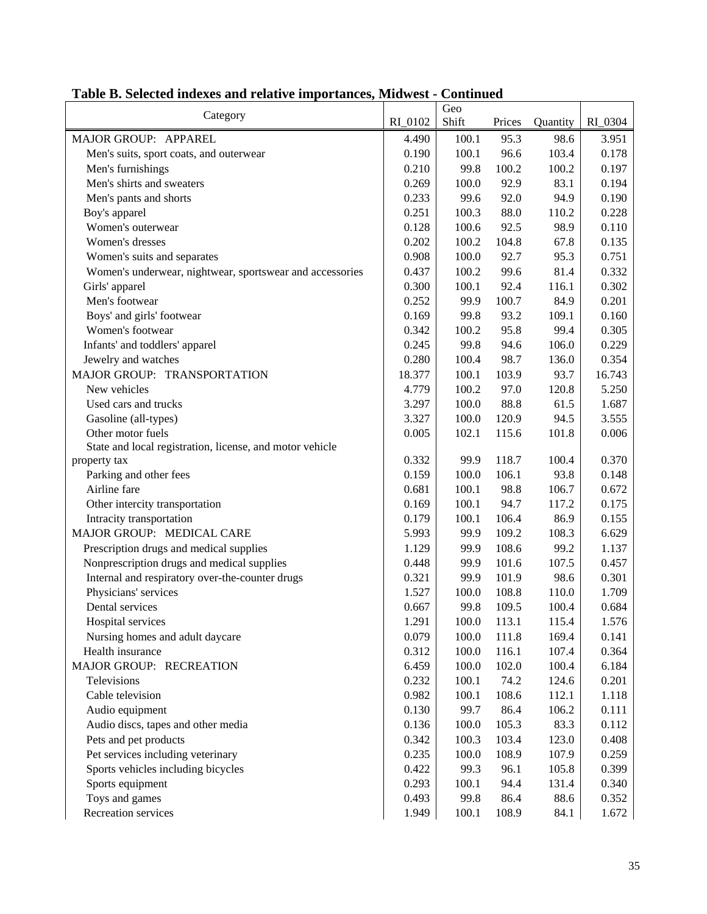| Category                                                 | RI 0102 | Geo<br>Shift | Prices | Quantity | RI_0304 |
|----------------------------------------------------------|---------|--------------|--------|----------|---------|
| MAJOR GROUP: APPAREL                                     | 4.490   | 100.1        | 95.3   | 98.6     | 3.951   |
| Men's suits, sport coats, and outerwear                  | 0.190   | 100.1        | 96.6   | 103.4    | 0.178   |
| Men's furnishings                                        | 0.210   | 99.8         | 100.2  | 100.2    | 0.197   |
| Men's shirts and sweaters                                | 0.269   | 100.0        | 92.9   | 83.1     | 0.194   |
| Men's pants and shorts                                   | 0.233   | 99.6         | 92.0   | 94.9     | 0.190   |
| Boy's apparel                                            | 0.251   | 100.3        | 88.0   | 110.2    | 0.228   |
| Women's outerwear                                        | 0.128   | 100.6        | 92.5   | 98.9     | 0.110   |
| Women's dresses                                          | 0.202   | 100.2        | 104.8  | 67.8     | 0.135   |
| Women's suits and separates                              | 0.908   | 100.0        | 92.7   | 95.3     | 0.751   |
| Women's underwear, nightwear, sportswear and accessories | 0.437   | 100.2        | 99.6   | 81.4     | 0.332   |
| Girls' apparel                                           | 0.300   | 100.1        | 92.4   | 116.1    | 0.302   |
| Men's footwear                                           | 0.252   | 99.9         | 100.7  | 84.9     | 0.201   |
| Boys' and girls' footwear                                | 0.169   | 99.8         | 93.2   | 109.1    | 0.160   |
| Women's footwear                                         | 0.342   | 100.2        | 95.8   | 99.4     | 0.305   |
| Infants' and toddlers' apparel                           | 0.245   | 99.8         | 94.6   | 106.0    | 0.229   |
| Jewelry and watches                                      | 0.280   | 100.4        | 98.7   | 136.0    | 0.354   |
| MAJOR GROUP: TRANSPORTATION                              | 18.377  | 100.1        | 103.9  | 93.7     | 16.743  |
| New vehicles                                             | 4.779   | 100.2        | 97.0   | 120.8    | 5.250   |
| Used cars and trucks                                     | 3.297   | 100.0        | 88.8   | 61.5     | 1.687   |
| Gasoline (all-types)                                     | 3.327   | 100.0        | 120.9  | 94.5     | 3.555   |
| Other motor fuels                                        | 0.005   | 102.1        | 115.6  | 101.8    | 0.006   |
| State and local registration, license, and motor vehicle |         |              |        |          |         |
| property tax                                             | 0.332   | 99.9         | 118.7  | 100.4    | 0.370   |
| Parking and other fees                                   | 0.159   | 100.0        | 106.1  | 93.8     | 0.148   |
| Airline fare                                             | 0.681   | 100.1        | 98.8   | 106.7    | 0.672   |
| Other intercity transportation                           | 0.169   | 100.1        | 94.7   | 117.2    | 0.175   |
| Intracity transportation                                 | 0.179   | 100.1        | 106.4  | 86.9     | 0.155   |
| MAJOR GROUP: MEDICAL CARE                                | 5.993   | 99.9         | 109.2  | 108.3    | 6.629   |
| Prescription drugs and medical supplies                  | 1.129   | 99.9         | 108.6  | 99.2     | 1.137   |
| Nonprescription drugs and medical supplies               | 0.448   | 99.9         | 101.6  | 107.5    | 0.457   |
| Internal and respiratory over-the-counter drugs          | 0.321   | 99.9         | 101.9  | 98.6     | 0.301   |
| Physicians' services                                     | 1.527   | 100.0        | 108.8  | 110.0    | 1.709   |
| Dental services                                          | 0.667   | 99.8         | 109.5  | 100.4    | 0.684   |
| Hospital services                                        | 1.291   | 100.0        | 113.1  | 115.4    | 1.576   |
| Nursing homes and adult daycare                          | 0.079   | 100.0        | 111.8  | 169.4    | 0.141   |
| Health insurance                                         | 0.312   | 100.0        | 116.1  | 107.4    | 0.364   |
| MAJOR GROUP: RECREATION                                  | 6.459   | 100.0        | 102.0  | 100.4    | 6.184   |
| Televisions                                              | 0.232   | 100.1        | 74.2   | 124.6    | 0.201   |
| Cable television                                         | 0.982   | 100.1        | 108.6  | 112.1    | 1.118   |
| Audio equipment                                          | 0.130   | 99.7         | 86.4   | 106.2    | 0.111   |
| Audio discs, tapes and other media                       | 0.136   | 100.0        | 105.3  | 83.3     | 0.112   |
| Pets and pet products                                    | 0.342   | 100.3        | 103.4  | 123.0    | 0.408   |
| Pet services including veterinary                        | 0.235   | 100.0        | 108.9  | 107.9    | 0.259   |
| Sports vehicles including bicycles                       | 0.422   | 99.3         | 96.1   | 105.8    | 0.399   |
| Sports equipment                                         | 0.293   | 100.1        | 94.4   | 131.4    | 0.340   |
| Toys and games                                           | 0.493   | 99.8         | 86.4   | 88.6     | 0.352   |
| Recreation services                                      | 1.949   | 100.1        | 108.9  | 84.1     | 1.672   |

# **Table B. Selected indexes and relative importances, Midwest - Continued**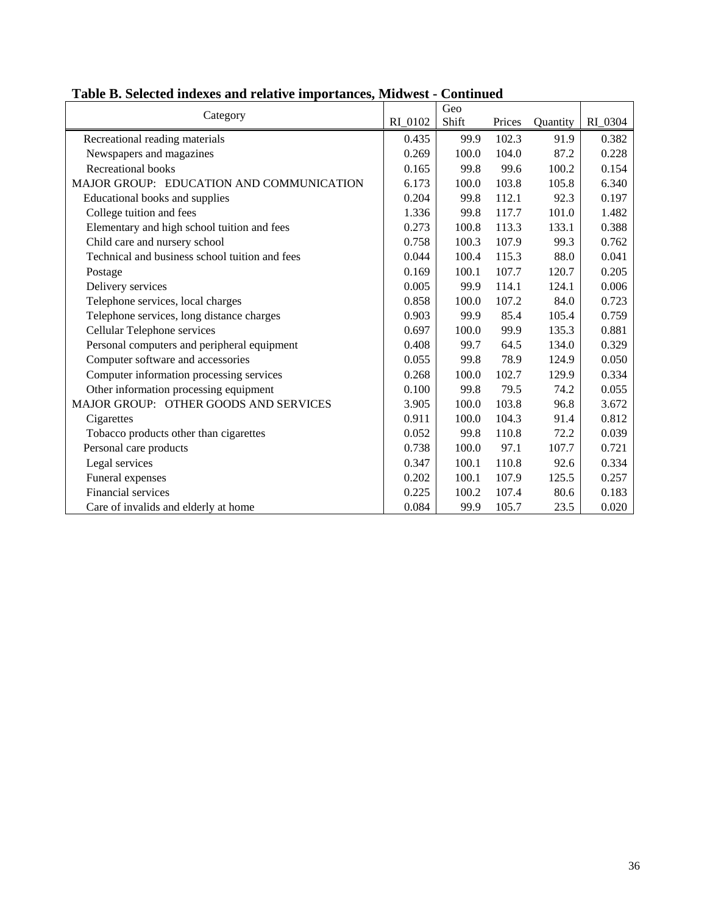| Category                                       |         | Geo   |        |          |         |
|------------------------------------------------|---------|-------|--------|----------|---------|
|                                                | RI_0102 | Shift | Prices | Quantity | RI_0304 |
| Recreational reading materials                 | 0.435   | 99.9  | 102.3  | 91.9     | 0.382   |
| Newspapers and magazines                       | 0.269   | 100.0 | 104.0  | 87.2     | 0.228   |
| Recreational books                             | 0.165   | 99.8  | 99.6   | 100.2    | 0.154   |
| MAJOR GROUP: EDUCATION AND COMMUNICATION       | 6.173   | 100.0 | 103.8  | 105.8    | 6.340   |
| Educational books and supplies                 | 0.204   | 99.8  | 112.1  | 92.3     | 0.197   |
| College tuition and fees                       | 1.336   | 99.8  | 117.7  | 101.0    | 1.482   |
| Elementary and high school tuition and fees    | 0.273   | 100.8 | 113.3  | 133.1    | 0.388   |
| Child care and nursery school                  | 0.758   | 100.3 | 107.9  | 99.3     | 0.762   |
| Technical and business school tuition and fees | 0.044   | 100.4 | 115.3  | 88.0     | 0.041   |
| Postage                                        | 0.169   | 100.1 | 107.7  | 120.7    | 0.205   |
| Delivery services                              | 0.005   | 99.9  | 114.1  | 124.1    | 0.006   |
| Telephone services, local charges              | 0.858   | 100.0 | 107.2  | 84.0     | 0.723   |
| Telephone services, long distance charges      | 0.903   | 99.9  | 85.4   | 105.4    | 0.759   |
| Cellular Telephone services                    | 0.697   | 100.0 | 99.9   | 135.3    | 0.881   |
| Personal computers and peripheral equipment    | 0.408   | 99.7  | 64.5   | 134.0    | 0.329   |
| Computer software and accessories              | 0.055   | 99.8  | 78.9   | 124.9    | 0.050   |
| Computer information processing services       | 0.268   | 100.0 | 102.7  | 129.9    | 0.334   |
| Other information processing equipment         | 0.100   | 99.8  | 79.5   | 74.2     | 0.055   |
| MAJOR GROUP: OTHER GOODS AND SERVICES          | 3.905   | 100.0 | 103.8  | 96.8     | 3.672   |
| Cigarettes                                     | 0.911   | 100.0 | 104.3  | 91.4     | 0.812   |
| Tobacco products other than cigarettes         | 0.052   | 99.8  | 110.8  | 72.2     | 0.039   |
| Personal care products                         | 0.738   | 100.0 | 97.1   | 107.7    | 0.721   |
| Legal services                                 | 0.347   | 100.1 | 110.8  | 92.6     | 0.334   |
| Funeral expenses                               | 0.202   | 100.1 | 107.9  | 125.5    | 0.257   |
| Financial services                             | 0.225   | 100.2 | 107.4  | 80.6     | 0.183   |
| Care of invalids and elderly at home           | 0.084   | 99.9  | 105.7  | 23.5     | 0.020   |

#### **Table B. Selected indexes and relative importances, Midwest - Continued**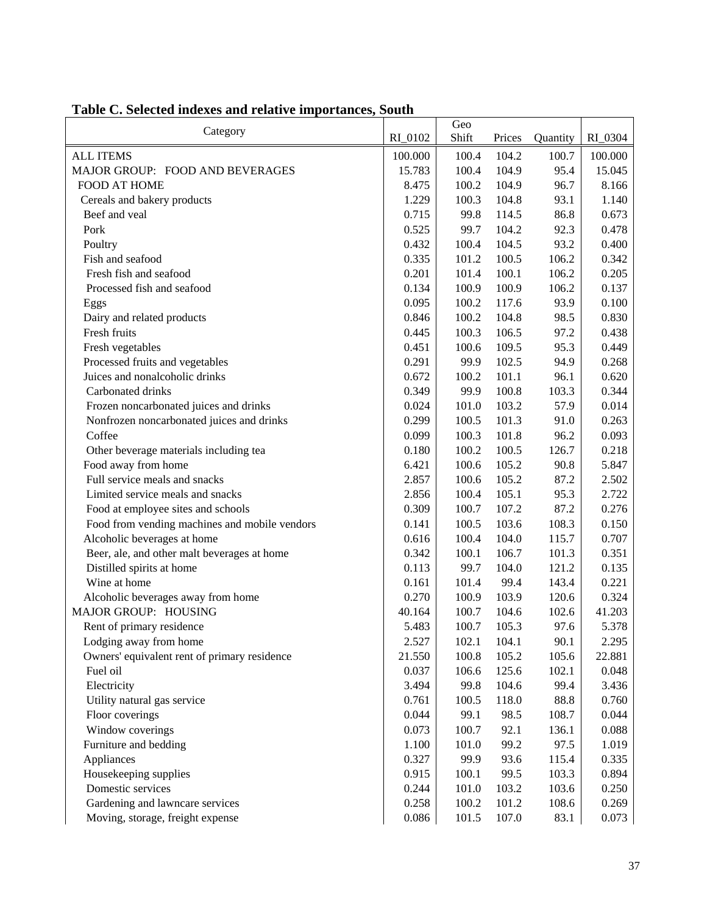|                                               |         | Geo   |        |          |         |
|-----------------------------------------------|---------|-------|--------|----------|---------|
| Category                                      | RI_0102 | Shift | Prices | Quantity | RI_0304 |
| <b>ALL ITEMS</b>                              | 100.000 | 100.4 | 104.2  | 100.7    | 100.000 |
| MAJOR GROUP: FOOD AND BEVERAGES               | 15.783  | 100.4 | 104.9  | 95.4     | 15.045  |
| <b>FOOD AT HOME</b>                           | 8.475   | 100.2 | 104.9  | 96.7     | 8.166   |
| Cereals and bakery products                   | 1.229   | 100.3 | 104.8  | 93.1     | 1.140   |
| Beef and veal                                 | 0.715   | 99.8  | 114.5  | 86.8     | 0.673   |
| Pork                                          | 0.525   | 99.7  | 104.2  | 92.3     | 0.478   |
| Poultry                                       | 0.432   | 100.4 | 104.5  | 93.2     | 0.400   |
| Fish and seafood                              | 0.335   | 101.2 | 100.5  | 106.2    | 0.342   |
| Fresh fish and seafood                        | 0.201   | 101.4 | 100.1  | 106.2    | 0.205   |
| Processed fish and seafood                    | 0.134   | 100.9 | 100.9  | 106.2    | 0.137   |
| Eggs                                          | 0.095   | 100.2 | 117.6  | 93.9     | 0.100   |
| Dairy and related products                    | 0.846   | 100.2 | 104.8  | 98.5     | 0.830   |
| Fresh fruits                                  | 0.445   | 100.3 | 106.5  | 97.2     | 0.438   |
| Fresh vegetables                              | 0.451   | 100.6 | 109.5  | 95.3     | 0.449   |
| Processed fruits and vegetables               | 0.291   | 99.9  | 102.5  | 94.9     | 0.268   |
| Juices and nonalcoholic drinks                | 0.672   | 100.2 | 101.1  | 96.1     | 0.620   |
| Carbonated drinks                             | 0.349   | 99.9  | 100.8  | 103.3    | 0.344   |
| Frozen noncarbonated juices and drinks        | 0.024   | 101.0 | 103.2  | 57.9     | 0.014   |
| Nonfrozen noncarbonated juices and drinks     | 0.299   | 100.5 | 101.3  | 91.0     | 0.263   |
| Coffee                                        | 0.099   | 100.3 | 101.8  | 96.2     | 0.093   |
| Other beverage materials including tea        | 0.180   | 100.2 | 100.5  | 126.7    | 0.218   |
| Food away from home                           | 6.421   | 100.6 | 105.2  | 90.8     | 5.847   |
| Full service meals and snacks                 | 2.857   | 100.6 | 105.2  | 87.2     | 2.502   |
| Limited service meals and snacks              | 2.856   | 100.4 | 105.1  | 95.3     | 2.722   |
| Food at employee sites and schools            | 0.309   | 100.7 | 107.2  | 87.2     | 0.276   |
| Food from vending machines and mobile vendors | 0.141   | 100.5 | 103.6  | 108.3    | 0.150   |
| Alcoholic beverages at home                   | 0.616   | 100.4 | 104.0  | 115.7    | 0.707   |
| Beer, ale, and other malt beverages at home   | 0.342   | 100.1 | 106.7  | 101.3    | 0.351   |
| Distilled spirits at home                     | 0.113   | 99.7  | 104.0  | 121.2    | 0.135   |
| Wine at home                                  | 0.161   | 101.4 | 99.4   | 143.4    | 0.221   |
| Alcoholic beverages away from home            | 0.270   | 100.9 | 103.9  | 120.6    | 0.324   |
| MAJOR GROUP: HOUSING                          | 40.164  | 100.7 | 104.6  | 102.6    | 41.203  |
| Rent of primary residence                     | 5.483   | 100.7 | 105.3  | 97.6     | 5.378   |
| Lodging away from home                        | 2.527   | 102.1 | 104.1  | 90.1     | 2.295   |
| Owners' equivalent rent of primary residence  | 21.550  | 100.8 | 105.2  | 105.6    | 22.881  |
| Fuel oil                                      | 0.037   | 106.6 | 125.6  | 102.1    | 0.048   |
| Electricity                                   | 3.494   | 99.8  | 104.6  | 99.4     | 3.436   |
| Utility natural gas service                   | 0.761   | 100.5 | 118.0  | 88.8     | 0.760   |
| Floor coverings                               | 0.044   | 99.1  | 98.5   | 108.7    | 0.044   |
| Window coverings                              | 0.073   | 100.7 | 92.1   | 136.1    | 0.088   |
| Furniture and bedding                         | 1.100   | 101.0 | 99.2   | 97.5     | 1.019   |
| Appliances                                    | 0.327   | 99.9  | 93.6   | 115.4    | 0.335   |
| Housekeeping supplies                         | 0.915   | 100.1 | 99.5   | 103.3    | 0.894   |
| Domestic services                             | 0.244   | 101.0 | 103.2  | 103.6    | 0.250   |
| Gardening and lawncare services               | 0.258   | 100.2 | 101.2  | 108.6    | 0.269   |
| Moving, storage, freight expense              | 0.086   | 101.5 | 107.0  | 83.1     | 0.073   |

# **Table C. Selected indexes and relative importances, South**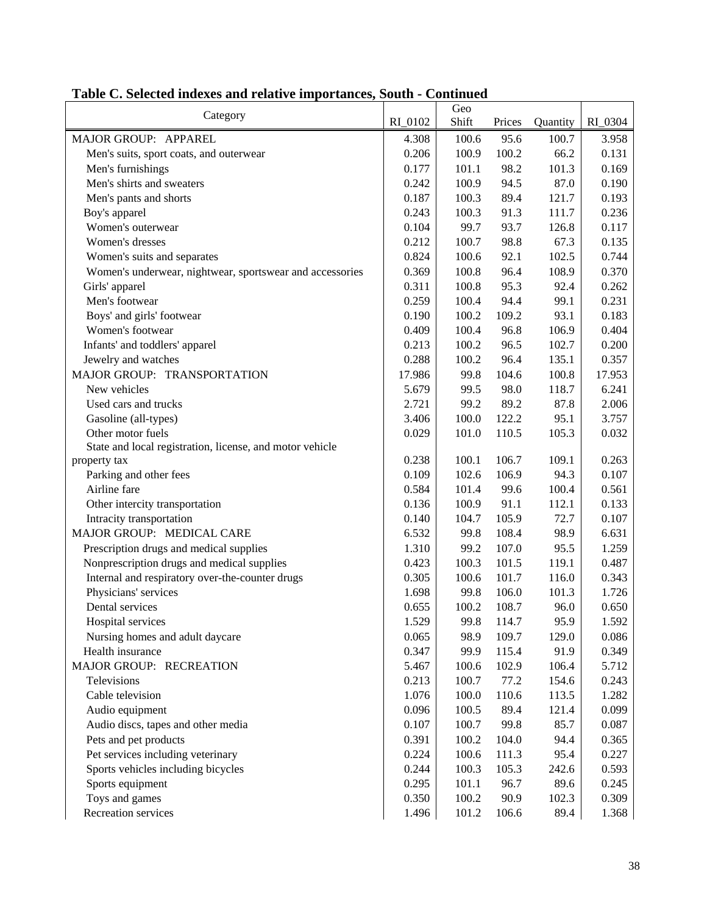| Category                                                 |         | Geo   |        |          |         |
|----------------------------------------------------------|---------|-------|--------|----------|---------|
|                                                          | RI 0102 | Shift | Prices | Quantity | RI_0304 |
| MAJOR GROUP: APPAREL                                     | 4.308   | 100.6 | 95.6   | 100.7    | 3.958   |
| Men's suits, sport coats, and outerwear                  | 0.206   | 100.9 | 100.2  | 66.2     | 0.131   |
| Men's furnishings                                        | 0.177   | 101.1 | 98.2   | 101.3    | 0.169   |
| Men's shirts and sweaters                                | 0.242   | 100.9 | 94.5   | 87.0     | 0.190   |
| Men's pants and shorts                                   | 0.187   | 100.3 | 89.4   | 121.7    | 0.193   |
| Boy's apparel                                            | 0.243   | 100.3 | 91.3   | 111.7    | 0.236   |
| Women's outerwear                                        | 0.104   | 99.7  | 93.7   | 126.8    | 0.117   |
| Women's dresses                                          | 0.212   | 100.7 | 98.8   | 67.3     | 0.135   |
| Women's suits and separates                              | 0.824   | 100.6 | 92.1   | 102.5    | 0.744   |
| Women's underwear, nightwear, sportswear and accessories | 0.369   | 100.8 | 96.4   | 108.9    | 0.370   |
| Girls' apparel                                           | 0.311   | 100.8 | 95.3   | 92.4     | 0.262   |
| Men's footwear                                           | 0.259   | 100.4 | 94.4   | 99.1     | 0.231   |
| Boys' and girls' footwear                                | 0.190   | 100.2 | 109.2  | 93.1     | 0.183   |
| Women's footwear                                         | 0.409   | 100.4 | 96.8   | 106.9    | 0.404   |
| Infants' and toddlers' apparel                           | 0.213   | 100.2 | 96.5   | 102.7    | 0.200   |
| Jewelry and watches                                      | 0.288   | 100.2 | 96.4   | 135.1    | 0.357   |
| MAJOR GROUP: TRANSPORTATION                              | 17.986  | 99.8  | 104.6  | 100.8    | 17.953  |
| New vehicles                                             | 5.679   | 99.5  | 98.0   | 118.7    | 6.241   |
| Used cars and trucks                                     | 2.721   | 99.2  | 89.2   | 87.8     | 2.006   |
| Gasoline (all-types)                                     | 3.406   | 100.0 | 122.2  | 95.1     | 3.757   |
| Other motor fuels                                        | 0.029   | 101.0 | 110.5  | 105.3    | 0.032   |
| State and local registration, license, and motor vehicle |         |       |        |          |         |
| property tax                                             | 0.238   | 100.1 | 106.7  | 109.1    | 0.263   |
| Parking and other fees                                   | 0.109   | 102.6 | 106.9  | 94.3     | 0.107   |
| Airline fare                                             | 0.584   | 101.4 | 99.6   | 100.4    | 0.561   |
| Other intercity transportation                           | 0.136   | 100.9 | 91.1   | 112.1    | 0.133   |
| Intracity transportation                                 | 0.140   | 104.7 | 105.9  | 72.7     | 0.107   |
| MAJOR GROUP: MEDICAL CARE                                | 6.532   | 99.8  | 108.4  | 98.9     | 6.631   |
| Prescription drugs and medical supplies                  | 1.310   | 99.2  | 107.0  | 95.5     | 1.259   |
| Nonprescription drugs and medical supplies               | 0.423   | 100.3 | 101.5  | 119.1    | 0.487   |
| Internal and respiratory over-the-counter drugs          | 0.305   | 100.6 | 101.7  | 116.0    | 0.343   |
| Physicians' services                                     | 1.698   | 99.8  | 106.0  | 101.3    | 1.726   |
| Dental services                                          | 0.655   | 100.2 | 108.7  | 96.0     | 0.650   |
| Hospital services                                        | 1.529   | 99.8  | 114.7  | 95.9     | 1.592   |
| Nursing homes and adult daycare                          | 0.065   | 98.9  | 109.7  | 129.0    | 0.086   |
| Health insurance                                         | 0.347   | 99.9  | 115.4  | 91.9     | 0.349   |
| MAJOR GROUP: RECREATION                                  | 5.467   | 100.6 | 102.9  | 106.4    | 5.712   |
| Televisions                                              | 0.213   | 100.7 | 77.2   | 154.6    | 0.243   |
| Cable television                                         | 1.076   | 100.0 | 110.6  | 113.5    | 1.282   |
| Audio equipment                                          | 0.096   | 100.5 | 89.4   | 121.4    | 0.099   |
| Audio discs, tapes and other media                       | 0.107   | 100.7 | 99.8   | 85.7     | 0.087   |
| Pets and pet products                                    | 0.391   | 100.2 | 104.0  | 94.4     | 0.365   |
| Pet services including veterinary                        | 0.224   | 100.6 | 111.3  | 95.4     | 0.227   |
| Sports vehicles including bicycles                       | 0.244   | 100.3 | 105.3  | 242.6    | 0.593   |
|                                                          |         |       |        |          |         |
| Sports equipment                                         | 0.295   | 101.1 | 96.7   | 89.6     | 0.245   |
| Toys and games                                           | 0.350   | 100.2 | 90.9   | 102.3    | 0.309   |
| Recreation services                                      | 1.496   | 101.2 | 106.6  | 89.4     | 1.368   |

# **Table C. Selected indexes and relative importances, South - Continued**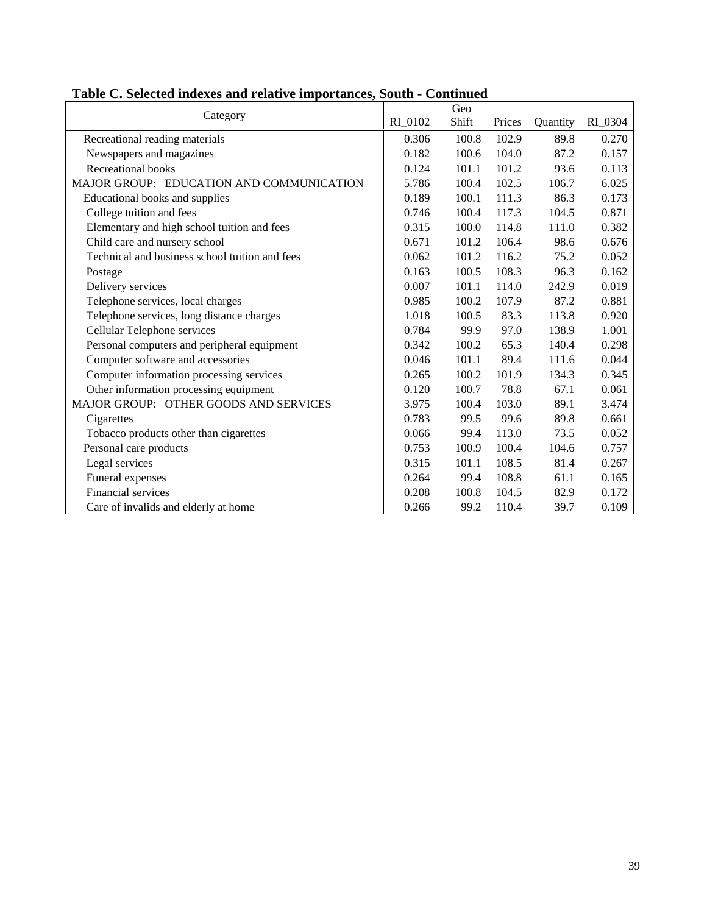| Category                                       |         | Geo   |        |          |         |
|------------------------------------------------|---------|-------|--------|----------|---------|
|                                                | RI 0102 | Shift | Prices | Quantity | RI 0304 |
| Recreational reading materials                 | 0.306   | 100.8 | 102.9  | 89.8     | 0.270   |
| Newspapers and magazines                       | 0.182   | 100.6 | 104.0  | 87.2     | 0.157   |
| <b>Recreational books</b>                      | 0.124   | 101.1 | 101.2  | 93.6     | 0.113   |
| MAJOR GROUP: EDUCATION AND COMMUNICATION       | 5.786   | 100.4 | 102.5  | 106.7    | 6.025   |
| Educational books and supplies                 | 0.189   | 100.1 | 111.3  | 86.3     | 0.173   |
| College tuition and fees                       | 0.746   | 100.4 | 117.3  | 104.5    | 0.871   |
| Elementary and high school tuition and fees    | 0.315   | 100.0 | 114.8  | 111.0    | 0.382   |
| Child care and nursery school                  | 0.671   | 101.2 | 106.4  | 98.6     | 0.676   |
| Technical and business school tuition and fees | 0.062   | 101.2 | 116.2  | 75.2     | 0.052   |
| Postage                                        | 0.163   | 100.5 | 108.3  | 96.3     | 0.162   |
| Delivery services                              | 0.007   | 101.1 | 114.0  | 242.9    | 0.019   |
| Telephone services, local charges              | 0.985   | 100.2 | 107.9  | 87.2     | 0.881   |
| Telephone services, long distance charges      | 1.018   | 100.5 | 83.3   | 113.8    | 0.920   |
| Cellular Telephone services                    | 0.784   | 99.9  | 97.0   | 138.9    | 1.001   |
| Personal computers and peripheral equipment    | 0.342   | 100.2 | 65.3   | 140.4    | 0.298   |
| Computer software and accessories              | 0.046   | 101.1 | 89.4   | 111.6    | 0.044   |
| Computer information processing services       | 0.265   | 100.2 | 101.9  | 134.3    | 0.345   |
| Other information processing equipment         | 0.120   | 100.7 | 78.8   | 67.1     | 0.061   |
| MAJOR GROUP: OTHER GOODS AND SERVICES          | 3.975   | 100.4 | 103.0  | 89.1     | 3.474   |
| Cigarettes                                     | 0.783   | 99.5  | 99.6   | 89.8     | 0.661   |
| Tobacco products other than cigarettes         | 0.066   | 99.4  | 113.0  | 73.5     | 0.052   |
| Personal care products                         | 0.753   | 100.9 | 100.4  | 104.6    | 0.757   |
| Legal services                                 | 0.315   | 101.1 | 108.5  | 81.4     | 0.267   |
| Funeral expenses                               | 0.264   | 99.4  | 108.8  | 61.1     | 0.165   |
| Financial services                             | 0.208   | 100.8 | 104.5  | 82.9     | 0.172   |
| Care of invalids and elderly at home           | 0.266   | 99.2  | 110.4  | 39.7     | 0.109   |

#### **Table C. Selected indexes and relative importances, South - Continued**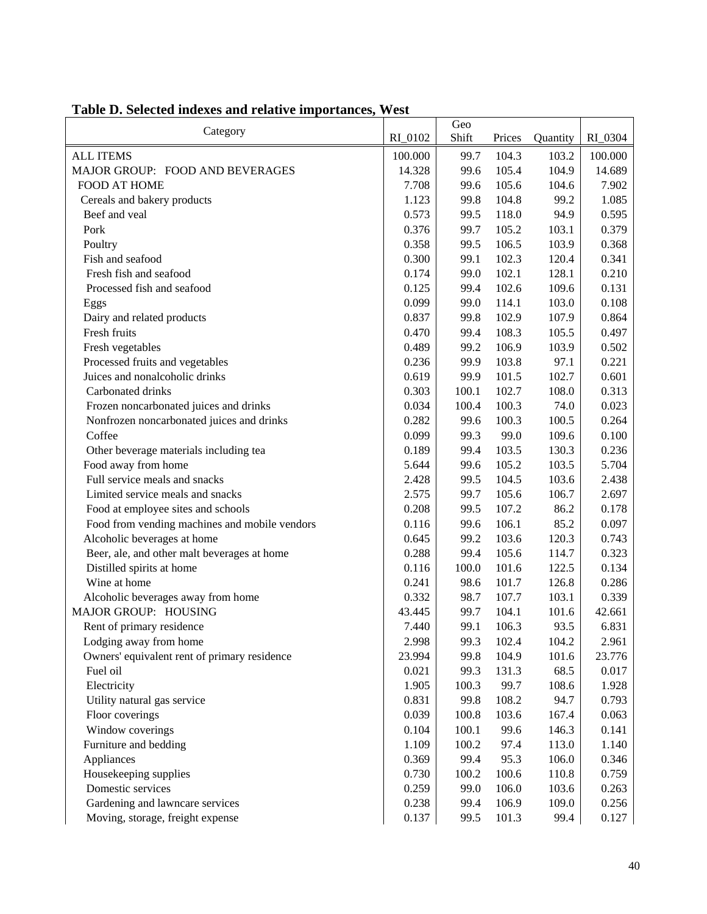|                                               |         | Geo   |        |          |         |
|-----------------------------------------------|---------|-------|--------|----------|---------|
| Category                                      | RI_0102 | Shift | Prices | Quantity | RI_0304 |
| <b>ALL ITEMS</b>                              | 100.000 | 99.7  | 104.3  | 103.2    | 100.000 |
| MAJOR GROUP: FOOD AND BEVERAGES               | 14.328  | 99.6  | 105.4  | 104.9    | 14.689  |
| FOOD AT HOME                                  | 7.708   | 99.6  | 105.6  | 104.6    | 7.902   |
| Cereals and bakery products                   | 1.123   | 99.8  | 104.8  | 99.2     | 1.085   |
| Beef and veal                                 | 0.573   | 99.5  | 118.0  | 94.9     | 0.595   |
| Pork                                          | 0.376   | 99.7  | 105.2  | 103.1    | 0.379   |
| Poultry                                       | 0.358   | 99.5  | 106.5  | 103.9    | 0.368   |
| Fish and seafood                              | 0.300   | 99.1  | 102.3  | 120.4    | 0.341   |
| Fresh fish and seafood                        | 0.174   | 99.0  | 102.1  | 128.1    | 0.210   |
| Processed fish and seafood                    | 0.125   | 99.4  | 102.6  | 109.6    | 0.131   |
| Eggs                                          | 0.099   | 99.0  | 114.1  | 103.0    | 0.108   |
| Dairy and related products                    | 0.837   | 99.8  | 102.9  | 107.9    | 0.864   |
| Fresh fruits                                  | 0.470   | 99.4  | 108.3  | 105.5    | 0.497   |
| Fresh vegetables                              | 0.489   | 99.2  | 106.9  | 103.9    | 0.502   |
| Processed fruits and vegetables               | 0.236   | 99.9  | 103.8  | 97.1     | 0.221   |
| Juices and nonalcoholic drinks                | 0.619   | 99.9  | 101.5  | 102.7    | 0.601   |
| Carbonated drinks                             | 0.303   | 100.1 | 102.7  | 108.0    | 0.313   |
| Frozen noncarbonated juices and drinks        | 0.034   | 100.4 | 100.3  | 74.0     | 0.023   |
| Nonfrozen noncarbonated juices and drinks     | 0.282   | 99.6  | 100.3  | 100.5    | 0.264   |
| Coffee                                        | 0.099   | 99.3  | 99.0   | 109.6    | 0.100   |
| Other beverage materials including tea        | 0.189   | 99.4  | 103.5  | 130.3    | 0.236   |
| Food away from home                           | 5.644   | 99.6  | 105.2  | 103.5    | 5.704   |
| Full service meals and snacks                 | 2.428   | 99.5  | 104.5  | 103.6    | 2.438   |
| Limited service meals and snacks              | 2.575   | 99.7  | 105.6  | 106.7    | 2.697   |
| Food at employee sites and schools            | 0.208   | 99.5  | 107.2  | 86.2     | 0.178   |
| Food from vending machines and mobile vendors | 0.116   | 99.6  | 106.1  | 85.2     | 0.097   |
| Alcoholic beverages at home                   | 0.645   | 99.2  | 103.6  | 120.3    | 0.743   |
| Beer, ale, and other malt beverages at home   | 0.288   | 99.4  | 105.6  | 114.7    | 0.323   |
| Distilled spirits at home                     | 0.116   | 100.0 | 101.6  | 122.5    | 0.134   |
| Wine at home                                  | 0.241   | 98.6  | 101.7  | 126.8    | 0.286   |
| Alcoholic beverages away from home            | 0.332   | 98.7  | 107.7  | 103.1    | 0.339   |
| MAJOR GROUP: HOUSING                          | 43.445  | 99.7  | 104.1  | 101.6    | 42.661  |
| Rent of primary residence                     | 7.440   | 99.1  | 106.3  | 93.5     | 6.831   |
| Lodging away from home                        | 2.998   | 99.3  | 102.4  | 104.2    | 2.961   |
| Owners' equivalent rent of primary residence  | 23.994  | 99.8  | 104.9  | 101.6    | 23.776  |
| Fuel oil                                      | 0.021   | 99.3  | 131.3  | 68.5     | 0.017   |
| Electricity                                   | 1.905   | 100.3 | 99.7   | 108.6    | 1.928   |
| Utility natural gas service                   | 0.831   | 99.8  | 108.2  | 94.7     | 0.793   |
| Floor coverings                               | 0.039   | 100.8 | 103.6  | 167.4    | 0.063   |
| Window coverings                              | 0.104   | 100.1 | 99.6   | 146.3    | 0.141   |
| Furniture and bedding                         | 1.109   | 100.2 | 97.4   | 113.0    | 1.140   |
| Appliances                                    | 0.369   | 99.4  | 95.3   | 106.0    | 0.346   |
| Housekeeping supplies                         | 0.730   | 100.2 | 100.6  | 110.8    | 0.759   |
| Domestic services                             | 0.259   | 99.0  | 106.0  | 103.6    | 0.263   |
| Gardening and lawncare services               | 0.238   | 99.4  | 106.9  | 109.0    | 0.256   |
| Moving, storage, freight expense              | 0.137   | 99.5  | 101.3  | 99.4     | 0.127   |

## **Table D. Selected indexes and relative importances, West**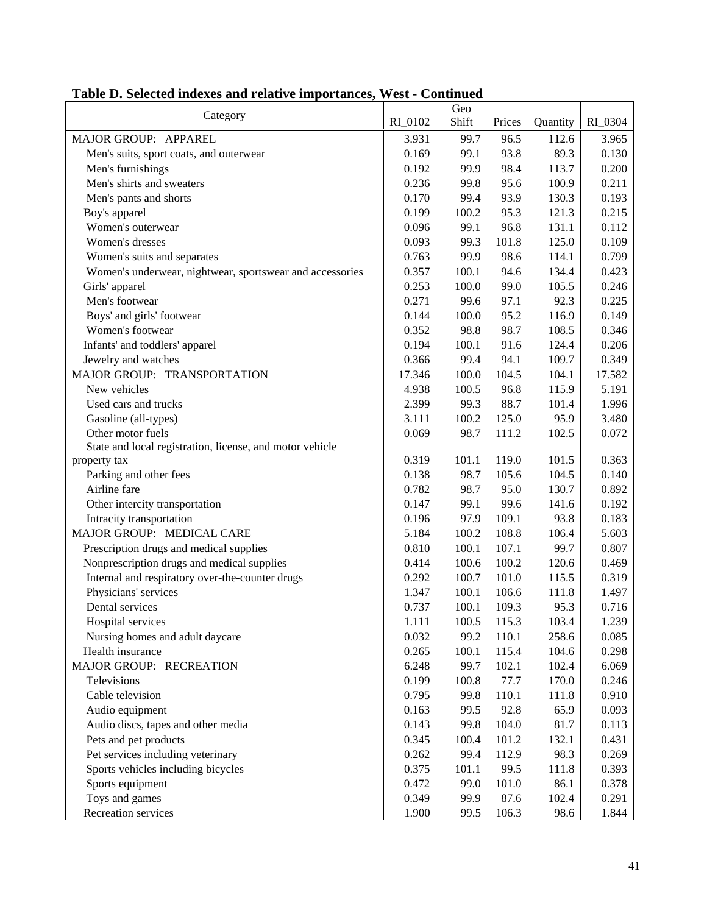| 96.5<br>3.965<br>MAJOR GROUP: APPAREL<br>3.931<br>99.7<br>112.6<br>93.8<br>89.3<br>99.1<br>0.130<br>Men's suits, sport coats, and outerwear<br>0.169<br>99.9<br>98.4<br>0.200<br>Men's furnishings<br>0.192<br>113.7<br>99.8<br>95.6<br>0.211<br>Men's shirts and sweaters<br>0.236<br>100.9<br>99.4<br>93.9<br>Men's pants and shorts<br>0.170<br>130.3<br>0.193<br>95.3<br>0.215<br>Boy's apparel<br>0.199<br>100.2<br>121.3<br>Women's outerwear<br>99.1<br>96.8<br>0.112<br>0.096<br>131.1<br>99.3<br>101.8<br>0.109<br>Women's dresses<br>0.093<br>125.0<br>99.9<br>98.6<br>0.799<br>0.763<br>114.1<br>Women's suits and separates<br>100.1<br>94.6<br>0.423<br>0.357<br>134.4<br>Women's underwear, nightwear, sportswear and accessories<br>100.0<br>99.0<br>0.246<br>0.253<br>105.5<br>Girls' apparel<br>Men's footwear<br>99.6<br>97.1<br>92.3<br>0.225<br>0.271<br>95.2<br>0.149<br>Boys' and girls' footwear<br>0.144<br>100.0<br>116.9<br>98.7<br>0.346<br>Women's footwear<br>0.352<br>98.8<br>108.5<br>91.6<br>0.206<br>Infants' and toddlers' apparel<br>0.194<br>100.1<br>124.4<br>94.1<br>0.349<br>Jewelry and watches<br>0.366<br>99.4<br>109.7<br>MAJOR GROUP: TRANSPORTATION<br>104.5<br>17.346<br>100.0<br>104.1<br>17.582<br>New vehicles<br>4.938<br>100.5<br>96.8<br>115.9<br>5.191<br>99.3<br>88.7<br>1.996<br>2.399<br>101.4<br>Used cars and trucks<br>125.0<br>Gasoline (all-types)<br>3.111<br>100.2<br>95.9<br>3.480<br>Other motor fuels<br>98.7<br>111.2<br>0.072<br>0.069<br>102.5<br>State and local registration, license, and motor vehicle<br>0.319<br>101.1<br>119.0<br>101.5<br>0.363<br>property tax<br>Parking and other fees<br>0.138<br>98.7<br>105.6<br>104.5<br>0.140<br>Airline fare<br>0.892<br>0.782<br>98.7<br>95.0<br>130.7<br>99.6<br>0.147<br>99.1<br>141.6<br>0.192<br>Other intercity transportation<br>Intracity transportation<br>97.9<br>109.1<br>0.183<br>0.196<br>93.8<br>MAJOR GROUP: MEDICAL CARE<br>100.2<br>108.8<br>5.184<br>106.4<br>5.603<br>0.810<br>100.1<br>107.1<br>0.807<br>Prescription drugs and medical supplies<br>99.7<br>Nonprescription drugs and medical supplies<br>100.2<br>120.6<br>0.414<br>100.6<br>0.469<br>101.0<br>0.319<br>Internal and respiratory over-the-counter drugs<br>0.292<br>100.7<br>115.5<br>Physicians' services<br>1.347<br>100.1<br>106.6<br>111.8<br>1.497<br>0.716<br>Dental services<br>0.737<br>100.1<br>109.3<br>95.3<br>Hospital services<br>1.111<br>100.5<br>115.3<br>103.4<br>1.239<br>0.032<br>99.2<br>110.1<br>258.6<br>0.085<br>Nursing homes and adult daycare<br>Health insurance<br>0.265<br>100.1<br>115.4<br>104.6<br>0.298<br>MAJOR GROUP: RECREATION<br>6.248<br>99.7<br>102.1<br>102.4<br>6.069<br>77.7<br>Televisions<br>0.199<br>100.8<br>170.0<br>0.246<br>110.1<br>0.910<br>Cable television<br>0.795<br>99.8<br>111.8<br>0.093<br>Audio equipment<br>0.163<br>99.5<br>92.8<br>65.9<br>Audio discs, tapes and other media<br>0.143<br>99.8<br>104.0<br>81.7<br>0.113<br>0.431<br>Pets and pet products<br>0.345<br>100.4<br>101.2<br>132.1<br>Pet services including veterinary<br>0.262<br>99.4<br>112.9<br>98.3<br>0.269<br>Sports vehicles including bicycles<br>0.375<br>101.1<br>99.5<br>111.8<br>0.393<br>Sports equipment<br>0.472<br>99.0<br>101.0<br>86.1<br>0.378 | Category       |         | Geo   |        |          |         |
|------------------------------------------------------------------------------------------------------------------------------------------------------------------------------------------------------------------------------------------------------------------------------------------------------------------------------------------------------------------------------------------------------------------------------------------------------------------------------------------------------------------------------------------------------------------------------------------------------------------------------------------------------------------------------------------------------------------------------------------------------------------------------------------------------------------------------------------------------------------------------------------------------------------------------------------------------------------------------------------------------------------------------------------------------------------------------------------------------------------------------------------------------------------------------------------------------------------------------------------------------------------------------------------------------------------------------------------------------------------------------------------------------------------------------------------------------------------------------------------------------------------------------------------------------------------------------------------------------------------------------------------------------------------------------------------------------------------------------------------------------------------------------------------------------------------------------------------------------------------------------------------------------------------------------------------------------------------------------------------------------------------------------------------------------------------------------------------------------------------------------------------------------------------------------------------------------------------------------------------------------------------------------------------------------------------------------------------------------------------------------------------------------------------------------------------------------------------------------------------------------------------------------------------------------------------------------------------------------------------------------------------------------------------------------------------------------------------------------------------------------------------------------------------------------------------------------------------------------------------------------------------------------------------------------------------------------------------------------------------------------------------------------------------------------------------------------------------------------------------------------------------------------------------------------------------------------------------------------------------------------------------------------------------------------------|----------------|---------|-------|--------|----------|---------|
|                                                                                                                                                                                                                                                                                                                                                                                                                                                                                                                                                                                                                                                                                                                                                                                                                                                                                                                                                                                                                                                                                                                                                                                                                                                                                                                                                                                                                                                                                                                                                                                                                                                                                                                                                                                                                                                                                                                                                                                                                                                                                                                                                                                                                                                                                                                                                                                                                                                                                                                                                                                                                                                                                                                                                                                                                                                                                                                                                                                                                                                                                                                                                                                                                                                                                                            |                | RI_0102 | Shift | Prices | Quantity | RI_0304 |
|                                                                                                                                                                                                                                                                                                                                                                                                                                                                                                                                                                                                                                                                                                                                                                                                                                                                                                                                                                                                                                                                                                                                                                                                                                                                                                                                                                                                                                                                                                                                                                                                                                                                                                                                                                                                                                                                                                                                                                                                                                                                                                                                                                                                                                                                                                                                                                                                                                                                                                                                                                                                                                                                                                                                                                                                                                                                                                                                                                                                                                                                                                                                                                                                                                                                                                            |                |         |       |        |          |         |
|                                                                                                                                                                                                                                                                                                                                                                                                                                                                                                                                                                                                                                                                                                                                                                                                                                                                                                                                                                                                                                                                                                                                                                                                                                                                                                                                                                                                                                                                                                                                                                                                                                                                                                                                                                                                                                                                                                                                                                                                                                                                                                                                                                                                                                                                                                                                                                                                                                                                                                                                                                                                                                                                                                                                                                                                                                                                                                                                                                                                                                                                                                                                                                                                                                                                                                            |                |         |       |        |          |         |
|                                                                                                                                                                                                                                                                                                                                                                                                                                                                                                                                                                                                                                                                                                                                                                                                                                                                                                                                                                                                                                                                                                                                                                                                                                                                                                                                                                                                                                                                                                                                                                                                                                                                                                                                                                                                                                                                                                                                                                                                                                                                                                                                                                                                                                                                                                                                                                                                                                                                                                                                                                                                                                                                                                                                                                                                                                                                                                                                                                                                                                                                                                                                                                                                                                                                                                            |                |         |       |        |          |         |
|                                                                                                                                                                                                                                                                                                                                                                                                                                                                                                                                                                                                                                                                                                                                                                                                                                                                                                                                                                                                                                                                                                                                                                                                                                                                                                                                                                                                                                                                                                                                                                                                                                                                                                                                                                                                                                                                                                                                                                                                                                                                                                                                                                                                                                                                                                                                                                                                                                                                                                                                                                                                                                                                                                                                                                                                                                                                                                                                                                                                                                                                                                                                                                                                                                                                                                            |                |         |       |        |          |         |
|                                                                                                                                                                                                                                                                                                                                                                                                                                                                                                                                                                                                                                                                                                                                                                                                                                                                                                                                                                                                                                                                                                                                                                                                                                                                                                                                                                                                                                                                                                                                                                                                                                                                                                                                                                                                                                                                                                                                                                                                                                                                                                                                                                                                                                                                                                                                                                                                                                                                                                                                                                                                                                                                                                                                                                                                                                                                                                                                                                                                                                                                                                                                                                                                                                                                                                            |                |         |       |        |          |         |
|                                                                                                                                                                                                                                                                                                                                                                                                                                                                                                                                                                                                                                                                                                                                                                                                                                                                                                                                                                                                                                                                                                                                                                                                                                                                                                                                                                                                                                                                                                                                                                                                                                                                                                                                                                                                                                                                                                                                                                                                                                                                                                                                                                                                                                                                                                                                                                                                                                                                                                                                                                                                                                                                                                                                                                                                                                                                                                                                                                                                                                                                                                                                                                                                                                                                                                            |                |         |       |        |          |         |
|                                                                                                                                                                                                                                                                                                                                                                                                                                                                                                                                                                                                                                                                                                                                                                                                                                                                                                                                                                                                                                                                                                                                                                                                                                                                                                                                                                                                                                                                                                                                                                                                                                                                                                                                                                                                                                                                                                                                                                                                                                                                                                                                                                                                                                                                                                                                                                                                                                                                                                                                                                                                                                                                                                                                                                                                                                                                                                                                                                                                                                                                                                                                                                                                                                                                                                            |                |         |       |        |          |         |
|                                                                                                                                                                                                                                                                                                                                                                                                                                                                                                                                                                                                                                                                                                                                                                                                                                                                                                                                                                                                                                                                                                                                                                                                                                                                                                                                                                                                                                                                                                                                                                                                                                                                                                                                                                                                                                                                                                                                                                                                                                                                                                                                                                                                                                                                                                                                                                                                                                                                                                                                                                                                                                                                                                                                                                                                                                                                                                                                                                                                                                                                                                                                                                                                                                                                                                            |                |         |       |        |          |         |
|                                                                                                                                                                                                                                                                                                                                                                                                                                                                                                                                                                                                                                                                                                                                                                                                                                                                                                                                                                                                                                                                                                                                                                                                                                                                                                                                                                                                                                                                                                                                                                                                                                                                                                                                                                                                                                                                                                                                                                                                                                                                                                                                                                                                                                                                                                                                                                                                                                                                                                                                                                                                                                                                                                                                                                                                                                                                                                                                                                                                                                                                                                                                                                                                                                                                                                            |                |         |       |        |          |         |
|                                                                                                                                                                                                                                                                                                                                                                                                                                                                                                                                                                                                                                                                                                                                                                                                                                                                                                                                                                                                                                                                                                                                                                                                                                                                                                                                                                                                                                                                                                                                                                                                                                                                                                                                                                                                                                                                                                                                                                                                                                                                                                                                                                                                                                                                                                                                                                                                                                                                                                                                                                                                                                                                                                                                                                                                                                                                                                                                                                                                                                                                                                                                                                                                                                                                                                            |                |         |       |        |          |         |
|                                                                                                                                                                                                                                                                                                                                                                                                                                                                                                                                                                                                                                                                                                                                                                                                                                                                                                                                                                                                                                                                                                                                                                                                                                                                                                                                                                                                                                                                                                                                                                                                                                                                                                                                                                                                                                                                                                                                                                                                                                                                                                                                                                                                                                                                                                                                                                                                                                                                                                                                                                                                                                                                                                                                                                                                                                                                                                                                                                                                                                                                                                                                                                                                                                                                                                            |                |         |       |        |          |         |
|                                                                                                                                                                                                                                                                                                                                                                                                                                                                                                                                                                                                                                                                                                                                                                                                                                                                                                                                                                                                                                                                                                                                                                                                                                                                                                                                                                                                                                                                                                                                                                                                                                                                                                                                                                                                                                                                                                                                                                                                                                                                                                                                                                                                                                                                                                                                                                                                                                                                                                                                                                                                                                                                                                                                                                                                                                                                                                                                                                                                                                                                                                                                                                                                                                                                                                            |                |         |       |        |          |         |
|                                                                                                                                                                                                                                                                                                                                                                                                                                                                                                                                                                                                                                                                                                                                                                                                                                                                                                                                                                                                                                                                                                                                                                                                                                                                                                                                                                                                                                                                                                                                                                                                                                                                                                                                                                                                                                                                                                                                                                                                                                                                                                                                                                                                                                                                                                                                                                                                                                                                                                                                                                                                                                                                                                                                                                                                                                                                                                                                                                                                                                                                                                                                                                                                                                                                                                            |                |         |       |        |          |         |
|                                                                                                                                                                                                                                                                                                                                                                                                                                                                                                                                                                                                                                                                                                                                                                                                                                                                                                                                                                                                                                                                                                                                                                                                                                                                                                                                                                                                                                                                                                                                                                                                                                                                                                                                                                                                                                                                                                                                                                                                                                                                                                                                                                                                                                                                                                                                                                                                                                                                                                                                                                                                                                                                                                                                                                                                                                                                                                                                                                                                                                                                                                                                                                                                                                                                                                            |                |         |       |        |          |         |
|                                                                                                                                                                                                                                                                                                                                                                                                                                                                                                                                                                                                                                                                                                                                                                                                                                                                                                                                                                                                                                                                                                                                                                                                                                                                                                                                                                                                                                                                                                                                                                                                                                                                                                                                                                                                                                                                                                                                                                                                                                                                                                                                                                                                                                                                                                                                                                                                                                                                                                                                                                                                                                                                                                                                                                                                                                                                                                                                                                                                                                                                                                                                                                                                                                                                                                            |                |         |       |        |          |         |
|                                                                                                                                                                                                                                                                                                                                                                                                                                                                                                                                                                                                                                                                                                                                                                                                                                                                                                                                                                                                                                                                                                                                                                                                                                                                                                                                                                                                                                                                                                                                                                                                                                                                                                                                                                                                                                                                                                                                                                                                                                                                                                                                                                                                                                                                                                                                                                                                                                                                                                                                                                                                                                                                                                                                                                                                                                                                                                                                                                                                                                                                                                                                                                                                                                                                                                            |                |         |       |        |          |         |
|                                                                                                                                                                                                                                                                                                                                                                                                                                                                                                                                                                                                                                                                                                                                                                                                                                                                                                                                                                                                                                                                                                                                                                                                                                                                                                                                                                                                                                                                                                                                                                                                                                                                                                                                                                                                                                                                                                                                                                                                                                                                                                                                                                                                                                                                                                                                                                                                                                                                                                                                                                                                                                                                                                                                                                                                                                                                                                                                                                                                                                                                                                                                                                                                                                                                                                            |                |         |       |        |          |         |
|                                                                                                                                                                                                                                                                                                                                                                                                                                                                                                                                                                                                                                                                                                                                                                                                                                                                                                                                                                                                                                                                                                                                                                                                                                                                                                                                                                                                                                                                                                                                                                                                                                                                                                                                                                                                                                                                                                                                                                                                                                                                                                                                                                                                                                                                                                                                                                                                                                                                                                                                                                                                                                                                                                                                                                                                                                                                                                                                                                                                                                                                                                                                                                                                                                                                                                            |                |         |       |        |          |         |
|                                                                                                                                                                                                                                                                                                                                                                                                                                                                                                                                                                                                                                                                                                                                                                                                                                                                                                                                                                                                                                                                                                                                                                                                                                                                                                                                                                                                                                                                                                                                                                                                                                                                                                                                                                                                                                                                                                                                                                                                                                                                                                                                                                                                                                                                                                                                                                                                                                                                                                                                                                                                                                                                                                                                                                                                                                                                                                                                                                                                                                                                                                                                                                                                                                                                                                            |                |         |       |        |          |         |
|                                                                                                                                                                                                                                                                                                                                                                                                                                                                                                                                                                                                                                                                                                                                                                                                                                                                                                                                                                                                                                                                                                                                                                                                                                                                                                                                                                                                                                                                                                                                                                                                                                                                                                                                                                                                                                                                                                                                                                                                                                                                                                                                                                                                                                                                                                                                                                                                                                                                                                                                                                                                                                                                                                                                                                                                                                                                                                                                                                                                                                                                                                                                                                                                                                                                                                            |                |         |       |        |          |         |
|                                                                                                                                                                                                                                                                                                                                                                                                                                                                                                                                                                                                                                                                                                                                                                                                                                                                                                                                                                                                                                                                                                                                                                                                                                                                                                                                                                                                                                                                                                                                                                                                                                                                                                                                                                                                                                                                                                                                                                                                                                                                                                                                                                                                                                                                                                                                                                                                                                                                                                                                                                                                                                                                                                                                                                                                                                                                                                                                                                                                                                                                                                                                                                                                                                                                                                            |                |         |       |        |          |         |
|                                                                                                                                                                                                                                                                                                                                                                                                                                                                                                                                                                                                                                                                                                                                                                                                                                                                                                                                                                                                                                                                                                                                                                                                                                                                                                                                                                                                                                                                                                                                                                                                                                                                                                                                                                                                                                                                                                                                                                                                                                                                                                                                                                                                                                                                                                                                                                                                                                                                                                                                                                                                                                                                                                                                                                                                                                                                                                                                                                                                                                                                                                                                                                                                                                                                                                            |                |         |       |        |          |         |
|                                                                                                                                                                                                                                                                                                                                                                                                                                                                                                                                                                                                                                                                                                                                                                                                                                                                                                                                                                                                                                                                                                                                                                                                                                                                                                                                                                                                                                                                                                                                                                                                                                                                                                                                                                                                                                                                                                                                                                                                                                                                                                                                                                                                                                                                                                                                                                                                                                                                                                                                                                                                                                                                                                                                                                                                                                                                                                                                                                                                                                                                                                                                                                                                                                                                                                            |                |         |       |        |          |         |
|                                                                                                                                                                                                                                                                                                                                                                                                                                                                                                                                                                                                                                                                                                                                                                                                                                                                                                                                                                                                                                                                                                                                                                                                                                                                                                                                                                                                                                                                                                                                                                                                                                                                                                                                                                                                                                                                                                                                                                                                                                                                                                                                                                                                                                                                                                                                                                                                                                                                                                                                                                                                                                                                                                                                                                                                                                                                                                                                                                                                                                                                                                                                                                                                                                                                                                            |                |         |       |        |          |         |
|                                                                                                                                                                                                                                                                                                                                                                                                                                                                                                                                                                                                                                                                                                                                                                                                                                                                                                                                                                                                                                                                                                                                                                                                                                                                                                                                                                                                                                                                                                                                                                                                                                                                                                                                                                                                                                                                                                                                                                                                                                                                                                                                                                                                                                                                                                                                                                                                                                                                                                                                                                                                                                                                                                                                                                                                                                                                                                                                                                                                                                                                                                                                                                                                                                                                                                            |                |         |       |        |          |         |
|                                                                                                                                                                                                                                                                                                                                                                                                                                                                                                                                                                                                                                                                                                                                                                                                                                                                                                                                                                                                                                                                                                                                                                                                                                                                                                                                                                                                                                                                                                                                                                                                                                                                                                                                                                                                                                                                                                                                                                                                                                                                                                                                                                                                                                                                                                                                                                                                                                                                                                                                                                                                                                                                                                                                                                                                                                                                                                                                                                                                                                                                                                                                                                                                                                                                                                            |                |         |       |        |          |         |
|                                                                                                                                                                                                                                                                                                                                                                                                                                                                                                                                                                                                                                                                                                                                                                                                                                                                                                                                                                                                                                                                                                                                                                                                                                                                                                                                                                                                                                                                                                                                                                                                                                                                                                                                                                                                                                                                                                                                                                                                                                                                                                                                                                                                                                                                                                                                                                                                                                                                                                                                                                                                                                                                                                                                                                                                                                                                                                                                                                                                                                                                                                                                                                                                                                                                                                            |                |         |       |        |          |         |
|                                                                                                                                                                                                                                                                                                                                                                                                                                                                                                                                                                                                                                                                                                                                                                                                                                                                                                                                                                                                                                                                                                                                                                                                                                                                                                                                                                                                                                                                                                                                                                                                                                                                                                                                                                                                                                                                                                                                                                                                                                                                                                                                                                                                                                                                                                                                                                                                                                                                                                                                                                                                                                                                                                                                                                                                                                                                                                                                                                                                                                                                                                                                                                                                                                                                                                            |                |         |       |        |          |         |
|                                                                                                                                                                                                                                                                                                                                                                                                                                                                                                                                                                                                                                                                                                                                                                                                                                                                                                                                                                                                                                                                                                                                                                                                                                                                                                                                                                                                                                                                                                                                                                                                                                                                                                                                                                                                                                                                                                                                                                                                                                                                                                                                                                                                                                                                                                                                                                                                                                                                                                                                                                                                                                                                                                                                                                                                                                                                                                                                                                                                                                                                                                                                                                                                                                                                                                            |                |         |       |        |          |         |
|                                                                                                                                                                                                                                                                                                                                                                                                                                                                                                                                                                                                                                                                                                                                                                                                                                                                                                                                                                                                                                                                                                                                                                                                                                                                                                                                                                                                                                                                                                                                                                                                                                                                                                                                                                                                                                                                                                                                                                                                                                                                                                                                                                                                                                                                                                                                                                                                                                                                                                                                                                                                                                                                                                                                                                                                                                                                                                                                                                                                                                                                                                                                                                                                                                                                                                            |                |         |       |        |          |         |
|                                                                                                                                                                                                                                                                                                                                                                                                                                                                                                                                                                                                                                                                                                                                                                                                                                                                                                                                                                                                                                                                                                                                                                                                                                                                                                                                                                                                                                                                                                                                                                                                                                                                                                                                                                                                                                                                                                                                                                                                                                                                                                                                                                                                                                                                                                                                                                                                                                                                                                                                                                                                                                                                                                                                                                                                                                                                                                                                                                                                                                                                                                                                                                                                                                                                                                            |                |         |       |        |          |         |
|                                                                                                                                                                                                                                                                                                                                                                                                                                                                                                                                                                                                                                                                                                                                                                                                                                                                                                                                                                                                                                                                                                                                                                                                                                                                                                                                                                                                                                                                                                                                                                                                                                                                                                                                                                                                                                                                                                                                                                                                                                                                                                                                                                                                                                                                                                                                                                                                                                                                                                                                                                                                                                                                                                                                                                                                                                                                                                                                                                                                                                                                                                                                                                                                                                                                                                            |                |         |       |        |          |         |
|                                                                                                                                                                                                                                                                                                                                                                                                                                                                                                                                                                                                                                                                                                                                                                                                                                                                                                                                                                                                                                                                                                                                                                                                                                                                                                                                                                                                                                                                                                                                                                                                                                                                                                                                                                                                                                                                                                                                                                                                                                                                                                                                                                                                                                                                                                                                                                                                                                                                                                                                                                                                                                                                                                                                                                                                                                                                                                                                                                                                                                                                                                                                                                                                                                                                                                            |                |         |       |        |          |         |
|                                                                                                                                                                                                                                                                                                                                                                                                                                                                                                                                                                                                                                                                                                                                                                                                                                                                                                                                                                                                                                                                                                                                                                                                                                                                                                                                                                                                                                                                                                                                                                                                                                                                                                                                                                                                                                                                                                                                                                                                                                                                                                                                                                                                                                                                                                                                                                                                                                                                                                                                                                                                                                                                                                                                                                                                                                                                                                                                                                                                                                                                                                                                                                                                                                                                                                            |                |         |       |        |          |         |
|                                                                                                                                                                                                                                                                                                                                                                                                                                                                                                                                                                                                                                                                                                                                                                                                                                                                                                                                                                                                                                                                                                                                                                                                                                                                                                                                                                                                                                                                                                                                                                                                                                                                                                                                                                                                                                                                                                                                                                                                                                                                                                                                                                                                                                                                                                                                                                                                                                                                                                                                                                                                                                                                                                                                                                                                                                                                                                                                                                                                                                                                                                                                                                                                                                                                                                            |                |         |       |        |          |         |
|                                                                                                                                                                                                                                                                                                                                                                                                                                                                                                                                                                                                                                                                                                                                                                                                                                                                                                                                                                                                                                                                                                                                                                                                                                                                                                                                                                                                                                                                                                                                                                                                                                                                                                                                                                                                                                                                                                                                                                                                                                                                                                                                                                                                                                                                                                                                                                                                                                                                                                                                                                                                                                                                                                                                                                                                                                                                                                                                                                                                                                                                                                                                                                                                                                                                                                            |                |         |       |        |          |         |
|                                                                                                                                                                                                                                                                                                                                                                                                                                                                                                                                                                                                                                                                                                                                                                                                                                                                                                                                                                                                                                                                                                                                                                                                                                                                                                                                                                                                                                                                                                                                                                                                                                                                                                                                                                                                                                                                                                                                                                                                                                                                                                                                                                                                                                                                                                                                                                                                                                                                                                                                                                                                                                                                                                                                                                                                                                                                                                                                                                                                                                                                                                                                                                                                                                                                                                            |                |         |       |        |          |         |
|                                                                                                                                                                                                                                                                                                                                                                                                                                                                                                                                                                                                                                                                                                                                                                                                                                                                                                                                                                                                                                                                                                                                                                                                                                                                                                                                                                                                                                                                                                                                                                                                                                                                                                                                                                                                                                                                                                                                                                                                                                                                                                                                                                                                                                                                                                                                                                                                                                                                                                                                                                                                                                                                                                                                                                                                                                                                                                                                                                                                                                                                                                                                                                                                                                                                                                            |                |         |       |        |          |         |
|                                                                                                                                                                                                                                                                                                                                                                                                                                                                                                                                                                                                                                                                                                                                                                                                                                                                                                                                                                                                                                                                                                                                                                                                                                                                                                                                                                                                                                                                                                                                                                                                                                                                                                                                                                                                                                                                                                                                                                                                                                                                                                                                                                                                                                                                                                                                                                                                                                                                                                                                                                                                                                                                                                                                                                                                                                                                                                                                                                                                                                                                                                                                                                                                                                                                                                            |                |         |       |        |          |         |
|                                                                                                                                                                                                                                                                                                                                                                                                                                                                                                                                                                                                                                                                                                                                                                                                                                                                                                                                                                                                                                                                                                                                                                                                                                                                                                                                                                                                                                                                                                                                                                                                                                                                                                                                                                                                                                                                                                                                                                                                                                                                                                                                                                                                                                                                                                                                                                                                                                                                                                                                                                                                                                                                                                                                                                                                                                                                                                                                                                                                                                                                                                                                                                                                                                                                                                            |                |         |       |        |          |         |
|                                                                                                                                                                                                                                                                                                                                                                                                                                                                                                                                                                                                                                                                                                                                                                                                                                                                                                                                                                                                                                                                                                                                                                                                                                                                                                                                                                                                                                                                                                                                                                                                                                                                                                                                                                                                                                                                                                                                                                                                                                                                                                                                                                                                                                                                                                                                                                                                                                                                                                                                                                                                                                                                                                                                                                                                                                                                                                                                                                                                                                                                                                                                                                                                                                                                                                            |                |         |       |        |          |         |
|                                                                                                                                                                                                                                                                                                                                                                                                                                                                                                                                                                                                                                                                                                                                                                                                                                                                                                                                                                                                                                                                                                                                                                                                                                                                                                                                                                                                                                                                                                                                                                                                                                                                                                                                                                                                                                                                                                                                                                                                                                                                                                                                                                                                                                                                                                                                                                                                                                                                                                                                                                                                                                                                                                                                                                                                                                                                                                                                                                                                                                                                                                                                                                                                                                                                                                            |                |         |       |        |          |         |
|                                                                                                                                                                                                                                                                                                                                                                                                                                                                                                                                                                                                                                                                                                                                                                                                                                                                                                                                                                                                                                                                                                                                                                                                                                                                                                                                                                                                                                                                                                                                                                                                                                                                                                                                                                                                                                                                                                                                                                                                                                                                                                                                                                                                                                                                                                                                                                                                                                                                                                                                                                                                                                                                                                                                                                                                                                                                                                                                                                                                                                                                                                                                                                                                                                                                                                            |                |         |       |        |          |         |
|                                                                                                                                                                                                                                                                                                                                                                                                                                                                                                                                                                                                                                                                                                                                                                                                                                                                                                                                                                                                                                                                                                                                                                                                                                                                                                                                                                                                                                                                                                                                                                                                                                                                                                                                                                                                                                                                                                                                                                                                                                                                                                                                                                                                                                                                                                                                                                                                                                                                                                                                                                                                                                                                                                                                                                                                                                                                                                                                                                                                                                                                                                                                                                                                                                                                                                            |                |         |       |        |          |         |
|                                                                                                                                                                                                                                                                                                                                                                                                                                                                                                                                                                                                                                                                                                                                                                                                                                                                                                                                                                                                                                                                                                                                                                                                                                                                                                                                                                                                                                                                                                                                                                                                                                                                                                                                                                                                                                                                                                                                                                                                                                                                                                                                                                                                                                                                                                                                                                                                                                                                                                                                                                                                                                                                                                                                                                                                                                                                                                                                                                                                                                                                                                                                                                                                                                                                                                            |                |         |       |        |          |         |
|                                                                                                                                                                                                                                                                                                                                                                                                                                                                                                                                                                                                                                                                                                                                                                                                                                                                                                                                                                                                                                                                                                                                                                                                                                                                                                                                                                                                                                                                                                                                                                                                                                                                                                                                                                                                                                                                                                                                                                                                                                                                                                                                                                                                                                                                                                                                                                                                                                                                                                                                                                                                                                                                                                                                                                                                                                                                                                                                                                                                                                                                                                                                                                                                                                                                                                            | Toys and games | 0.349   | 99.9  | 87.6   | 102.4    | 0.291   |
| Recreation services<br>1.900<br>99.5<br>106.3<br>98.6<br>1.844                                                                                                                                                                                                                                                                                                                                                                                                                                                                                                                                                                                                                                                                                                                                                                                                                                                                                                                                                                                                                                                                                                                                                                                                                                                                                                                                                                                                                                                                                                                                                                                                                                                                                                                                                                                                                                                                                                                                                                                                                                                                                                                                                                                                                                                                                                                                                                                                                                                                                                                                                                                                                                                                                                                                                                                                                                                                                                                                                                                                                                                                                                                                                                                                                                             |                |         |       |        |          |         |

# **Table D. Selected indexes and relative importances, West - Continued**